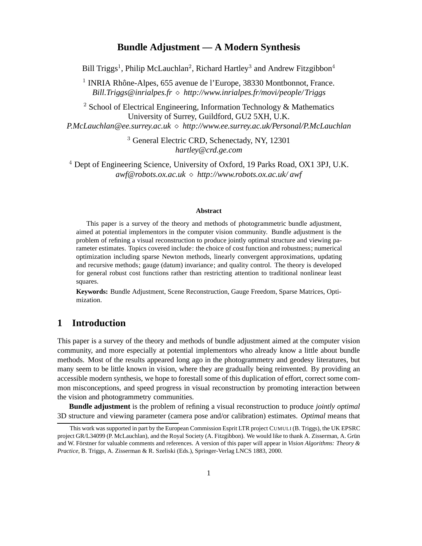# **Bundle Adjustment — A Modern Synthesis**

Bill Triggs<sup>1</sup>, Philip McLauchlan<sup>2</sup>, Richard Hartley<sup>3</sup> and Andrew Fitzgibbon<sup>4</sup>

<sup>1</sup> INRIA Rhône-Alpes, 655 avenue de l'Europe, 38330 Montbonnot, France. *Bill.Triggs@inrialpes.fr http://www.inrialpes.fr/movi/people/Triggs*

<sup>2</sup> School of Electrical Engineering, Information Technology  $\&$  Mathematics University of Surrey, Guildford, GU2 5XH, U.K.

*P.McLauchlan@ee.surrey.ac.uk http://www.ee.surrey.ac.uk/Personal/P.McLauchlan*

<sup>3</sup> General Electric CRD, Schenectady, NY, 12301 *hartley@crd.ge.com*

 $4$  Dept of Engineering Science, University of Oxford, 19 Parks Road, OX1 3PJ, U.K. *awf@robots.ox.ac.uk http://www.robots.ox.ac.uk/ awf*

#### **Abstract**

This paper is a survey of the theory and methods of photogrammetric bundle adjustment, aimed at potential implementors in the computer vision community. Bundle adjustment is the problem of refining a visual reconstruction to produce jointly optimal structure and viewing parameter estimates. Topics covered include: the choice of cost function and robustness; numerical optimization including sparse Newton methods, linearly convergent approximations, updating and recursive methods; gauge (datum) invariance; and quality control. The theory is developed for general robust cost functions rather than restricting attention to traditional nonlinear least squares.

**Keywords:** Bundle Adjustment, Scene Reconstruction, Gauge Freedom, Sparse Matrices, Optimization.

# **1 Introduction**

This paper is a survey of the theory and methods of bundle adjustment aimed at the computer vision community, and more especially at potential implementors who already know a little about bundle methods. Most of the results appeared long ago in the photogrammetry and geodesy literatures, but many seem to be little known in vision, where they are gradually being reinvented. By providing an accessible modern synthesis, we hope to forestall some of this duplication of effort, correct some common misconceptions, and speed progress in visual reconstruction by promoting interaction between the vision and photogrammetry communities.

**Bundle adjustment** is the problem of refining a visual reconstruction to produce *jointly optimal* 3D structure and viewing parameter (camera pose and/or calibration) estimates. *Optimal* means that

This work was supported in part by the European Commission Esprit LTR project CUMULI (B. Triggs), the UK EPSRC project GR/L34099 (P. McLauchlan), and the Royal Society (A. Fitzgibbon). We would like to thank A. Zisserman, A. Grün and W. Förstner for valuable comments and references. A version of this paper will appear in *Vision Algorithms: Theory & Practice*, B. Triggs, A. Zisserman & R. Szeliski (Eds.), Springer-Verlag LNCS 1883, 2000.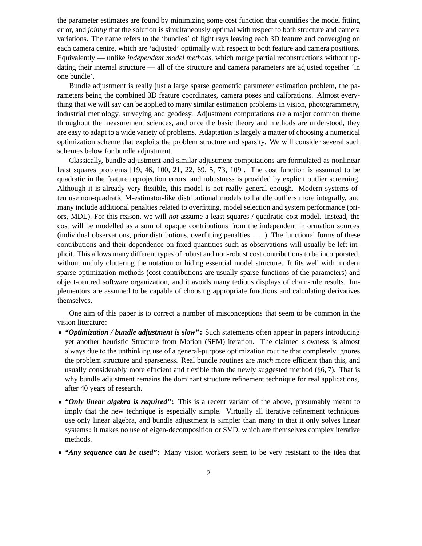the parameter estimates are found by minimizing some cost function that quantifies the model fitting error, and *jointly* that the solution is simultaneously optimal with respect to both structure and camera variations. The name refers to the 'bundles' of light rays leaving each 3D feature and converging on each camera centre, which are 'adjusted' optimally with respect to both feature and camera positions. Equivalently — unlike *independent model methods*, which merge partial reconstructions without updating their internal structure — all of the structure and camera parameters are adjusted together 'in one bundle'.

Bundle adjustment is really just a large sparse geometric parameter estimation problem, the parameters being the combined 3D feature coordinates, camera poses and calibrations. Almost everything that we will say can be applied to many similar estimation problems in vision, photogrammetry, industrial metrology, surveying and geodesy. Adjustment computations are a major common theme throughout the measurement sciences, and once the basic theory and methods are understood, they are easy to adapt to a wide variety of problems. Adaptation is largely a matter of choosing a numerical optimization scheme that exploits the problem structure and sparsity. We will consider several such schemes below for bundle adjustment.

Classically, bundle adjustment and similar adjustment computations are formulated as nonlinear least squares problems [19, 46, 100, 21, 22, 69, 5, 73, 109]. The cost function is assumed to be quadratic in the feature reprojection errors, and robustness is provided by explicit outlier screening. Although it is already very flexible, this model is not really general enough. Modern systems often use non-quadratic M-estimator-like distributional models to handle outliers more integrally, and many include additional penalties related to overfitting, model selection and system performance (priors, MDL). For this reason, we will *not* assume a least squares / quadratic cost model. Instead, the cost will be modelled as a sum of opaque contributions from the independent information sources (individual observations, prior distributions, overfitting penalties ... ). The functional forms of these contributions and their dependence on fixed quantities such as observations will usually be left implicit. This allows many different types of robust and non-robust cost contributions to be incorporated, without unduly cluttering the notation or hiding essential model structure. It fits well with modern sparse optimization methods (cost contributions are usually sparse functions of the parameters) and object-centred software organization, and it avoids many tedious displays of chain-rule results. Implementors are assumed to be capable of choosing appropriate functions and calculating derivatives themselves.

One aim of this paper is to correct a number of misconceptions that seem to be common in the vision literature:

- *"Optimization / bundle adjustment is slow"***:** Such statements often appear in papers introducing yet another heuristic Structure from Motion (SFM) iteration. The claimed slowness is almost always due to the unthinking use of a general-purpose optimization routine that completely ignores the problem structure and sparseness. Real bundle routines are *much* more efficient than this, and usually considerably more efficient and flexible than the newly suggested method  $(\S6, 7)$ . That is why bundle adjustment remains the dominant structure refinement technique for real applications, after 40 years of research.
- *"Only linear algebra is required"***:** This is a recent variant of the above, presumably meant to imply that the new technique is especially simple. Virtually all iterative refinement techniques use only linear algebra, and bundle adjustment is simpler than many in that it only solves linear systems: it makes no use of eigen-decomposition or SVD, which are themselves complex iterative methods.
- *"Any sequence can be used"***:** Many vision workers seem to be very resistant to the idea that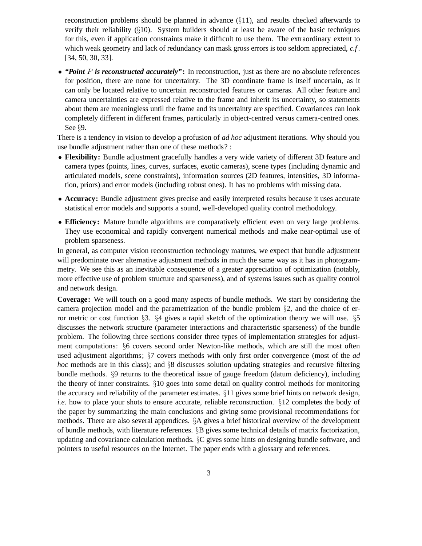reconstruction problems should be planned in advance  $(\S11)$ , and results checked afterwards to verify their reliability (§10). System builders should at least be aware of the basic techniques for this, even if application constraints make it difficult to use them. The extraordinary extent to which weak geometry and lack of redundancy can mask gross errors is too seldom appreciated, *c.f* . [34, 50, 30, 33].

• *"Point* P *is reconstructed accurately"***:** In reconstruction, just as there are no absolute references for position, there are none for uncertainty. The 3D coordinate frame is itself uncertain, as it can only be located relative to uncertain reconstructed features or cameras. All other feature and camera uncertainties are expressed relative to the frame and inherit its uncertainty, so statements about them are meaningless until the frame and its uncertainty are specified. Covariances can look completely different in different frames, particularly in object-centred versus camera-centred ones. See §9.

There is a tendency in vision to develop a profusion of *ad hoc* adjustment iterations. Why should you use bundle adjustment rather than one of these methods? :

- **Flexibility:** Bundle adjustment gracefully handles a very wide variety of different 3D feature and camera types (points, lines, curves, surfaces, exotic cameras), scene types (including dynamic and articulated models, scene constraints), information sources (2D features, intensities, 3D information, priors) and error models (including robust ones). It has no problems with missing data.
- **Accuracy:** Bundle adjustment gives precise and easily interpreted results because it uses accurate statistical error models and supports a sound, well-developed quality control methodology.
- **Efficiency:** Mature bundle algorithms are comparatively efficient even on very large problems. They use economical and rapidly convergent numerical methods and make near-optimal use of problem sparseness.

In general, as computer vision reconstruction technology matures, we expect that bundle adjustment will predominate over alternative adjustment methods in much the same way as it has in photogrammetry. We see this as an inevitable consequence of a greater appreciation of optimization (notably, more effective use of problem structure and sparseness), and of systems issues such as quality control and network design.

**Coverage:** We will touch on a good many aspects of bundle methods. We start by considering the camera projection model and the parametrization of the bundle problem §2, and the choice of error metric or cost function §3. §4 gives a rapid sketch of the optimization theory we will use. §5 discusses the network structure (parameter interactions and characteristic sparseness) of the bundle problem. The following three sections consider three types of implementation strategies for adjustment computations: §6 covers second order Newton-like methods, which are still the most often used adjustment algorithms; §7 covers methods with only first order convergence (most of the *ad hoc* methods are in this class); and §8 discusses solution updating strategies and recursive filtering bundle methods. §9 returns to the theoretical issue of gauge freedom (datum deficiency), including the theory of inner constraints. §10 goes into some detail on quality control methods for monitoring the accuracy and reliability of the parameter estimates.  $\S11$  gives some brief hints on network design, *i.e.* how to place your shots to ensure accurate, reliable reconstruction. §12 completes the body of the paper by summarizing the main conclusions and giving some provisional recommendations for methods. There are also several appendices. §A gives a brief historical overview of the development of bundle methods, with literature references. §B gives some technical details of matrix factorization, updating and covariance calculation methods. §C gives some hints on designing bundle software, and pointers to useful resources on the Internet. The paper ends with a glossary and references.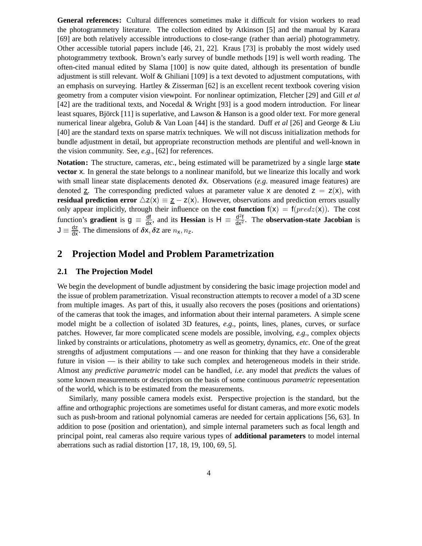**General references:** Cultural differences sometimes make it difficult for vision workers to read the photogrammetry literature. The collection edited by Atkinson [5] and the manual by Karara [69] are both relatively accessible introductions to close-range (rather than aerial) photogrammetry. Other accessible tutorial papers include [46, 21, 22]. Kraus [73] is probably the most widely used photogrammetry textbook. Brown's early survey of bundle methods [19] is well worth reading. The often-cited manual edited by Slama [100] is now quite dated, although its presentation of bundle adjustment is still relevant. Wolf & Ghiliani [109] is a text devoted to adjustment computations, with an emphasis on surveying. Hartley & Zisserman [62] is an excellent recent textbook covering vision geometry from a computer vision viewpoint. For nonlinear optimization, Fletcher [29] and Gill *et al* [42] are the traditional texts, and Nocedal & Wright [93] is a good modern introduction. For linear least squares, Björck [11] is superlative, and Lawson & Hanson is a good older text. For more general numerical linear algebra, Golub & Van Loan [44] is the standard. Duff *et al* [26] and George & Liu [40] are the standard texts on sparse matrix techniques. We will not discuss initialization methods for bundle adjustment in detail, but appropriate reconstruction methods are plentiful and well-known in the vision community. See, *e.g*., [62] for references.

**Notation:** The structure, cameras, *etc*., being estimated will be parametrized by a single large **state vector** x. In general the state belongs to a nonlinear manifold, but we linearize this locally and work with small linear state displacements denoted *δ*x. Observations (*e.g*. measured image features) are denoted z. The corresponding predicted values at parameter value x are denoted  $z = z(x)$ , with **residual prediction error**  $\Delta z(x) \equiv z - z(x)$ . However, observations and prediction errors usually only appear implicitly, through their influence on the **cost function**  $f(x) = f(predz(x))$ . The cost function's **gradient** is  $g \equiv \frac{df}{dx}$ , and its **Hessian** is  $H \equiv \frac{d^2f}{dx^2}$ . The **observation-state Jacobian** is  $J \equiv \frac{dz}{dx}$ . The dimensions of  $\delta x$ ,  $\delta z$  are  $n_x$ ,  $n_z$ .

## **2 Projection Model and Problem Parametrization**

#### **2.1 The Projection Model**

We begin the development of bundle adjustment by considering the basic image projection model and the issue of problem parametrization. Visual reconstruction attempts to recover a model of a 3D scene from multiple images. As part of this, it usually also recovers the poses (positions and orientations) of the cameras that took the images, and information about their internal parameters. A simple scene model might be a collection of isolated 3D features, *e.g*., points, lines, planes, curves, or surface patches. However, far more complicated scene models are possible, involving, *e.g*., complex objects linked by constraints or articulations, photometry as well as geometry, dynamics, *etc*. One of the great strengths of adjustment computations — and one reason for thinking that they have a considerable future in vision — is their ability to take such complex and heterogeneous models in their stride. Almost any *predictive parametric* model can be handled, *i.e*. any model that *predicts* the values of some known measurements or descriptors on the basis of some continuous *parametric* representation of the world, which is to be estimated from the measurements.

Similarly, many possible camera models exist. Perspective projection is the standard, but the affine and orthographic projections are sometimes useful for distant cameras, and more exotic models such as push-broom and rational polynomial cameras are needed for certain applications [56, 63]. In addition to pose (position and orientation), and simple internal parameters such as focal length and principal point, real cameras also require various types of **additional parameters** to model internal aberrations such as radial distortion [17, 18, 19, 100, 69, 5].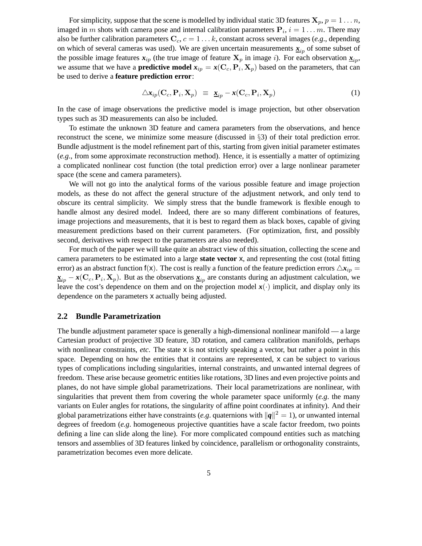For simplicity, suppose that the scene is modelled by individual static 3D features  $X_p$ ,  $p = 1 \dots n$ , imaged in m shots with camera pose and internal calibration parameters  $P_i$ ,  $i = 1...m$ . There may also be further calibration parameters  $C_c$ ,  $c = 1...k$ , constant across several images (*e.g.*, depending on which of several cameras was used). We are given uncertain measurements  $x_{in}$  of some subset of the possible image features  $x_{ip}$  (the true image of feature  $X_p$  in image i). For each observation  $\underline{x}_{ip}$ , we assume that we have a **predictive model**  $x_{ip} = x(C_c, P_i, X_p)$  based on the parameters, that can be used to derive a **feature prediction error**:

$$
\Delta \mathbf{x}_{ip}(\mathbf{C}_c, \mathbf{P}_i, \mathbf{X}_p) \equiv \mathbf{\underline{x}}_{ip} - \mathbf{x}(\mathbf{C}_c, \mathbf{P}_i, \mathbf{X}_p)
$$
(1)

In the case of image observations the predictive model is image projection, but other observation types such as 3D measurements can also be included.

To estimate the unknown 3D feature and camera parameters from the observations, and hence reconstruct the scene, we minimize some measure (discussed in §3) of their total prediction error. Bundle adjustment is the model refinement part of this, starting from given initial parameter estimates (*e.g*., from some approximate reconstruction method). Hence, it is essentially a matter of optimizing a complicated nonlinear cost function (the total prediction error) over a large nonlinear parameter space (the scene and camera parameters).

We will not go into the analytical forms of the various possible feature and image projection models, as these do not affect the general structure of the adjustment network, and only tend to obscure its central simplicity. We simply stress that the bundle framework is flexible enough to handle almost any desired model. Indeed, there are so many different combinations of features, image projections and measurements, that it is best to regard them as black boxes, capable of giving measurement predictions based on their current parameters. (For optimization, first, and possibly second, derivatives with respect to the parameters are also needed).

For much of the paper we will take quite an abstract view of this situation, collecting the scene and camera parameters to be estimated into a large **state vector** x, and representing the cost (total fitting error) as an abstract function  $f(x)$ . The cost is really a function of the feature prediction errors  $\triangle x_{ip}$  $\mathbf{x}_{ip} - \mathbf{x}(\mathbf{C}_c, \mathbf{P}_i, \mathbf{X}_p)$ . But as the observations  $\mathbf{x}_{ip}$  are constants during an adjustment calculation, we leave the cost's dependence on them and on the projection model  $x(\cdot)$  implicit, and display only its dependence on the parameters x actually being adjusted.

#### **2.2 Bundle Parametrization**

The bundle adjustment parameter space is generally a high-dimensional nonlinear manifold — a large Cartesian product of projective 3D feature, 3D rotation, and camera calibration manifolds, perhaps with nonlinear constraints, *etc*. The state x is not strictly speaking a vector, but rather a point in this space. Depending on how the entities that it contains are represented, x can be subject to various types of complications including singularities, internal constraints, and unwanted internal degrees of freedom. These arise because geometric entities like rotations, 3D lines and even projective points and planes, do not have simple global parametrizations. Their local parametrizations are nonlinear, with singularities that prevent them from covering the whole parameter space uniformly (*e.g*. the many variants on Euler angles for rotations, the singularity of affine point coordinates at infinity). And their global parametrizations either have constraints (*e.g.* quaternions with  $\|\boldsymbol{q}\|^2 = 1$ ), or unwanted internal degrees of freedom (*e.g*. homogeneous projective quantities have a scale factor freedom, two points defining a line can slide along the line). For more complicated compound entities such as matching tensors and assemblies of 3D features linked by coincidence, parallelism or orthogonality constraints, parametrization becomes even more delicate.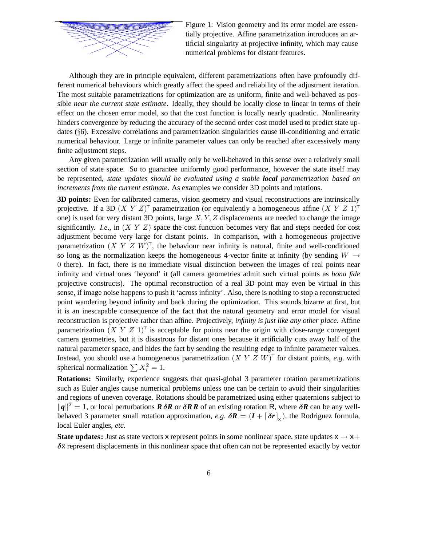

Figure 1: Vision geometry and its error model are essentially projective. Affine parametrization introduces an artificial singularity at projective infinity, which may cause numerical problems for distant features.

Although they are in principle equivalent, different parametrizations often have profoundly different numerical behaviours which greatly affect the speed and reliability of the adjustment iteration. The most suitable parametrizations for optimization are as uniform, finite and well-behaved as possible *near the current state estimate*. Ideally, they should be locally close to linear in terms of their effect on the chosen error model, so that the cost function is locally nearly quadratic. Nonlinearity hinders convergence by reducing the accuracy of the second order cost model used to predict state updates (§6). Excessive correlations and parametrization singularities cause ill-conditioning and erratic numerical behaviour. Large or infinite parameter values can only be reached after excessively many finite adjustment steps.

Any given parametrization will usually only be well-behaved in this sense over a relatively small section of state space. So to guarantee uniformly good performance, however the state itself may be represented, *state updates should be evaluated using a stable local parametrization based on increments from the current estimate*. As examples we consider 3D points and rotations.

**3D points:** Even for calibrated cameras, vision geometry and visual reconstructions are intrinsically projective. If a 3D  $(X \ Y \ Z)^{\top}$  parametrization (or equivalently a homogeneous affine  $(X \ Y \ Z \ 1)^{\top}$ one) is used for very distant 3D points, large  $X, Y, Z$  displacements are needed to change the image significantly. *I.e.*, in  $(X \ Y \ Z)$  space the cost function becomes very flat and steps needed for cost adjustment become very large for distant points. In comparison, with a homogeneous projective parametrization  $(X \ Y \ Z \ W)^{\top}$ , the behaviour near infinity is natural, finite and well-conditioned<br>so long as the pormalization keeps the homogeneous A vector finite at infinity (by sending  $W$ ) so long as the normalization keeps the homogeneous 4-vector finite at infinity (by sending  $W \rightarrow$ 0 there). In fact, there is no immediate visual distinction between the images of real points near infinity and virtual ones 'beyond' it (all camera geometries admit such virtual points as *bona fide* projective constructs). The optimal reconstruction of a real 3D point may even be virtual in this sense, if image noise happens to push it 'across infinity'. Also, there is nothing to stop a reconstructed point wandering beyond infinity and back during the optimization. This sounds bizarre at first, but it is an inescapable consequence of the fact that the natural geometry and error model for visual reconstruction is projective rather than affine. Projectively, *infinity is just like any other place*. Affine parametrization  $(X \ Y \ Z \ 1)^T$  is acceptable for points near the origin with close-range convergent camera geometries, but it is disastrous for distant ones because it artificially cuts away half of the natural parameter space, and hides the fact by sending the resulting edge to infinite parameter values. Instead, you should use a homogeneous parametrization  $(X \ Y \ Z \ W)^{\top}$  for distant points, *e.g.* with spherical pormalization  $\sum Y^2 = 1$ spherical normalization  $\sum X_i^2 = 1$ .

**Rotations:** Similarly, experience suggests that quasi-global 3 parameter rotation parametrizations such as Euler angles cause numerical problems unless one can be certain to avoid their singularities and regions of uneven coverage. Rotations should be parametrized using either quaternions subject to  $\|\mathbf{q}\|^2 = 1$ , or local perturbations *R*  $\delta \mathbf{R}$  or  $\delta \mathbf{R} \mathbf{R}$  of an existing rotation **R**, where  $\delta \mathbf{R}$  can be any wellbehaved 3 parameter small rotation approximation, *e.g.*  $\delta \mathbf{R} = (\mathbf{I} + [\delta \mathbf{r}]_{\times})$ , the Rodriguez formula, local Fuler angles *etc* local Euler angles, *etc*.

**State updates:** Just as state vectors x represent points in some nonlinear space, state updates  $x \rightarrow x+$ *δ*x represent displacements in this nonlinear space that often can not be represented exactly by vector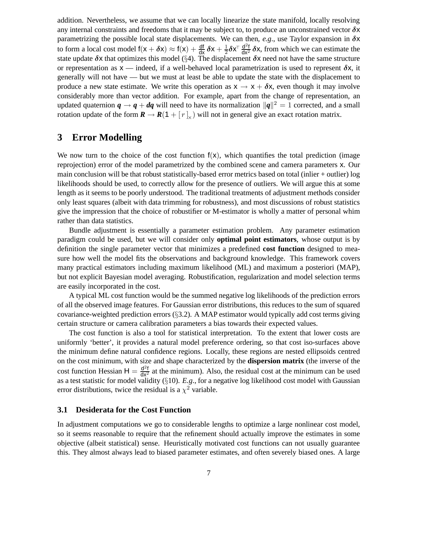addition. Nevertheless, we assume that we can locally linearize the state manifold, locally resolving any internal constraints and freedoms that it may be subject to, to produce an unconstrained vector *δ*x parametrizing the possible local state displacements. We can then, *e.g*., use Taylor expansion in *δ*x to form a local cost model  $f(x + \delta x) \approx f(x) + \frac{df}{dx} \delta x + \frac{1}{2} \delta x^{\dagger} \frac{d^2f}{dx^2} \delta x$ , from which we can estimate the state update  $\delta x$  that optimizes this model (64). The displacement  $\delta x$  need not have the same structur state update  $\delta x$  that optimizes this model (§4). The displacement  $\delta x$  need not have the same structure or representation as  $x$  — indeed, if a well-behaved local parametrization is used to represent  $\delta x$ , it generally will not have — but we must at least be able to update the state with the displacement to produce a new state estimate. We write this operation as  $x \rightarrow x + \delta x$ , even though it may involve considerably more than vector addition. For example, apart from the change of representation, an updated quaternion  $q \rightarrow q + dq$  will need to have its normalization  $\|q\|^2 = 1$  corrected, and a small rotation update of the form  $R \to R(1 + [r]_{\times})$  will not in general give an exact rotation matrix.

## **3 Error Modelling**

We now turn to the choice of the cost function  $f(x)$ , which quantifies the total prediction (image reprojection) error of the model parametrized by the combined scene and camera parameters x. Our main conclusion will be that robust statistically-based error metrics based on total (inlier + outlier) log likelihoods should be used, to correctly allow for the presence of outliers. We will argue this at some length as it seems to be poorly understood. The traditional treatments of adjustment methods consider only least squares (albeit with data trimming for robustness), and most discussions of robust statistics give the impression that the choice of robustifier or M-estimator is wholly a matter of personal whim rather than data statistics.

Bundle adjustment is essentially a parameter estimation problem. Any parameter estimation paradigm could be used, but we will consider only **optimal point estimators**, whose output is by definition the single parameter vector that minimizes a predefined **cost function** designed to measure how well the model fits the observations and background knowledge. This framework covers many practical estimators including maximum likelihood (ML) and maximum a posteriori (MAP), but not explicit Bayesian model averaging. Robustification, regularization and model selection terms are easily incorporated in the cost.

A typical ML cost function would be the summed negative log likelihoods of the prediction errors of all the observed image features. For Gaussian error distributions, this reduces to the sum of squared covariance-weighted prediction errors (§3.2). A MAP estimator would typically add cost terms giving certain structure or camera calibration parameters a bias towards their expected values.

The cost function is also a tool for statistical interpretation. To the extent that lower costs are uniformly 'better', it provides a natural model preference ordering, so that cost iso-surfaces above the minimum define natural confidence regions. Locally, these regions are nested ellipsoids centred on the cost minimum, with size and shape characterized by the **dispersion matrix** (the inverse of the cost function Hessian  $H = \frac{d^2f}{dx^2}$  at the minimum). Also, the residual cost at the minimum can be used<br>as a test statistic for model validity (810). E.g., for a negative log likelihood cost model with Gaussian as a test statistic for model validity (§10). *E.g*., for a negative log likelihood cost model with Gaussian error distributions, twice the residual is a  $\chi^2$  variable.

#### **3.1 Desiderata for the Cost Function**

In adjustment computations we go to considerable lengths to optimize a large nonlinear cost model, so it seems reasonable to require that the refinement should actually improve the estimates in some objective (albeit statistical) sense. Heuristically motivated cost functions can not usually guarantee this. They almost always lead to biased parameter estimates, and often severely biased ones. A large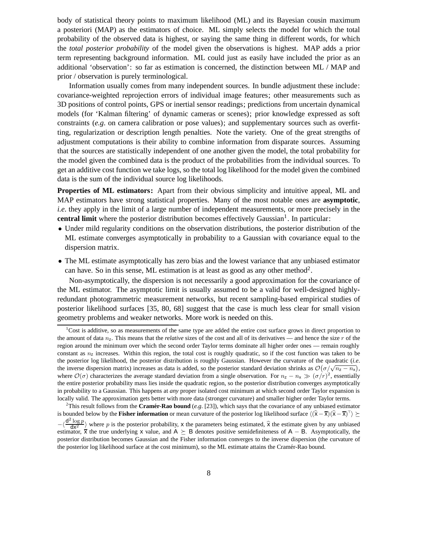body of statistical theory points to maximum likelihood (ML) and its Bayesian cousin maximum a posteriori (MAP) as the estimators of choice. ML simply selects the model for which the total probability of the observed data is highest, or saying the same thing in different words, for which the *total posterior probability* of the model given the observations is highest. MAP adds a prior term representing background information. ML could just as easily have included the prior as an additional 'observation': so far as estimation is concerned, the distinction between ML / MAP and prior / observation is purely terminological.

Information usually comes from many independent sources. In bundle adjustment these include: covariance-weighted reprojection errors of individual image features; other measurements such as 3D positions of control points, GPS or inertial sensor readings; predictions from uncertain dynamical models (for 'Kalman filtering' of dynamic cameras or scenes); prior knowledge expressed as soft constraints (*e.g*. on camera calibration or pose values); and supplementary sources such as overfitting, regularization or description length penalties. Note the variety. One of the great strengths of adjustment computations is their ability to combine information from disparate sources. Assuming that the sources are statistically independent of one another given the model, the total probability for the model given the combined data is the product of the probabilities from the individual sources. To get an additive cost function we take logs, so the total log likelihood for the model given the combined data is the sum of the individual source log likelihoods.

**Properties of ML estimators:** Apart from their obvious simplicity and intuitive appeal, ML and MAP estimators have strong statistical properties. Many of the most notable ones are **asymptotic**, *i.e.* they apply in the limit of a large number of independent measurements, or more precisely in the **central limit** where the posterior distribution becomes effectively Gaussian<sup>1</sup>. In particular:

- Under mild regularity conditions on the observation distributions, the posterior distribution of the ML estimate converges asymptotically in probability to a Gaussian with covariance equal to the dispersion matrix.
- The ML estimate asymptotically has zero bias and the lowest variance that any unbiased estimator can have. So in this sense, ML estimation is at least as good as any other method<sup>2</sup>.

Non-asymptotically, the dispersion is not necessarily a good approximation for the covariance of the ML estimator. The asymptotic limit is usually assumed to be a valid for well-designed highlyredundant photogrammetric measurement networks, but recent sampling-based empirical studies of posterior likelihood surfaces [35, 80, 68] suggest that the case is much less clear for small vision geometry problems and weaker networks. More work is needed on this.

<sup>&</sup>lt;sup>1</sup>Cost is additive, so as measurements of the same type are added the entire cost surface grows in direct proportion to the amount of data nz. This means that the *relative* sizes of the cost and all of its derivatives — and hence the size r of the region around the minimum over which the second order Taylor terms dominate all higher order ones — remain roughly constant as  $n<sub>z</sub>$  increases. Within this region, the total cost is roughly quadratic, so if the cost function was taken to be the posterior log likelihood, the posterior distribution is roughly Gaussian. However the curvature of the quadratic (*i.e*. the inverse dispersion matrix) increases as data is added, so the posterior standard deviation shrinks as  $\mathcal{O}(\sigma/\sqrt{n_z-n_x})$ , where  $\mathcal{O}(\sigma)$  characterizes the average standard deviation from a single observation. For  $n_z - n_x \gg (\sigma/r)^2$ , essentially the entire posterior probability mass lies inside the quadratic region, so the posterior distribution converges asymptotically in probability to a Gaussian. This happens at *any* proper isolated cost minimum at which second order Taylor expansion is locally valid. The approximation gets better with more data (stronger curvature) and smaller higher order Taylor terms.

<sup>2</sup> This result follows from the **Cramer-Rao bound ´** (*e.g*. [23]), which says that the covariance of any unbiased estimator is bounded below by the **Fisher information** or mean curvature of the posterior log likelihood surface  $\langle (\hat{\mathbf{X}} - \overline{\mathbf{X}})(\hat{\mathbf{X}} - \overline{\mathbf{X}})^T \rangle \succeq$  $-\langle \frac{d^2 \log p}{dx^2} \rangle$  where p is the posterior probability, x the parameters being estimated,  $\hat{x}$  the estimate given by any unbiased estimator,  $\bar{x}$  the true underlying x value, and A  $\succeq$  B denotes positive semidefiniteness of A − B. Asymptotically, the posterior distribution becomes Gaussian and the Fisher information converges to the inverse dispersion (the curvature of the posterior log likelihood surface at the cost minimum), so the ML estimate attains the Cramér-Rao bound.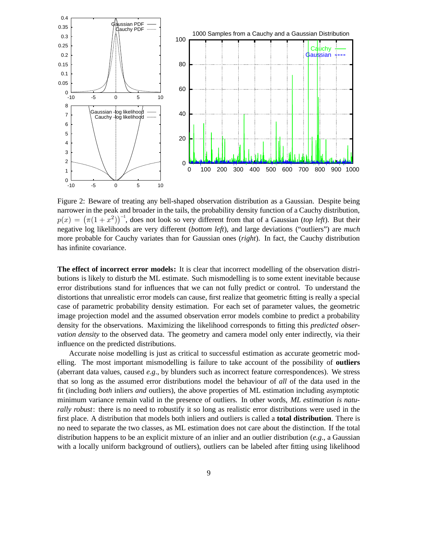

Figure 2: Beware of treating any bell-shaped observation distribution as a Gaussian. Despite being narrower in the peak and broader in the tails, the probability density function of a Cauchy distribution,  $p(x) = (\pi(1+x^2))^{-1}$ , does not look so very different from that of a Gaussian (*top left*). But their negative log likelihoods are very different (*bottom left*), and large deviations ("outliers") are *much* more probable for Cauchy variates than for Gaussian ones (*right*). In fact, the Cauchy distribution has infinite covariance.

**The effect of incorrect error models:** It is clear that incorrect modelling of the observation distributions is likely to disturb the ML estimate. Such mismodelling is to some extent inevitable because error distributions stand for influences that we can not fully predict or control. To understand the distortions that unrealistic error models can cause, first realize that geometric fitting is really a special case of parametric probability density estimation. For each set of parameter values, the geometric image projection model and the assumed observation error models combine to predict a probability density for the observations. Maximizing the likelihood corresponds to fitting this *predicted observation density* to the observed data. The geometry and camera model only enter indirectly, via their influence on the predicted distributions.

Accurate noise modelling is just as critical to successful estimation as accurate geometric modelling. The most important mismodelling is failure to take account of the possibility of **outliers** (aberrant data values, caused *e.g*., by blunders such as incorrect feature correspondences). We stress that so long as the assumed error distributions model the behaviour of *all* of the data used in the fit (including *both* inliers *and* outliers), the above properties of ML estimation including asymptotic minimum variance remain valid in the presence of outliers. In other words, *ML estimation is naturally robust*: there is no need to robustify it so long as realistic error distributions were used in the first place. A distribution that models both inliers and outliers is called a **total distribution**. There is no need to separate the two classes, as ML estimation does not care about the distinction. If the total distribution happens to be an explicit mixture of an inlier and an outlier distribution (*e.g*., a Gaussian with a locally uniform background of outliers), outliers can be labeled after fitting using likelihood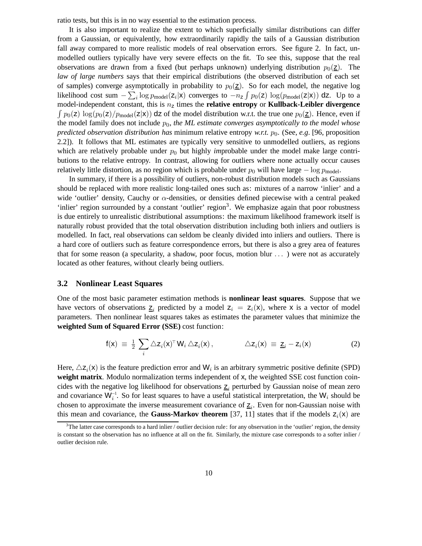ratio tests, but this is in no way essential to the estimation process.

It is also important to realize the extent to which superficially similar distributions can differ from a Gaussian, or equivalently, how extraordinarily rapidly the tails of a Gaussian distribution fall away compared to more realistic models of real observation errors. See figure 2. In fact, unmodelled outliers typically have very severe effects on the fit. To see this, suppose that the real observations are drawn from a fixed (but perhaps unknown) underlying distribution  $p_0(z)$ . The *law of large numbers* says that their empirical distributions (the observed distribution of each set of samples) converge asymptotically in probability to  $p_0(\underline{z})$ . So for each model, the negative log likelihood cost sum  $-\sum_i \log p_{\text{model}}(z_i|x)$  converges to  $-n_z \int p_0(z) \log(p_{\text{model}}(z|x))$  dz. Up to a model independent constant this is noting the relative entropy or Kullbock-Leibler divergence model-independent constant, this is  $n_z$  times the **relative entropy** or **Kullback-Leibler divergence**  $\int p_0(\mathbf{z}) \log(p_0(\mathbf{z})/p_{\text{model}}(\mathbf{z}|\mathbf{x}))$  dz of the model distribution w.r.t. the true one  $p_0(\mathbf{z})$ . Hence, even if the model family does not include  $p_0$ , *the ML estimate converges asymptotically to the model whose predicted observation distribution has* minimum relative entropy *w.r.t.*  $p_0$ . (See, *e.g.* [96, proposition 2.2]). It follows that ML estimates are typically very sensitive to unmodelled outliers, as regions which are relatively probable under  $p_0$  but highly *im*probable under the model make large contributions to the relative entropy. In contrast, allowing for outliers where none actually occur causes relatively little distortion, as no region which is probable under  $p_0$  will have large  $-\log p_{\text{model}}$ .

In summary, if there is a possibility of outliers, non-robust distribution models such as Gaussians should be replaced with more realistic long-tailed ones such as: mixtures of a narrow 'inlier' and a wide 'outlier' density, Cauchy or  $\alpha$ -densities, or densities defined piecewise with a central peaked 'inlier' region surrounded by a constant 'outlier' region<sup>3</sup>. We emphasize again that poor robustness is due entirely to unrealistic distributional assumptions: the maximum likelihood framework itself is naturally robust provided that the total observation distribution including both inliers and outliers is modelled. In fact, real observations can seldom be cleanly divided into inliers and outliers. There is a hard core of outliers such as feature correspondence errors, but there is also a grey area of features that for some reason (a specularity, a shadow, poor focus, motion blur ... ) were not as accurately located as other features, without clearly being outliers.

#### **3.2 Nonlinear Least Squares**

One of the most basic parameter estimation methods is **nonlinear least squares**. Suppose that we have vectors of observations  $\underline{z}_i$  predicted by a model  $z_i = z_i(x)$ , where x is a vector of model parameters. Then nonlinear least squares takes as estimates the parameter values that minimize the **weighted Sum of Squared Error (SSE)** cost function:

$$
f(\mathbf{x}) = \frac{1}{2} \sum_{i} \triangle z_i(\mathbf{x})^{\top} W_i \triangle z_i(\mathbf{x}), \qquad \triangle z_i(\mathbf{x}) = \underline{z}_i - z_i(\mathbf{x}) \qquad (2)
$$

Here,  $\Delta z_i(\mathbf{x})$  is the feature prediction error and  $W_i$  is an arbitrary symmetric positive definite (SPD) **weight matrix**. Modulo normalization terms independent of x, the weighted SSE cost function coincides with the negative log likelihood for observations  $\mathbf{z}_i$  perturbed by Gaussian noise of mean zero and covariance  $W_i^{-1}$ . So for least squares to have a useful statistical interpretation, the  $W_i$  should be chosen to approximate the inverse measurement covariance of  $\underline{z}_i$ . Even for non-Gaussian noise with this mean and covariance, the **Gauss-Markov theorem** [37, 11] states that if the models  $z_i(x)$  are

 $3$ The latter case corresponds to a hard inlier / outlier decision rule: for any observation in the 'outlier' region, the density is constant so the observation has no influence at all on the fit. Similarly, the mixture case corresponds to a softer inlier / outlier decision rule.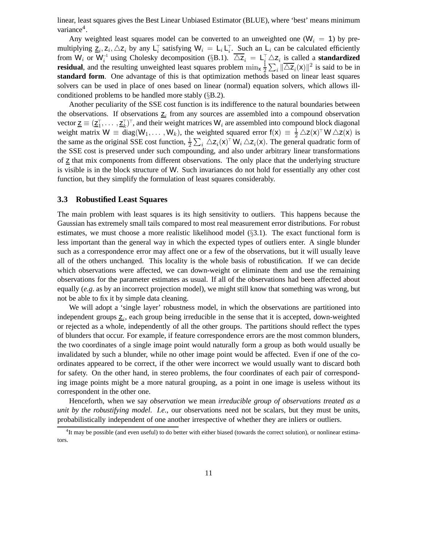linear, least squares gives the Best Linear Unbiased Estimator (BLUE), where 'best' means minimum variance<sup>4</sup>.

Any weighted least squares model can be converted to an unweighted one ( $W_i = 1$ ) by premultiplying  $\underline{z}_i, \underline{z}_i, \triangle z_i$  by any  $L_i^{\top}$  satisfying  $W_i = L_i L_i^{\top}$ . Such an  $L_i$  can be calculated efficiently<br>from  $W_i$  or  $W^{-1}$  using Cholecky decomposition (SB 1)  $\overline{\triangle z} = L^{\top} \triangle z$  is called a standardized from  $W_i$  or  $W_i^{-1}$  using Cholesky decomposition (§B.1).  $\overline{\Delta z}_i = L_i^{\top} \Delta z_i$  is called a **standardized**<br>residual, and the resulting unweighted least squares problem min.  $\frac{1}{2} \sum_{\Pi} \overline{\Delta z}$  ( $\overline{\Delta z}$ ) is said to be **residual**, and the resulting unweighted least squares problem  $\min_{\mathbf{x}} \frac{1}{2} \sum_i ||\overline{\Delta z}_i(\mathbf{x})||^2$  is said to be in standard form. One advantage of this is that optimization methods based on linear least squares solvers can be used in place of ones based on linear (normal) equation solvers, which allows illconditioned problems to be handled more stably (§B.2).

Another peculiarity of the SSE cost function is its indifference to the natural boundaries between the observations. If observations  $\mathbf{z}_i$  from any sources are assembled into a compound observation vector  $\underline{z} \equiv (\underline{z}_1^{\top}, \dots, \underline{z}_k^{\top})^{\top}$ , and their weight matrices  $W_i$  are assembled into compound block diagonal<br>weight matrix  $W = \text{diag}(W_i, \dots, W_k)$ , the weighted squared error  $f(x) = \frac{1}{2} \wedge \overline{z(x)}^{\top} W \wedge \overline{z(x)}$  i weight matrix  $W \equiv \text{diag}(W_1, \dots, W_k)$ , the weighted squared error  $f(x) \equiv \frac{1}{2} \triangle z(x)^T W \triangle z(x)$  is<br>the same as the original SSE cost function  $\frac{1}{2} \sum_{n=1}^{\infty} \triangle z(x)^T W \triangle z(x)$ . The general quadratic form of the same as the original SSE cost function,  $\frac{1}{2} \sum_i \Delta z_i(\mathbf{x})^\top \mathbf{W}_i \Delta z_i(\mathbf{x})$ . The general quadratic form of<br>the SSE cost is preserved under such compounding, and also under arbitrary linear transformations 2 the SSE cost is preserved under such compounding, and also under arbitrary linear transformations of z that mix components from different observations. The only place that the underlying structure is visible is in the block structure of W. Such invariances do not hold for essentially any other cost function, but they simplify the formulation of least squares considerably.

#### **3.3 Robustified Least Squares**

The main problem with least squares is its high sensitivity to outliers. This happens because the Gaussian has extremely small tails compared to most real measurement error distributions. For robust estimates, we must choose a more realistic likelihood model  $(\S3.1)$ . The exact functional form is less important than the general way in which the expected types of outliers enter. A single blunder such as a correspondence error may affect one or a few of the observations, but it will usually leave all of the others unchanged. This locality is the whole basis of robustification. If we can decide which observations were affected, we can down-weight or eliminate them and use the remaining observations for the parameter estimates as usual. If all of the observations had been affected about equally (*e.g*. as by an incorrect projection model), we might still know that something was wrong, but not be able to fix it by simple data cleaning.

We will adopt a 'single layer' robustness model, in which the observations are partitioned into independent groups  $\mathbf{z}_i$ , each group being irreducible in the sense that it is accepted, down-weighted or rejected as a whole, independently of all the other groups. The partitions should reflect the types of blunders that occur. For example, if feature correspondence errors are the most common blunders, the two coordinates of a single image point would naturally form a group as both would usually be invalidated by such a blunder, while no other image point would be affected. Even if one of the coordinates appeared to be correct, if the other were incorrect we would usually want to discard both for safety. On the other hand, in stereo problems, the four coordinates of each pair of corresponding image points might be a more natural grouping, as a point in one image is useless without its correspondent in the other one.

Henceforth, when we say *observation* we mean *irreducible group of observations treated as a unit by the robustifying model*. *I.e*., our observations need not be scalars, but they must be units, probabilistically independent of one another irrespective of whether they are inliers or outliers.

<sup>&</sup>lt;sup>4</sup>It may be possible (and even useful) to do better with either biased (towards the correct solution), or nonlinear estimators.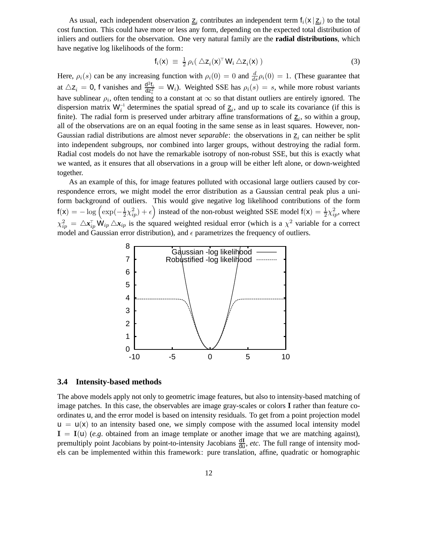As usual, each independent observation  $\underline{z}_i$  contributes an independent term  $f_i(x | \underline{z}_i)$  to the total cost function. This could have more or less any form, depending on the expected total distribution of inliers and outliers for the observation. One very natural family are the **radial distributions**, which have negative log likelihoods of the form:

$$
\mathbf{f}_i(\mathbf{x}) \equiv \frac{1}{2} \rho_i (\Delta z_i(\mathbf{x})^\top \mathbf{W}_i \Delta z_i(\mathbf{x})) \tag{3}
$$

Here,  $\rho_i(s)$  can be any increasing function with  $\rho_i(0) = 0$  and  $\frac{d}{ds}\rho_i(0) = 1$ . (These guarantee that at  $\Delta z_i = 0$ , f vanishes and  $\frac{d^2 f_i}{dz_i^2} = W_i$ ). Weighted SSE has  $\rho_i(s) = s$ , while more robust variants have sublinear  $\rho_i$ , often tending to a constant at  $\infty$  so that distant outliers are entirely ignored. The dispersion matrix  $W_i^{-1}$  determines the spatial spread of  $\underline{z}_i$ , and up to scale its covariance (if this is finite). The radial form is preserved under arbitrary affine transformations of  $\mathbf{z}_i$ , so within a group, all of the observations are on an equal footing in the same sense as in least squares. However, non-Gaussian radial distributions are almost never *separable*: the observations in  $z_i$  can neither be split into independent subgroups, nor combined into larger groups, without destroying the radial form. Radial cost models do not have the remarkable isotropy of non-robust SSE, but this is exactly what we wanted, as it ensures that all observations in a group will be either left alone, or down-weighted together.

As an example of this, for image features polluted with occasional large outliers caused by correspondence errors, we might model the error distribution as a Gaussian central peak plus a uniform background of outliers. This would give negative log likelihood contributions of the form  $f(x) = -\log \left( \exp(-\frac{1}{2}x_{ip}^2) + \epsilon \right)$  instead of the non-robust weighted SSE model  $f(x) = \frac{1}{2}x_{ip}^2$ , where  $\chi_{ip}^2 = \Delta x_{ip}^{\dagger} \hat{W}_{ip} \Delta x_{ip}$  is the squared weighted residual error (which is a  $\chi^2$  variable for a correct model and Gaussian error distribution), and *c* parametrizes the frequency of outliers model and Gaussian error distribution), and  $\epsilon$  parametrizes the frequency of outliers.



#### **3.4 Intensity-based methods**

The above models apply not only to geometric image features, but also to intensity-based matching of image patches. In this case, the observables are image gray-scales or colors **I** rather than feature coordinates u, and the error model is based on intensity residuals. To get from a point projection model  $u = u(x)$  to an intensity based one, we simply compose with the assumed local intensity model  $I = I(u)$  (*e.g.* obtained from an image template or another image that we are matching against), premultiply point Jacobians by point-to-intensity Jacobians  $\frac{dI}{du}$ , *etc*. The full range of intensity models can be implemented within this framework: pure translation, affine, quadratic or homographic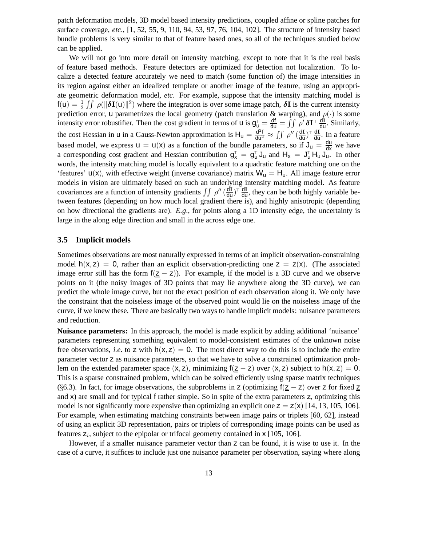patch deformation models, 3D model based intensity predictions, coupled affine or spline patches for surface coverage, *etc*., [1, 52, 55, 9, 110, 94, 53, 97, 76, 104, 102]. The structure of intensity based bundle problems is very similar to that of feature based ones, so all of the techniques studied below can be applied.

We will not go into more detail on intensity matching, except to note that it is the real basis of feature based methods. Feature detectors are optimized for detection not localization. To localize a detected feature accurately we need to match (some function of) the image intensities in its region against either an idealized template or another image of the feature, using an appropriate geometric deformation model, *etc*. For example, suppose that the intensity matching model is  $f(u) = \frac{1}{2} \iint \rho(||\delta I(u)||^2)$  where the integration is over some image patch,  $\delta I$  is the current intensity<br>prediction error. It parametrizes the local geometry (patch translation & warning), and  $\rho(x)$  is some prediction error, u parametrizes the local geometry (patch translation & warping), and  $\rho(\cdot)$  is some<br>intensity error robustifier. Then the cost gradient in terms of U is  $Q^T = \frac{df}{dr} = \int \int \rho' d\mathbf{x} \mathbf{I}^T \frac{d\mathbf{I}}{dr}$ . intensity error robustifier. Then the cost gradient in terms of u is  $g_{u}^{\perp} = \frac{df}{du} = \iint \rho' \delta I^{\perp} \frac{dI}{du}$ . Similarly, the cost Hessian in u in a Gauss-Newton approximation is  $H_u = \frac{d^2 f}{du^2} \approx \iint \rho'' \left(\frac{dI}{du}\right)^{-1} \frac{dI}{du}$ . In a feature based model, we express  $u = u(x)$  as a function of the bundle parameters, so if  $J_u = \frac{du}{dx}$  we have<br>a corresponding cost gradient and Hessian contribution  $g^T = g^T l$  and  $H = f^T H l$ . In other a corresponding cost gradient and Hessian contribution  $g_x^T = g_u^T J_u$  and  $H_x = J_u^T H_u J_u$ . In other words, the intensity matching model is locally equivalent to a quadratic feature matching one on the 'features'  $u(x)$ , with effective weight (inverse covariance) matrix  $W_u = H_u$ . All image feature error models in vision are ultimately based on such an underlying intensity matching model. As feature covariances are a function of intensity gradients  $\iint \rho'' \left(\frac{dI}{du}\right)^2$  $\int \frac{dI}{du}$ , they can be both highly variable between features (depending on how much local gradient there is), and highly anisotropic (depending on how directional the gradients are). *E.g*., for points along a 1D intensity edge, the uncertainty is large in the along edge direction and small in the across edge one.

#### **3.5 Implicit models**

Sometimes observations are most naturally expressed in terms of an implicit observation-constraining model  $h(x, z) = 0$ , rather than an explicit observation-predicting one  $z = z(x)$ . (The associated image error still has the form  $f(z - z)$ ). For example, if the model is a 3D curve and we observe points on it (the noisy images of 3D points that may lie anywhere along the 3D curve), we can predict the whole image curve, but not the exact position of each observation along it. We only have the constraint that the noiseless image of the observed point would lie on the noiseless image of the curve, if we knew these. There are basically two ways to handle implicit models: nuisance parameters and reduction.

**Nuisance parameters:** In this approach, the model is made explicit by adding additional 'nuisance' parameters representing something equivalent to model-consistent estimates of the unknown noise free observations, *i.e.* to z with  $h(x, z) = 0$ . The most direct way to do this is to include the entire parameter vector z as nuisance parameters, so that we have to solve a constrained optimization problem on the extended parameter space  $(x, z)$ , minimizing  $f(z - z)$  over  $(x, z)$  subject to  $h(x, z) = 0$ . This is a sparse constrained problem, which can be solved efficiently using sparse matrix techniques (§6.3). In fact, for image observations, the subproblems in z (optimizing  $f(z - z)$  over z for fixed z and x) are small and for typical f rather simple. So in spite of the extra parameters z, optimizing this model is not significantly more expensive than optimizing an explicit one  $z = z(x)$  [14, 13, 105, 106]. For example, when estimating matching constraints between image pairs or triplets [60, 62], instead of using an explicit 3D representation, pairs or triplets of corresponding image points can be used as features  $z_i$ , subject to the epipolar or trifocal geometry contained in  $x$  [105, 106].

However, if a smaller nuisance parameter vector than z can be found, it is wise to use it. In the case of a curve, it suffices to include just one nuisance parameter per observation, saying where along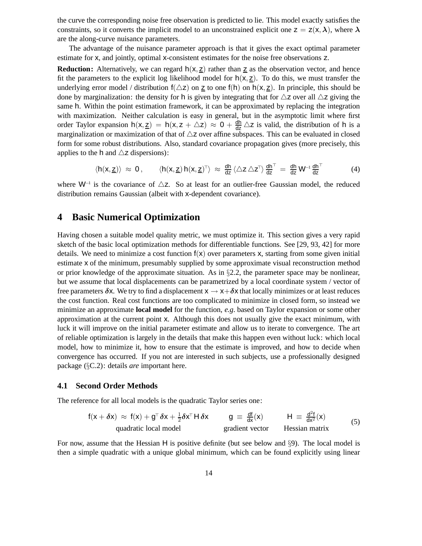the curve the corresponding noise free observation is predicted to lie. This model exactly satisfies the constraints, so it converts the implicit model to an unconstrained explicit one  $z = z(x, \lambda)$ , where  $\lambda$ are the along-curve nuisance parameters.

The advantage of the nuisance parameter approach is that it gives the exact optimal parameter estimate for x, and jointly, optimal x-consistent estimates for the noise free observations z.

**Reduction:** Alternatively, we can regard  $h(x, z)$  rather than z as the observation vector, and hence fit the parameters to the explicit log likelihood model for  $h(x, z)$ . To do this, we must transfer the underlying error model / distribution  $f(\Delta z)$  on z to one  $f(h)$  on  $h(x, z)$ . In principle, this should be done by marginalization: the density for h is given by integrating that for  $\Delta z$  over all  $\Delta z$  giving the same h. Within the point estimation framework, it can be approximated by replacing the integration with maximization. Neither calculation is easy in general, but in the asymptotic limit where first order Taylor expansion  $h(x, z) = h(x, z + \triangle z) \approx 0 + \frac{dh}{dz} \triangle z$  is valid, the distribution of h is a marginalization or maximization of that of  $\triangle z$  over affine subspaces. This can be evaluated in closed marginalization or maximization of that of  $\Delta z$  over affine subspaces. This can be evaluated in closed form for some robust distributions. Also, standard covariance propagation gives (more precisely, this applies to the h and  $\triangle z$  dispersions):

$$
\langle h(x, \underline{z}) \rangle \; \approx \; 0 \,, \qquad \langle h(x, \underline{z}) \, h(x, \underline{z})^T \rangle \; \approx \; \frac{dh}{dz} \, \langle \triangle z \, \triangle z^T \rangle \, \frac{dh}{dz}^T \; = \; \frac{dh}{dz} \, W^{-1} \, \frac{dh}{dz}^T \tag{4}
$$

where W<sup>-1</sup> is the covariance of  $\Delta$ z. So at least for an outlier-free Gaussian model, the reduced distribution remains Gaussian (albeit with x-dependent covariance).

## **4 Basic Numerical Optimization**

Having chosen a suitable model quality metric, we must optimize it. This section gives a very rapid sketch of the basic local optimization methods for differentiable functions. See [29, 93, 42] for more details. We need to minimize a cost function  $f(x)$  over parameters x, starting from some given initial estimate x of the minimum, presumably supplied by some approximate visual reconstruction method or prior knowledge of the approximate situation. As in §2.2, the parameter space may be nonlinear, but we assume that local displacements can be parametrized by a local coordinate system / vector of free parameters  $\delta x$ . We try to find a displacement  $x \to x + \delta x$  that locally minimizes or at least reduces the cost function. Real cost functions are too complicated to minimize in closed form, so instead we minimize an approximate **local model** for the function, *e.g*. based on Taylor expansion or some other approximation at the current point x. Although this does not usually give the exact minimum, with luck it will improve on the initial parameter estimate and allow us to iterate to convergence. The art of reliable optimization is largely in the details that make this happen even without luck: which local model, how to minimize it, how to ensure that the estimate is improved, and how to decide when convergence has occurred. If you not are interested in such subjects, use a professionally designed package (§C.2): details *are* important here.

## **4.1 Second Order Methods**

The reference for all local models is the quadratic Taylor series one:

$$
f(x + \delta x) \approx f(x) + g^T \delta x + \frac{1}{2} \delta x^T H \delta x
$$
  $g \equiv \frac{df}{dx}(x)$   $H \equiv \frac{d^2 f}{dx^2}(x)$    
quadratic local model gradient vector Hessian matrix (5)

For now, assume that the Hessian H is positive definite (but see below and §9). The local model is then a simple quadratic with a unique global minimum, which can be found explicitly using linear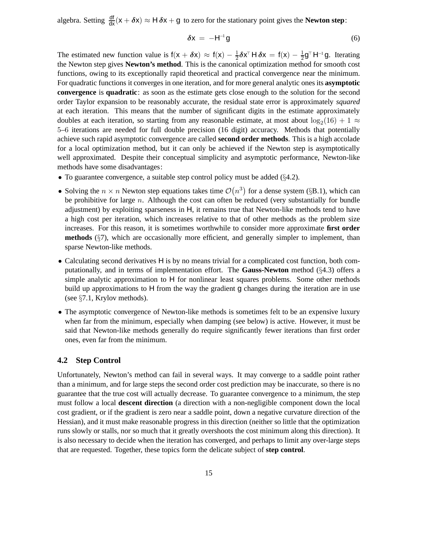algebra. Setting  $\frac{df}{dx}(x + \delta x) \approx H \delta x + g$  to zero for the stationary point gives the **Newton step**:

$$
\delta x = -H^{-1}g \tag{6}
$$

The estimated new function value is  $f(x + \delta x) \approx f(x) - \frac{1}{2}\delta x^{T}H \delta x = f(x) - \frac{1}{2}g^{T}H^{-1}g$ . Iterating the Newton step gives **Newton's method**. This is the canonical optimization method for smooth cost the Newton step gives **Newton's method**. This is the canonical optimization method for smooth cost functions, owing to its exceptionally rapid theoretical and practical convergence near the minimum. For quadratic functions it converges in one iteration, and for more general analytic ones its **asymptotic convergence** is **quadratic**: as soon as the estimate gets close enough to the solution for the second order Taylor expansion to be reasonably accurate, the residual state error is approximately *squared* at each iteration. This means that the number of significant digits in the estimate approximately doubles at each iteration, so starting from any reasonable estimate, at most about  $\log_2(16) + 1 \approx$ 5–6 iterations are needed for full double precision (16 digit) accuracy. Methods that potentially achieve such rapid asymptotic convergence are called **second order methods**. This is a high accolade for a local optimization method, but it can only be achieved if the Newton step is asymptotically well approximated. Despite their conceptual simplicity and asymptotic performance, Newton-like methods have some disadvantages:

- To guarantee convergence, a suitable step control policy must be added  $(\S 4.2)$ .
- Solving the  $n \times n$  Newton step equations takes time  $\mathcal{O}(n^3)$  for a dense system (§B.1), which can be prohibitive for large  $n$ . Although the cost can often be reduced (very substantially for bundle adjustment) by exploiting sparseness in H, it remains true that Newton-like methods tend to have a high cost per iteration, which increases relative to that of other methods as the problem size increases. For this reason, it is sometimes worthwhile to consider more approximate **first order methods** (§7), which are occasionally more efficient, and generally simpler to implement, than sparse Newton-like methods.
- Calculating second derivatives H is by no means trivial for a complicated cost function, both computationally, and in terms of implementation effort. The **Gauss-Newton** method (§4.3) offers a simple analytic approximation to H for nonlinear least squares problems. Some other methods build up approximations to H from the way the gradient g changes during the iteration are in use (see §7.1, Krylov methods).
- The asymptotic convergence of Newton-like methods is sometimes felt to be an expensive luxury when far from the minimum, especially when damping (see below) is active. However, it must be said that Newton-like methods generally do require significantly fewer iterations than first order ones, even far from the minimum.

#### **4.2 Step Control**

Unfortunately, Newton's method can fail in several ways. It may converge to a saddle point rather than a minimum, and for large steps the second order cost prediction may be inaccurate, so there is no guarantee that the true cost will actually decrease. To guarantee convergence to a minimum, the step must follow a local **descent direction** (a direction with a non-negligible component down the local cost gradient, or if the gradient is zero near a saddle point, down a negative curvature direction of the Hessian), and it must make reasonable progress in this direction (neither so little that the optimization runs slowly or stalls, nor so much that it greatly overshoots the cost minimum along this direction). It is also necessary to decide when the iteration has converged, and perhaps to limit any over-large steps that are requested. Together, these topics form the delicate subject of **step control**.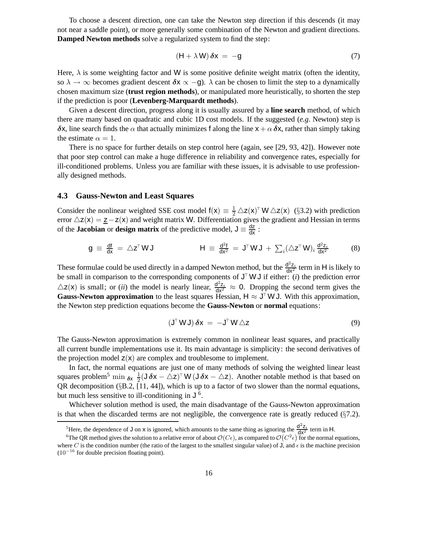To choose a descent direction, one can take the Newton step direction if this descends (it may not near a saddle point), or more generally some combination of the Newton and gradient directions. **Damped Newton methods** solve a regularized system to find the step:

$$
(\mathsf{H} + \lambda \mathsf{W}) \, \delta \mathsf{x} \, = \, -\mathsf{g} \tag{7}
$$

Here,  $\lambda$  is some weighting factor and W is some positive definite weight matrix (often the identity, so  $\lambda \to \infty$  becomes gradient descent  $\delta x \propto -g$ ).  $\lambda$  can be chosen to limit the step to a dynamically chosen maximum size (**trust region methods**), or manipulated more heuristically, to shorten the step if the prediction is poor (**Levenberg-Marquardt methods**).

Given a descent direction, progress along it is usually assured by a **line search** method, of which there are many based on quadratic and cubic 1D cost models. If the suggested (*e.g*. Newton) step is *δ*x, line search finds the  $\alpha$  that actually minimizes f along the line  $x + \alpha \delta x$ , rather than simply taking the estimate  $\alpha = 1$ .

There is no space for further details on step control here (again, see [29, 93, 42]). However note that poor step control can make a huge difference in reliability and convergence rates, especially for ill-conditioned problems. Unless you are familiar with these issues, it is advisable to use professionally designed methods.

#### **4.3 Gauss-Newton and Least Squares**

Consider the nonlinear weighted SSE cost model  $f(x) \equiv \frac{1}{2} \triangle z(x)^{\top} W \triangle z(x)$  (§3.2) with prediction<br>error  $\triangle z(x) = z - z(x)$  and weight matrix W. Differentiation gives the gradient and Hessian in terms error  $\Delta z(x) = z - z(x)$  and weight matrix W. Differentiation gives the gradient and Hessian in terms of the **Jacobian** or **design matrix** of the predictive model,  $J = \frac{dz}{dx}$ :

$$
g = \frac{df}{dx} = \triangle z^{\top} W J \qquad H \equiv \frac{d^2 f}{dx^2} = J^{\top} W J + \sum_i (\triangle z^{\top} W)_i \frac{d^2 z_i}{dx^2} \qquad (8)
$$

These formulae could be used directly in a damped Newton method, but the  $\frac{d^2Z_i}{dx^2}$  term in H is likely to be small in comparison to the corresponding components of  $J^{\dagger} W J$  if either: (*i*) the prediction error  $\Delta z(x)$  is small; or *(ii)* the model is nearly linear,  $\frac{d^2 z_i}{dx^2} \approx 0$ . Dropping the second term gives the **Couse-Newton opproximation** to the least squares Hessian,  $H \approx \Gamma W I$ . With this approximation **Gauss-Newton approximation** to the least squares Hessian,  $H \approx J^{\top}W J$ . With this approximation, the Newton step prediction equations become the **Gauss-Newton** or **normal** equations:

$$
(\mathsf{J}^{\top} \mathsf{W} \mathsf{J}) \, \delta \mathsf{x} \ = \ - \mathsf{J}^{\top} \mathsf{W} \, \triangle \mathsf{z} \tag{9}
$$

The Gauss-Newton approximation is extremely common in nonlinear least squares, and practically all current bundle implementations use it. Its main advantage is simplicity: the second derivatives of the projection model  $z(x)$  are complex and troublesome to implement.

In fact, the normal equations are just one of many methods of solving the weighted linear least squares problem<sup>5</sup> min  $\delta x \frac{1}{2} (\mathbf{J} \delta x - \Delta z)^{\top} \mathbf{W} (\mathbf{J} \delta x - \Delta z)$ . Another notable method is that based on QR decomposition (§B.2, [11, 44]), which is up to a factor of two slower than the normal equations, but much less sensitive to ill-conditioning in  $J^6$ .

Whichever solution method is used, the main disadvantage of the Gauss-Newton approximation is that when the discarded terms are not negligible, the convergence rate is greatly reduced  $(\S7.2)$ .

<sup>&</sup>lt;sup>5</sup>Here, the dependence of **J** on **x** is ignored, which amounts to the same thing as ignoring the  $\frac{d^2 z_i}{dx^2}$  term in H. 6<sup>6</sup>The OP method gives the solution to a relative error of shout  $O(Cc)$  as compared to  $O(C^2c)$ 

The QR method gives the solution to a relative error of about  $\mathcal{O}(C\epsilon)$ , as compared to  $\mathcal{O}(C^2\epsilon)$  for the normal equations,<br>re C is the condition number (the ratio of the largest to the smallest singular value) of where C is the condition number (the ratio of the largest to the smallest singular value) of J, and  $\epsilon$  is the machine precision  $(10^{-16}$  for double precision floating point).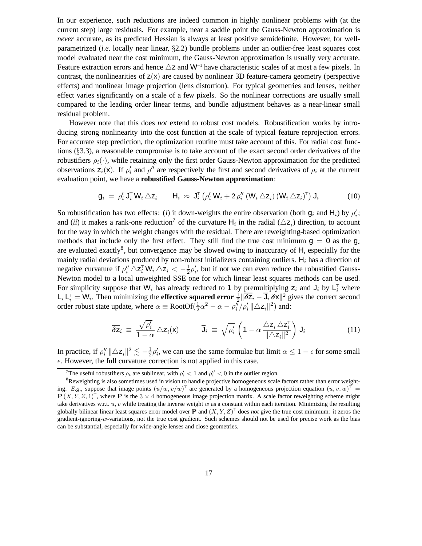In our experience, such reductions are indeed common in highly nonlinear problems with (at the current step) large residuals. For example, near a saddle point the Gauss-Newton approximation is *never* accurate, as its predicted Hessian is always at least positive semidefinite. However, for wellparametrized (*i.e*. locally near linear, §2.2) bundle problems under an outlier-free least squares cost model evaluated near the cost minimum, the Gauss-Newton approximation is usually very accurate. Feature extraction errors and hence  $\triangle z$  and W<sup>-1</sup> have characteristic scales of at most a few pixels. In contrast, the nonlinearities of  $z(x)$  are caused by nonlinear 3D feature-camera geometry (perspective effects) and nonlinear image projection (lens distortion). For typical geometries and lenses, neither effect varies significantly on a scale of a few pixels. So the nonlinear corrections are usually small compared to the leading order linear terms, and bundle adjustment behaves as a near-linear small residual problem.

However note that this does *not* extend to robust cost models. Robustification works by introducing strong nonlinearity into the cost function at the scale of typical feature reprojection errors. For accurate step prediction, the optimization routine must take account of this. For radial cost functions (§3.3), a reasonable compromise is to take account of the exact second order derivatives of the robustifiers  $\rho_i(\cdot)$ , while retaining only the first order Gauss-Newton approximation for the predicted observations  $z_i(x)$ . If  $\rho'_i$  and  $\rho''$  are respectively the first and second derivatives of  $\rho_i$  at the current evaluation point, we have a reportified Gauss-Newton approximation: evaluation point, we have a **robustified Gauss-Newton approximation**:

$$
\mathbf{g}_{i} = \rho'_{i} \mathbf{J}_{i}^{\top} \mathbf{W}_{i} \triangle \mathbf{z}_{i} \qquad \mathbf{H}_{i} \approx \mathbf{J}_{i}^{\top} \left( \rho'_{i} \mathbf{W}_{i} + 2 \rho''_{i} \left( \mathbf{W}_{i} \triangle \mathbf{z}_{i} \right) \left( \mathbf{W}_{i} \triangle \mathbf{z}_{i} \right)^{\top} \right) \mathbf{J}_{i} \qquad (10)
$$

So robustification has two effects: (*i*) it down-weights the entire observation (both  $g_i$  and  $H_i$ ) by  $\rho'_i$ ; and (*ii*) it makes a rank-one reduction<sup>7</sup> of the curvature H<sub>i</sub> in the radial ( $\triangle z_i$ ) direction, to account for the way in which the weight changes with the residual. There are reweighting-based optimization methods that include only the first effect. They still find the true cost minimum  $g = 0$  as the  $g_i$ are evaluated exactly<sup>8</sup>, but convergence may be slowed owing to inaccuracy of  $H$ , especially for the mainly radial deviations produced by non-robust initializers containing outliers.  $H_i$  has a direction of negative curvature if  $\rho_i'' \Delta z_i^{\dagger} W_i \Delta z_i < -\frac{1}{2} \rho_i'$ , but if not we can even reduce the robustified Gauss-<br>Newton model to a local unweighted SSE one for which linear least squares methods can be used Newton model to a local unweighted SSE one for which linear least squares methods can be used. For simplicity suppose that  $W_i$  has already reduced to 1 by premultiplying  $z_i$  and  $J_i$  by  $L_i^{\top}$  where  $\mathsf{L}_i \mathsf{L}_i^{\top} = \mathsf{W}_i$ . Then minimizing the **effective squared error**  $\frac{1}{2} \|\overline{\delta z}_i - \overline{\mathsf{J}}_i \delta x\|^2$  gives the correct second order robust state undate, where  $\alpha = \text{RootOf}(\frac{1}{2}\alpha^2 - \alpha - \alpha''/\alpha' \|\Delta z\|^2)$  and order robust state update, where  $\alpha \equiv \text{RootOf}(\frac{1}{2}\alpha^2 - \alpha - \rho_i^{\prime\prime}/\rho_i' || \Delta z_i ||^2)$  and:

$$
\overline{\delta z}_i \equiv \frac{\sqrt{\rho'_i}}{1-\alpha} \triangle z_i(\mathbf{x}) \qquad \overline{\mathbf{J}}_i \equiv \sqrt{\rho'_i} \left(1 - \alpha \frac{\triangle z_i \triangle z_i^{\mathsf{T}}}{\|\triangle z_i\|^2}\right) \mathbf{J}_i \tag{11}
$$

In practice, if  $\rho_i'' \|\Delta z_i\|^2 \lesssim -\frac{1}{2}\rho_i'$ , we can use the same formulae but limit  $\alpha \leq 1 - \epsilon$  for some small  $\epsilon$ . However, the full curvature correction is not applied in this case.  $\epsilon$ . However, the full curvature correction is not applied in this case.

<sup>&</sup>lt;sup>7</sup>The useful robustifiers  $\rho_i$  are sublinear, with  $\rho'_i < 1$  and  $\rho''_i < 0$  in the outlier region.

 ${}^{8}$ Reweighting is also sometimes used in vision to handle projective homogeneous scale factors rather than error weighting. *E.g.*, suppose that image points  $(u/w, v/w)^{\top}$  are generated by a homogeneous projection equation  $(u, v, w)^{\top}$ <br> $\mathbf{P}(X|Y, Z, 1)^{\top}$  where **P** is the 3  $\times$  4 homogeneous image projection matrix. A scale factor rewaight  $\mathbf{P}(X, Y, Z, 1)^\top$ , where **P** is the 3 × 4 homogeneous image projection matrix. A scale factor reweighting scheme might the derivatives we t use while treating the inverse weight use a constant within each iteration. Min take derivatives w.r.t.  $u, v$  while treating the inverse weight w as a constant within each iteration. Minimizing the resulting globally bilinear linear least squares error model over  $P$  and  $(X, Y, Z)^T$  does *not* give the true cost minimum: it zeros the hise gradient ignoring way variations, not the true cost gradient. Such schemes should not be u gradient-ignoring-w-variations, not the true cost gradient. Such schemes should not be used for precise work as the bias can be substantial, especially for wide-angle lenses and close geometries.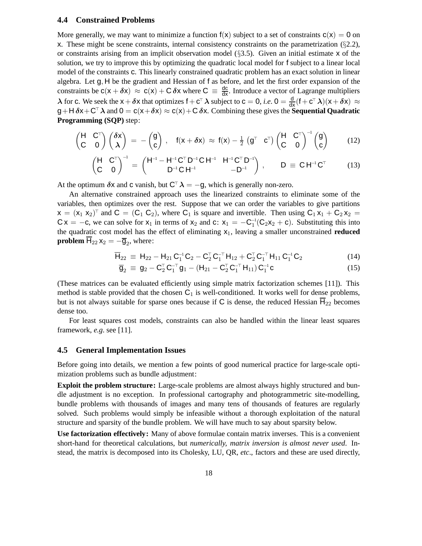#### **4.4 Constrained Problems**

More generally, we may want to minimize a function  $f(x)$  subject to a set of constraints  $c(x) = 0$  on x. These might be scene constraints, internal consistency constraints on the parametrization  $(\S2.2)$ , or constraints arising from an implicit observation model (§3.5). Given an initial estimate x of the solution, we try to improve this by optimizing the quadratic local model for f subject to a linear local model of the constraints c. This linearly constrained quadratic problem has an exact solution in linear algebra. Let g, H be the gradient and Hessian of f as before, and let the first order expansion of the constraints be  $c(x + \delta x) \approx c(x) + C \delta x$  where  $C \equiv \frac{dc}{dx}$ . Introduce a vector of Lagrange multipliers  $\lambda$  for c. We seek the  $x + \delta x$  that optimizes  $f + c^T \lambda$  subject to  $c = 0$ , *i.e.*  $0 = \frac{d}{dx}(f + c^T \lambda)(x + \delta x) \approx$  $q + H \delta x + C^T \lambda$  and  $0 = c(x + \delta x) \approx c(x) + C \delta x$ . Combining these gives the **Sequential Quadratic Programming (SQP)** step:

$$
\begin{pmatrix} H & C^{\top} \\ C & 0 \end{pmatrix} \begin{pmatrix} \delta x \\ \lambda \end{pmatrix} = - \begin{pmatrix} g \\ c \end{pmatrix}, \quad f(x + \delta x) \approx f(x) - \frac{1}{2} \begin{pmatrix} g^{\top} & c^{\top} \end{pmatrix} \begin{pmatrix} H & C^{\top} \\ C & 0 \end{pmatrix}^{-1} \begin{pmatrix} g \\ c \end{pmatrix} \tag{12}
$$

$$
\begin{pmatrix} H & C^{\top} \\ C & 0 \end{pmatrix}^{-1} = \begin{pmatrix} H^{-1} - H^{-1}C^{\top}D^{-1}CH^{-1} & H^{-1}C^{\top}D^{-1} \\ D^{-1}CH^{-1} & -D^{-1} \end{pmatrix}, \qquad D \equiv CH^{-1}C^{\top} \tag{13}
$$

At the optimum  $\delta x$  and c vanish, but  $C^{\dagger} \lambda = -g$ , which is generally non-zero.

An alternative constrained approach uses the linearized constraints to eliminate some of the variables, then optimizes over the rest. Suppose that we can order the variables to give partitions  $\mathbf{x} = (\mathbf{x}_1 \ \mathbf{x}_2)^T$  and  $\mathbf{C} = (\mathbf{C}_1 \ \mathbf{C}_2)$ , where  $\mathbf{C}_1$  is square and invertible. Then using  $\mathbf{C}_1 \mathbf{x}_1 + \mathbf{C}_2 \mathbf{x}_2 =$ <br> $\mathbf{C} \mathbf{x} = -\mathbf{C}$ , we can solve for  $\mathbf{x}_2$  in terms of  $\mathbf{x}_2$  and  $\mathbf{C}$  $CX = -c$ , we can solve for  $X_1$  in terms of  $X_2$  and  $C: X_1 = -C_1^{-1}(C_2X_2 + c)$ . Substituting this into<br>the quadratic cost model has the effect of eliminating  $X_1$  leaving a smaller unconstrained **reduced** the quadratic cost model has the effect of eliminating  $x_1$ , leaving a smaller unconstrained **reduced problem**  $H_{22}x_2 = -\overline{g}_2$ , where:

$$
\overline{H}_{22} \equiv H_{22} - H_{21} C_1^{-1} C_2 - C_2^{\top} C_1^{-\top} H_{12} + C_2^{\top} C_1^{-\top} H_{11} C_1^{-1} C_2
$$
\n(14)

$$
\overline{g}_2 \equiv g_2 - C_2^{\top} C_1^{-\top} g_1 - (H_{21} - C_2^{\top} C_1^{-\top} H_{11}) C_1^{-1} c \tag{15}
$$

(These matrices can be evaluated efficiently using simple matrix factorization schemes [11]). This method is stable provided that the chosen  $C_1$  is well-conditioned. It works well for dense problems, but is not always suitable for sparse ones because if C is dense, the reduced Hessian  $H_{22}$  becomes dense too.

For least squares cost models, constraints can also be handled within the linear least squares framework, *e.g*. see [11].

#### **4.5 General Implementation Issues**

Before going into details, we mention a few points of good numerical practice for large-scale optimization problems such as bundle adjustment:

**Exploit the problem structure:** Large-scale problems are almost always highly structured and bundle adjustment is no exception. In professional cartography and photogrammetric site-modelling, bundle problems with thousands of images and many tens of thousands of features are regularly solved. Such problems would simply be infeasible without a thorough exploitation of the natural structure and sparsity of the bundle problem. We will have much to say about sparsity below.

**Use factorization effectively:** Many of above formulae contain matrix inverses. This is a convenient short-hand for theoretical calculations, but *numerically, matrix inversion is almost never used*. Instead, the matrix is decomposed into its Cholesky, LU, QR, *etc*., factors and these are used directly,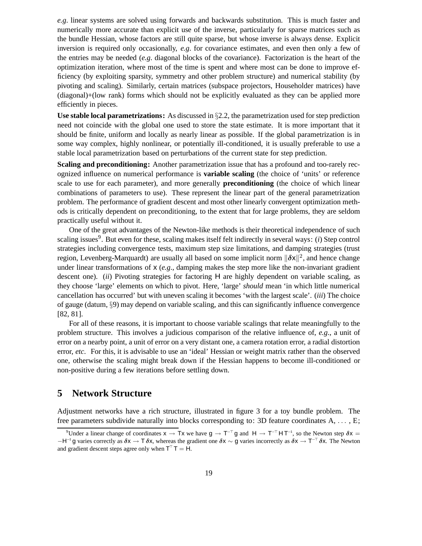*e.g*. linear systems are solved using forwards and backwards substitution. This is much faster and numerically more accurate than explicit use of the inverse, particularly for sparse matrices such as the bundle Hessian, whose factors are still quite sparse, but whose inverse is always dense. Explicit inversion is required only occasionally, *e.g*. for covariance estimates, and even then only a few of the entries may be needed (*e.g*. diagonal blocks of the covariance). Factorization is the heart of the optimization iteration, where most of the time is spent and where most can be done to improve efficiency (by exploiting sparsity, symmetry and other problem structure) and numerical stability (by pivoting and scaling). Similarly, certain matrices (subspace projectors, Householder matrices) have (diagonal)+(low rank) forms which should not be explicitly evaluated as they can be applied more efficiently in pieces.

**Use stable local parametrizations:** As discussed in §2.2, the parametrization used for step prediction need not coincide with the global one used to store the state estimate. It is more important that it should be finite, uniform and locally as nearly linear as possible. If the global parametrization is in some way complex, highly nonlinear, or potentially ill-conditioned, it is usually preferable to use a stable local parametrization based on perturbations of the current state for step prediction.

**Scaling and preconditioning:** Another parametrization issue that has a profound and too-rarely recognized influence on numerical performance is **variable scaling** (the choice of 'units' or reference scale to use for each parameter), and more generally **preconditioning** (the choice of which linear combinations of parameters to use). These represent the linear part of the general parametrization problem. The performance of gradient descent and most other linearly convergent optimization methods is critically dependent on preconditioning, to the extent that for large problems, they are seldom practically useful without it.

One of the great advantages of the Newton-like methods is their theoretical independence of such scaling issues<sup>9</sup>. But even for these, scaling makes itself felt indirectly in several ways: *(i)* Step control strategies including convergence tests, maximum step size limitations, and damping strategies (trust region, Levenberg-Marquardt) are usually all based on some implicit norm  $\|\delta x\|^2$ , and hence change under linear transformations of  $x$  (*e.g.*, damping makes the step more like the non-invariant gradient descent one). (*ii*) Pivoting strategies for factoring H are highly dependent on variable scaling, as they choose 'large' elements on which to pivot. Here, 'large' *should* mean 'in which little numerical cancellation has occurred' but with uneven scaling it becomes 'with the largest scale'. (*iii*) The choice of gauge (datum, §9) may depend on variable scaling, and this can significantly influence convergence [82, 81].

For all of these reasons, it is important to choose variable scalings that relate meaningfully to the problem structure. This involves a judicious comparison of the relative influence of, *e.g*., a unit of error on a nearby point, a unit of error on a very distant one, a camera rotation error, a radial distortion error, *etc*. For this, it is advisable to use an 'ideal' Hessian or weight matrix rather than the observed one, otherwise the scaling might break down if the Hessian happens to become ill-conditioned or non-positive during a few iterations before settling down.

## **5 Network Structure**

Adjustment networks have a rich structure, illustrated in figure 3 for a toy bundle problem. The free parameters subdivide naturally into blocks corresponding to: 3D feature coordinates A, ... , E;

<sup>&</sup>lt;sup>9</sup>Under a linear change of coordinates  $x \to Tx$  we have  $g \to T^{-T} g$  and  $H \to T^{-T} H T^{-1}$ , so the Newton step  $\delta x =$ <br> $T^{-1} g$  varies correctly as  $\delta x \to T \delta x$  whereas the gradient one  $\delta x \circ g$  at varies incorrectly as  $\delta x \to T^{-T$  $-A^{-1}$  g varies correctly as  $\delta x \to \tau \delta x$ , whereas the gradient one  $\delta x \sim g$  varies incorrectly as  $\delta x \to \tau^{-\tau} \delta x$ . The Newton and gradient descent steps agree only when  $T<sup>T</sup> T = H$ .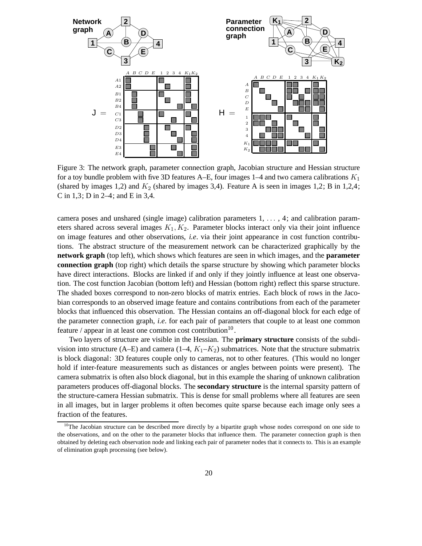

Figure 3: The network graph, parameter connection graph, Jacobian structure and Hessian structure for a toy bundle problem with five 3D features A–E, four images  $1-4$  and two camera calibrations  $K_1$ (shared by images 1,2) and  $K_2$  (shared by images 3,4). Feature A is seen in images 1,2; B in 1,2,4; C in 1,3; D in 2–4; and E in 3,4.

camera poses and unshared (single image) calibration parameters 1, ... , 4; and calibration parameters shared across several images  $K_1, K_2$ . Parameter blocks interact only via their joint influence on image features and other observations, *i.e*. via their joint appearance in cost function contributions. The abstract structure of the measurement network can be characterized graphically by the **network graph** (top left), which shows which features are seen in which images, and the **parameter connection graph** (top right) which details the sparse structure by showing which parameter blocks have direct interactions. Blocks are linked if and only if they jointly influence at least one observation. The cost function Jacobian (bottom left) and Hessian (bottom right) reflect this sparse structure. The shaded boxes correspond to non-zero blocks of matrix entries. Each block of rows in the Jacobian corresponds to an observed image feature and contains contributions from each of the parameter blocks that influenced this observation. The Hessian contains an off-diagonal block for each edge of the parameter connection graph, *i.e*. for each pair of parameters that couple to at least one common feature / appear in at least one common cost contribution $10$ .

Two layers of structure are visible in the Hessian. The **primary structure** consists of the subdivision into structure (A–E) and camera (1–4,  $K_1-K_2$ ) submatrices. Note that the structure submatrix is block diagonal: 3D features couple only to cameras, not to other features. (This would no longer hold if inter-feature measurements such as distances or angles between points were present). The camera submatrix is often also block diagonal, but in this example the sharing of unknown calibration parameters produces off-diagonal blocks. The **secondary structure** is the internal sparsity pattern of the structure-camera Hessian submatrix. This is dense for small problems where all features are seen in all images, but in larger problems it often becomes quite sparse because each image only sees a fraction of the features.

 $10$ The Jacobian structure can be described more directly by a bipartite graph whose nodes correspond on one side to the observations, and on the other to the parameter blocks that influence them. The parameter connection graph is then obtained by deleting each observation node and linking each pair of parameter nodes that it connects to. This is an example of elimination graph processing (see below).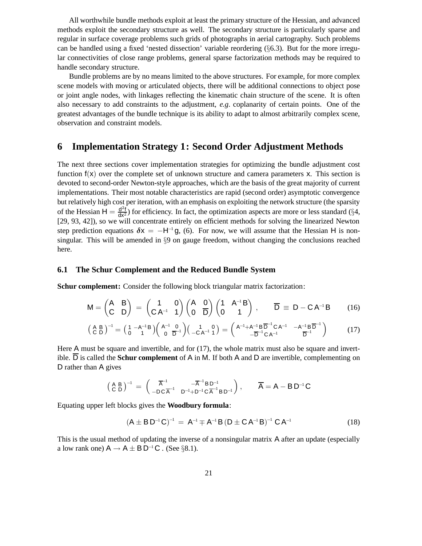All worthwhile bundle methods exploit at least the primary structure of the Hessian, and advanced methods exploit the secondary structure as well. The secondary structure is particularly sparse and regular in surface coverage problems such grids of photographs in aerial cartography. Such problems can be handled using a fixed 'nested dissection' variable reordering  $(\S6.3)$ . But for the more irregular connectivities of close range problems, general sparse factorization methods may be required to handle secondary structure.

Bundle problems are by no means limited to the above structures. For example, for more complex scene models with moving or articulated objects, there will be additional connections to object pose or joint angle nodes, with linkages reflecting the kinematic chain structure of the scene. It is often also necessary to add constraints to the adjustment, *e.g*. coplanarity of certain points. One of the greatest advantages of the bundle technique is its ability to adapt to almost arbitrarily complex scene, observation and constraint models.

## **6 Implementation Strategy 1: Second Order Adjustment Methods**

The next three sections cover implementation strategies for optimizing the bundle adjustment cost function  $f(x)$  over the complete set of unknown structure and camera parameters x. This section is devoted to second-order Newton-style approaches, which are the basis of the great majority of current implementations. Their most notable characteristics are rapid (second order) asymptotic convergence but relatively high cost per iteration, with an emphasis on exploiting the network structure (the sparsity of the Hessian  $H = \frac{d^2f}{dx^2}$ ) for efficiency. In fact, the optimization aspects are more or less standard (§4,  $[29, 93, 42]$ ) so we will concentrate entirely on efficient methods for solving the linearized Newton [29, 93, 42]), so we will concentrate entirely on efficient methods for solving the linearized Newton step prediction equations  $\delta x = -H^{-1}g$ , (6). For now, we will assume that the Hessian H is nonsingular. This will be amended in §9 on gauge freedom, without changing the conclusions reached here.

### **6.1 The Schur Complement and the Reduced Bundle System**

**Schur complement:** Consider the following block triangular matrix factorization:

$$
M = \begin{pmatrix} A & B \\ C & D \end{pmatrix} = \begin{pmatrix} 1 & 0 \\ C A^{-1} & 1 \end{pmatrix} \begin{pmatrix} A & 0 \\ 0 & \overline{D} \end{pmatrix} \begin{pmatrix} 1 & A^{-1}B \\ 0 & 1 \end{pmatrix}, \qquad \overline{D} \equiv D - CA^{-1}B \tag{16}
$$

$$
\begin{pmatrix} A & B \\ C & D \end{pmatrix}^{-1} = \begin{pmatrix} 1 & -A^{-1}B \\ 0 & 1 \end{pmatrix} \begin{pmatrix} A^{-1} & 0 \\ 0 & \overline{D}^{-1} \end{pmatrix} \begin{pmatrix} 1 & 0 \\ -CA^{-1} & 1 \end{pmatrix} = \begin{pmatrix} A^{-1} + A^{-1}B\overline{D}^{-1}CA^{-1} & -A^{-1}B\overline{D}^{-1} \\ -\overline{D}^{-1}CA^{-1} & \overline{D}^{-1} \end{pmatrix}
$$
(17)

Here A must be square and invertible, and for (17), the whole matrix must also be square and invertible. D is called the **Schur complement** of A in M. If both A and D are invertible, complementing on D rather than A gives

$$
\begin{pmatrix} A & B \\ C & D \end{pmatrix}^{-1} = \begin{pmatrix} \overline{A}^{-1} & -\overline{A}^{-1}BD^{-1} \\ -DC\overline{A}^{-1} & D^{-1}+D^{-1}C\overline{A}^{-1}BD^{-1} \end{pmatrix}, \qquad \overline{A} = A - BD^{-1}C
$$

Equating upper left blocks gives the **Woodbury formula**:

$$
(A \pm B D^{-1} C)^{-1} = A^{-1} \mp A^{-1} B (D \pm C A^{-1} B)^{-1} C A^{-1}
$$
\n(18)

This is the usual method of updating the inverse of a nonsingular matrix A after an update (especially a low rank one)  $A \rightarrow A \pm B D^{-1}C$ . (See §8.1).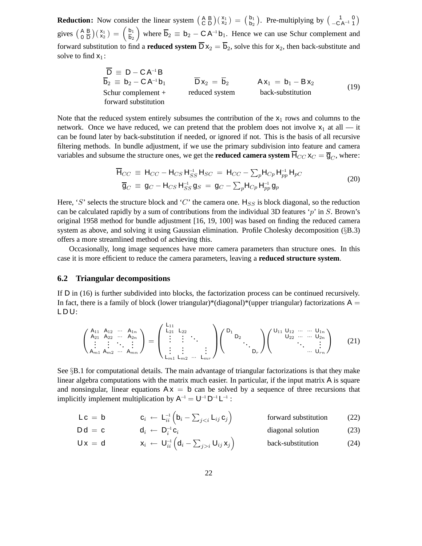**Reduction:** Now consider the linear system  $\begin{pmatrix} A & B \\ C & D \end{pmatrix} \begin{pmatrix} x_1 \\ x_2 \end{pmatrix} = \begin{pmatrix} b_1 \\ b_2 \end{pmatrix}$ . Pre-multiplying by  $\begin{pmatrix} 1 & 0 \\ -CA^{-1} & 1 \end{pmatrix}$ gives  $\left(\begin{array}{c} A & B \\ 0 & D \end{array}\right)\left(\begin{array}{c} x_1 \\ x_2 \end{array}\right) = \left(\begin{array}{c} b_1 \\ \overline{b}_2 \end{array}\right)$  $\mathsf{b}_2$ where  $\overline{b}_2 \equiv b_2 - C A^{-1} b_1$ . Hence we can use Schur complement and forward substitution to find a **reduced system**  $\overline{D} x_2 = \overline{b}_2$ , solve this for  $x_2$ , then back-substitute and solve to find  $x_1$ :

$$
\overline{D} \equiv D - CA^{-1}B \n\overline{b}_2 \equiv b_2 - CA^{-1}b_1 \qquad \overline{D}x_2 = \overline{b}_2 \qquad Ax_1 = b_1 - Bx_2 \nSchur complement + reduced system back-substitution
$$
\n(19)

Note that the reduced system entirely subsumes the contribution of the  $x_1$  rows and columns to the network. Once we have reduced, we can pretend that the problem does not involve  $x_1$  at all — it can be found later by back-substitution if needed, or ignored if not. This is the basis of all recursive filtering methods. In bundle adjustment, if we use the primary subdivision into feature and camera variables and subsume the structure ones, we get the **reduced camera system**  $\overline{H}_{CC} x_C = \overline{g}_C$ , where:

$$
\overline{H}_{CC} \equiv H_{CC} - H_{CS} H_{SS}^{-1} H_{SC} = H_{CC} - \sum_{p} H_{Cp} H_{pp}^{-1} H_{pC}
$$
\n
$$
\overline{g}_{C} \equiv g_{C} - H_{CS} H_{SS}^{-1} g_{S} = g_{C} - \sum_{p} H_{Cp} H_{pp}^{-1} g_{p}
$$
\n(20)

Here, 'S' selects the structure block and 'C' the camera one.  $H_{SS}$  is block diagonal, so the reduction can be calculated rapidly by a sum of contributions from the individual 3D features  $\gamma p$  in S. Brown's original 1958 method for bundle adjustment [16, 19, 100] was based on finding the reduced camera system as above, and solving it using Gaussian elimination. Profile Cholesky decomposition (§B.3) offers a more streamlined method of achieving this.

Occasionally, long image sequences have more camera parameters than structure ones. In this case it is more efficient to reduce the camera parameters, leaving a **reduced structure system**.

#### **6.2 Triangular decompositions**

If D in (16) is further subdivided into blocks, the factorization process can be continued recursively. In fact, there is a family of block (lower triangular)\*(diagonal)\*(upper triangular) factorizations  $A =$ LDU:

$$
\begin{pmatrix}\nA_{11} & A_{12} & \cdots & A_{1n} \\
A_{21} & A_{22} & \cdots & A_{2n} \\
\vdots & \vdots & \ddots & \vdots \\
A_{m1} & A_{m2} & \cdots & A_{mn}\n\end{pmatrix} = \begin{pmatrix}\nL_{11} & \cdots & \cdots & L_{12} \\
L_{21} & L_{22} & \cdots & \cdots & L_{2n} \\
\vdots & \vdots & \ddots & \vdots \\
L_{m1} & L_{m2} & \cdots & L_{mr}\n\end{pmatrix}\n\begin{pmatrix}\nD_1 & D_2 & & & \\
D_2 & & & \\
\vdots & \vdots & \ddots & \vdots \\
D_r & & D_r\n\end{pmatrix}\n\begin{pmatrix}\nU_{11} & U_{12} & \cdots & \cdots & U_{1n} \\
U_{22} & \cdots & \cdots & U_{2n} \\
\vdots & \vdots & \ddots & \vdots \\
\vdots & \vdots & \ddots & \vdots \\
U_{rn} & & & \vdots\n\end{pmatrix}
$$
\n(21)

See  $\S$ B.1 for computational details. The main advantage of triangular factorizations is that they make linear algebra computations with the matrix much easier. In particular, if the input matrix A is square and nonsingular, linear equations  $Ax = b$  can be solved by a sequence of three recursions that implicitly implement multiplication by  $A^{-1} = U^{-1} D^{-1} L^{-1}$ :

$$
\mathsf{L}\mathsf{c} = \mathsf{b} \qquad \qquad \mathsf{c}_i \leftarrow \mathsf{L}_{ii}^{-1} \left( \mathsf{b}_i - \sum_{j < i} \mathsf{L}_{ij} \mathsf{c}_j \right) \qquad \qquad \text{forward substitution} \qquad (22)
$$

$$
\mathsf{D}\mathsf{d} = \mathsf{c} \qquad \qquad \mathsf{d}_i \leftarrow \mathsf{D}_i^{-1} \mathsf{c}_i \qquad \qquad \text{diagonal solution} \tag{23}
$$

 $\mathsf{U} \mathsf{x} = \mathsf{d} \qquad \qquad \mathsf{x}_i \leftarrow \mathsf{U}_{ii}^{-1} \Big( \mathsf{d}_i - \sum_{j>i} \mathsf{U}_{ij} \mathsf{x}_j \Big)$ back-substitution (24)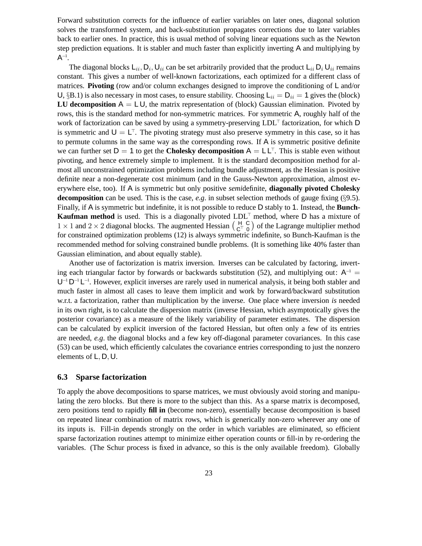Forward substitution corrects for the influence of earlier variables on later ones, diagonal solution solves the transformed system, and back-substitution propagates corrections due to later variables back to earlier ones. In practice, this is usual method of solving linear equations such as the Newton step prediction equations. It is stabler and much faster than explicitly inverting A and multiplying by  $\mathsf{A}^{\negthinspace -\negthinspace 1}.$ 

The diagonal blocks  $L_{ii}$ ,  $D_i$ ,  $U_{ii}$  can be set arbitrarily provided that the product  $L_{ii} D_i U_{ii}$  remains constant. This gives a number of well-known factorizations, each optimized for a different class of matrices. **Pivoting** (row and/or column exchanges designed to improve the conditioning of L and/or U, §B.1) is also necessary in most cases, to ensure stability. Choosing  $L_{ii} = D_{ii} = 1$  gives the (block) **LU decomposition**  $A = L U$ , the matrix representation of (block) Gaussian elimination. Pivoted by rows, this is the standard method for non-symmetric matrices. For symmetric A, roughly half of the work of factorization can be saved by using a symmetry-preserving  $LDL<sup>+</sup>$  factorization, for which D is symmetric and  $U = L^{\top}$ . The pivoting strategy must also preserve symmetry in this case, so it has to permute columns in the same way as the corresponding rows. If A is symmetric positive definite we can further set  $D = 1$  to get the **Cholesky decomposition**  $A = LL^T$ . This is stable even without pivoting, and hence extremely simple to implement. It is the standard decomposition method for almost all unconstrained optimization problems including bundle adjustment, as the Hessian is positive definite near a non-degenerate cost minimum (and in the Gauss-Newton approximation, almost everywhere else, too). If A is symmetric but only positive *semi*definite, **diagonally pivoted Cholesky decomposition** can be used. This is the case, *e.g*. in subset selection methods of gauge fixing (§9.5). Finally, if A is symmetric but indefinite, it is not possible to reduce D stably to 1. Instead, the **Bunch-Kaufman method** is used. This is a diagonally pivoted  $LDL<sup>T</sup>$  method, where D has a mixture of  $1 \times 1$  and  $2 \times 2$  diagonal blocks. The augmented Hessian  $\begin{pmatrix} H & C \\ C^T & 0 \end{pmatrix}$  of the Lagrange multiplier method<br>for constrained optimization problems (12) is always symmetric indefinite, so Bunch-Kaufman is the for constrained optimization problems (12) is always symmetric indefinite, so Bunch-Kaufman is the recommended method for solving constrained bundle problems. (It is something like 40% faster than Gaussian elimination, and about equally stable).

Another use of factorization is matrix inversion. Inverses can be calculated by factoring, inverting each triangular factor by forwards or backwards substitution (52), and multiplying out:  $A^{-1}$  = U<sup>-1</sup> D<sup>-1</sup> L<sup>-1</sup>. However, explicit inverses are rarely used in numerical analysis, it being both stabler and much faster in almost all cases to leave them implicit and work by forward/backward substitution w.r.t. a factorization, rather than multiplication by the inverse. One place where inversion *is* needed in its own right, is to calculate the dispersion matrix (inverse Hessian, which asymptotically gives the posterior covariance) as a measure of the likely variability of parameter estimates. The dispersion can be calculated by explicit inversion of the factored Hessian, but often only a few of its entries are needed, *e.g*. the diagonal blocks and a few key off-diagonal parameter covariances. In this case (53) can be used, which efficiently calculates the covariance entries corresponding to just the nonzero elements of L, D, U.

#### **6.3 Sparse factorization**

To apply the above decompositions to sparse matrices, we must obviously avoid storing and manipulating the zero blocks. But there is more to the subject than this. As a sparse matrix is decomposed, zero positions tend to rapidly **fill in** (become non-zero), essentially because decomposition is based on repeated linear combination of matrix rows, which is generically non-zero wherever any one of its inputs is. Fill-in depends strongly on the order in which variables are eliminated, so efficient sparse factorization routines attempt to minimize either operation counts or fill-in by re-ordering the variables. (The Schur process is fixed in advance, so this is the only available freedom). Globally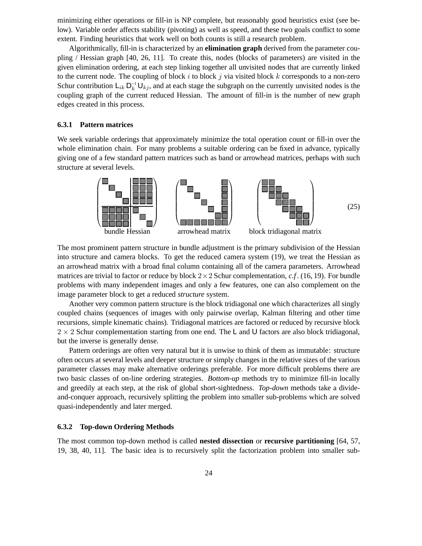minimizing either operations or fill-in is NP complete, but reasonably good heuristics exist (see below). Variable order affects stability (pivoting) as well as speed, and these two goals conflict to some extent. Finding heuristics that work well on both counts is still a research problem.

Algorithmically, fill-in is characterized by an **elimination graph** derived from the parameter coupling / Hessian graph [40, 26, 11]. To create this, nodes (blocks of parameters) are visited in the given elimination ordering, at each step linking together all unvisited nodes that are currently linked to the current node. The coupling of block i to block j via visited block k corresponds to a non-zero Schur contribution  $\mathsf{L}_{ik} \mathsf{D}_{ik}^{-1} \mathsf{U}_{kj}$ , and at each stage the subgraph on the currently unvisited nodes is the coupling graph of the current reduced Hessian. The amount of fill-in is the number of new graph edges created in this process.

#### **6.3.1 Pattern matrices**

We seek variable orderings that approximately minimize the total operation count or fill-in over the whole elimination chain. For many problems a suitable ordering can be fixed in advance, typically giving one of a few standard pattern matrices such as band or arrowhead matrices, perhaps with such structure at several levels.



The most prominent pattern structure in bundle adjustment is the primary subdivision of the Hessian into structure and camera blocks. To get the reduced camera system (19), we treat the Hessian as an arrowhead matrix with a broad final column containing all of the camera parameters. Arrowhead matrices are trivial to factor or reduce by block  $2 \times 2$  Schur complementation, *c.f.* (16, 19). For bundle problems with many independent images and only a few features, one can also complement on the image parameter block to get a reduced *structure* system.

Another very common pattern structure is the block tridiagonal one which characterizes all singly coupled chains (sequences of images with only pairwise overlap, Kalman filtering and other time recursions, simple kinematic chains). Tridiagonal matrices are factored or reduced by recursive block  $2 \times 2$  Schur complementation starting from one end. The L and U factors are also block tridiagonal, but the inverse is generally dense.

Pattern orderings are often very natural but it is unwise to think of them as immutable: structure often occurs at several levels and deeper structure or simply changes in the relative sizes of the various parameter classes may make alternative orderings preferable. For more difficult problems there are two basic classes of on-line ordering strategies. *Bottom-up* methods try to minimize fill-in locally and greedily at each step, at the risk of global short-sightedness. *Top-down* methods take a divideand-conquer approach, recursively splitting the problem into smaller sub-problems which are solved quasi-independently and later merged.

#### **6.3.2 Top-down Ordering Methods**

The most common top-down method is called **nested dissection** or **recursive partitioning** [64, 57, 19, 38, 40, 11]. The basic idea is to recursively split the factorization problem into smaller sub-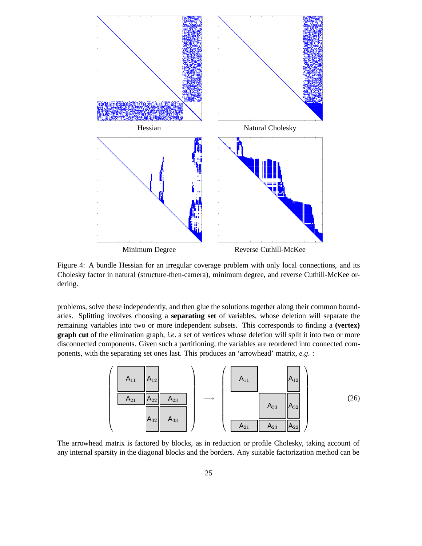

Figure 4: A bundle Hessian for an irregular coverage problem with only local connections, and its Cholesky factor in natural (structure-then-camera), minimum degree, and reverse Cuthill-McKee ordering.

problems, solve these independently, and then glue the solutions together along their common boundaries. Splitting involves choosing a **separating set** of variables, whose deletion will separate the remaining variables into two or more independent subsets. This corresponds to finding a **(vertex) graph cut** of the elimination graph, *i.e*. a set of vertices whose deletion will split it into two or more disconnected components. Given such a partitioning, the variables are reordered into connected components, with the separating set ones last. This produces an 'arrowhead' matrix, *e.g*. :



The arrowhead matrix is factored by blocks, as in reduction or profile Cholesky, taking account of any internal sparsity in the diagonal blocks and the borders. Any suitable factorization method can be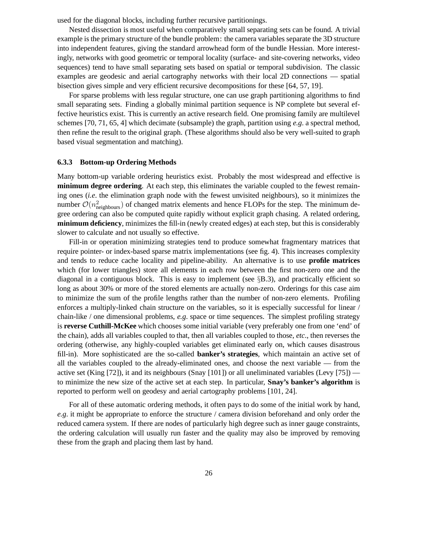used for the diagonal blocks, including further recursive partitionings.

Nested dissection is most useful when comparatively small separating sets can be found. A trivial example is the primary structure of the bundle problem: the camera variables separate the 3D structure into independent features, giving the standard arrowhead form of the bundle Hessian. More interestingly, networks with good geometric or temporal locality (surface- and site-covering networks, video sequences) tend to have small separating sets based on spatial or temporal subdivision. The classic examples are geodesic and aerial cartography networks with their local 2D connections — spatial bisection gives simple and very efficient recursive decompositions for these [64, 57, 19].

For sparse problems with less regular structure, one can use graph partitioning algorithms to find small separating sets. Finding a globally minimal partition sequence is NP complete but several effective heuristics exist. This is currently an active research field. One promising family are multilevel schemes [70, 71, 65, 4] which decimate (subsample) the graph, partition using *e.g*. a spectral method, then refine the result to the original graph. (These algorithms should also be very well-suited to graph based visual segmentation and matching).

#### **6.3.3 Bottom-up Ordering Methods**

Many bottom-up variable ordering heuristics exist. Probably the most widespread and effective is **minimum degree ordering**. At each step, this eliminates the variable coupled to the fewest remaining ones (*i.e*. the elimination graph node with the fewest unvisited neighbours), so it minimizes the number  $\mathcal{O}(n_{\text{neighbors}}^2)$  of changed matrix elements and hence FLOPs for the step. The minimum degree ordering can also be computed quite rapidly without explicit graph chasing. A related ordering, **minimum deficiency**, minimizes the fill-in (newly created edges) at each step, but this is considerably slower to calculate and not usually so effective.

Fill-in or operation minimizing strategies tend to produce somewhat fragmentary matrices that require pointer- or index-based sparse matrix implementations (see fig. 4). This increases complexity and tends to reduce cache locality and pipeline-ability. An alternative is to use **profile matrices** which (for lower triangles) store all elements in each row between the first non-zero one and the diagonal in a contiguous block. This is easy to implement (see  $\S$ B.3), and practically efficient so long as about 30% or more of the stored elements are actually non-zero. Orderings for this case aim to minimize the sum of the profile lengths rather than the number of non-zero elements. Profiling enforces a multiply-linked chain structure on the variables, so it is especially successful for linear / chain-like / one dimensional problems, *e.g*. space or time sequences. The simplest profiling strategy is **reverse Cuthill-McKee** which chooses some initial variable (very preferably one from one 'end' of the chain), adds all variables coupled to that, then all variables coupled to those, *etc*., then reverses the ordering (otherwise, any highly-coupled variables get eliminated early on, which causes disastrous fill-in). More sophisticated are the so-called **banker's strategies**, which maintain an active set of all the variables coupled to the already-eliminated ones, and choose the next variable — from the active set (King [72]), it and its neighbours (Snay [101]) or all uneliminated variables (Levy [75]) to minimize the new size of the active set at each step. In particular, **Snay's banker's algorithm** is reported to perform well on geodesy and aerial cartography problems [101, 24].

For all of these automatic ordering methods, it often pays to do some of the initial work by hand, *e.g*. it might be appropriate to enforce the structure / camera division beforehand and only order the reduced camera system. If there are nodes of particularly high degree such as inner gauge constraints, the ordering calculation will usually run faster and the quality may also be improved by removing these from the graph and placing them last by hand.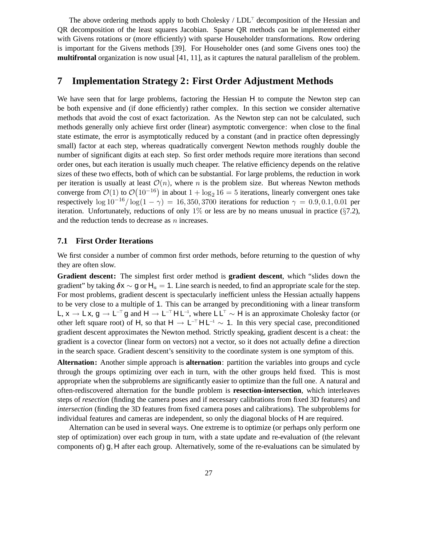The above ordering methods apply to both Cholesky /  $LDL<sup>T</sup>$  decomposition of the Hessian and QR decomposition of the least squares Jacobian. Sparse QR methods can be implemented either with Givens rotations or (more efficiently) with sparse Householder transformations. Row ordering is important for the Givens methods [39]. For Householder ones (and some Givens ones too) the **multifrontal** organization is now usual [41, 11], as it captures the natural parallelism of the problem.

# **7 Implementation Strategy 2: First Order Adjustment Methods**

We have seen that for large problems, factoring the Hessian H to compute the Newton step can be both expensive and (if done efficiently) rather complex. In this section we consider alternative methods that avoid the cost of exact factorization. As the Newton step can not be calculated, such methods generally only achieve first order (linear) asymptotic convergence: when close to the final state estimate, the error is asymptotically reduced by a constant (and in practice often depressingly small) factor at each step, whereas quadratically convergent Newton methods roughly double the number of significant digits at each step. So first order methods require more iterations than second order ones, but each iteration is usually much cheaper. The relative efficiency depends on the relative sizes of these two effects, both of which can be substantial. For large problems, the reduction in work per iteration is usually at least  $\mathcal{O}(n)$ , where n is the problem size. But whereas Newton methods converge from  $\mathcal{O}(1)$  to  $\mathcal{O}(10^{-16})$  in about  $1 + \log_2 16 = 5$  iterations, linearly convergent ones take respectively  $\log 10^{-16} / \log(1 - \gamma) = 16,350,3700$  iterations for reduction  $\gamma = 0.9, 0.1, 0.01$  per iteration. Unfortunately, reductions of only  $1\%$  or less are by no means unusual in practice (§7.2), and the reduction tends to decrease as  $n$  increases.

## **7.1 First Order Iterations**

We first consider a number of common first order methods, before returning to the question of why they are often slow.

**Gradient descent:** The simplest first order method is **gradient descent**, which "slides down the gradient" by taking  $\delta x \sim g$  or H<sub>a</sub> = 1. Line search is needed, to find an appropriate scale for the step. For most problems, gradient descent is spectacularly inefficient unless the Hessian actually happens to be very close to a multiple of 1. This can be arranged by preconditioning with a linear transform L,  $x \to Lx$ ,  $g \to L^{-\top}g$  and  $H \to L^{-\top}HL^{-1}$ , where LL<sup> $\top \sim H$ </sup> is an approximate Cholesky factor (or other left square root) of H, so that H  $\rightarrow$  L<sup>-⊤</sup> H L<sup>-1</sup>  $\sim$  1. In this very special case, preconditioned gradient descent approximates the Newton method. Strictly speaking, gradient descent is a cheat: the gradient is a covector (linear form on vectors) not a vector, so it does not actually define a direction in the search space. Gradient descent's sensitivity to the coordinate system is one symptom of this.

**Alternation:** Another simple approach is **alternation**: partition the variables into groups and cycle through the groups optimizing over each in turn, with the other groups held fixed. This is most appropriate when the subproblems are significantly easier to optimize than the full one. A natural and often-rediscovered alternation for the bundle problem is **resection-intersection**, which interleaves steps of *resection* (finding the camera poses and if necessary calibrations from fixed 3D features) and *intersection* (finding the 3D features from fixed camera poses and calibrations). The subproblems for individual features and cameras are independent, so only the diagonal blocks of H are required.

Alternation can be used in several ways. One extreme is to optimize (or perhaps only perform one step of optimization) over each group in turn, with a state update and re-evaluation of (the relevant components of) g, H after each group. Alternatively, some of the re-evaluations can be simulated by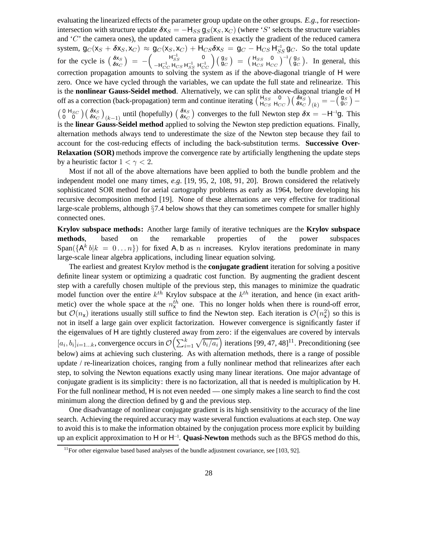evaluating the linearized effects of the parameter group update on the other groups. *E.g*., for resectionintersection with structure update  $\delta x_S = -H_{SS} g_S(x_S, x_C)$  (where 'S' selects the structure variables and  $C'$  the camera ones), the updated camera gradient is exactly the gradient of the reduced camera system,  $g_C(x_S + \delta x_S, x_C) \approx g_C(x_S, x_C) + H_{CS}\delta x_S = g_C - H_{CS}H_{SS}^{-1}g_C$ . So the total update for the cycle is  $\begin{pmatrix} \delta x_S \\ \delta x_C \end{pmatrix}$  $\delta x_S$  =  $\begin{pmatrix} H_{SS}^{-1} & 0 \\ -H_{CC}^{-1} H_{CS} H_{SS}^{-1} H_{CC}^{-1} \end{pmatrix}$ <br>stion amounts to solving the sy- $\left(\begin{smallmatrix} \mathsf{g}_S\ \mathsf{g}_C \end{smallmatrix}\right) = \left(\begin{smallmatrix} \mathsf{H}_{SS} & \mathsf{0}\ \mathsf{H}_{CS} & \mathsf{H}_{CC} \end{smallmatrix}\right)$  $\int_{0}^{-1} \left(\frac{g_S}{g_C}\right)$ . In general, this correction propagation amounts to solving the system as if the above-diagonal triangle of H were zero. Once we have cycled through the variables, we can update the full state and relinearize. This is the **nonlinear Gauss-Seidel method**. Alternatively, we can split the above-diagonal triangle of H off as a correction (back-propagation) term and continue iterating  $\begin{pmatrix} H_{SS} & 0 \\ H_{GS} & H_{\odot} \end{pmatrix}$  $_{\text{H}_{CS}}$  H $_{CC}$  $\int \frac{\delta x_S}{\delta x_S}$  $\begin{pmatrix} \delta x_S \\ \delta x_C \end{pmatrix}_{(k)} = -\begin{pmatrix} g_S \\ g_C \end{pmatrix} \begin{pmatrix} 0 & H_{SC} \\ 0 & 0 \end{pmatrix} \begin{pmatrix} \delta x_S \\ \delta x_C \end{pmatrix}_{(k-1)}$  until (hopefully)  $\begin{pmatrix} \delta x_S \\ \delta x_C \end{pmatrix}$  converges to the full Newton step  $\delta x = -H^{-1}g$ . This is the **linear Gauss-Seidel method** applied to solving the Newton step prediction equations. Finally, alternation methods always tend to underestimate the size of the Newton step because they fail to account for the cost-reducing effects of including the back-substitution terms. **Successive Over-Relaxation (SOR)** methods improve the convergence rate by artificially lengthening the update steps by a heuristic factor  $1 < \gamma < 2$ .

Most if not all of the above alternations have been applied to both the bundle problem and the independent model one many times, *e.g*. [19, 95, 2, 108, 91, 20]. Brown considered the relatively sophisticated SOR method for aerial cartography problems as early as 1964, before developing his recursive decomposition method [19]. None of these alternations are very effective for traditional large-scale problems, although §7.4 below shows that they can sometimes compete for smaller highly connected ones.

**Krylov subspace methods:** Another large family of iterative techniques are the **Krylov subspace methods**, based on the remarkable properties of the power subspaces Span( $\{A^k b | k = 0 ... n\}$ ) for fixed A, b as n increases. Krylov iterations predominate in many large-scale linear algebra applications, including linear equation solving.

The earliest and greatest Krylov method is the **conjugate gradient** iteration for solving a positive definite linear system or optimizing a quadratic cost function. By augmenting the gradient descent step with a carefully chosen multiple of the previous step, this manages to minimize the quadratic model function over the entire  $k^{th}$  Krylov subspace at the  $k^{th}$  iteration, and hence (in exact arithmetic) over the whole space at the  $n_x^{th}$  one. This no longer holds when there is round-off error, but  $\mathcal{O}(n_{\mathbf{x}})$  iterations usually still suffice to find the Newton step. Each iteration is  $\mathcal{O}(n_{\mathbf{x}}^2)$  so this is not in itself a large gain over explicit factorization. However convergence is significantly faster if the eigenvalues of H are tightly clustered away from zero: if the eigenvalues are covered by intervals  $[a_i, b_i]_{i=1...k}$ , convergence occurs in  $\mathcal{O}\left(\sum_{i=1}^k \sqrt{b_i/a_i}\right)$  iterations [99, 47, 48]<sup>11</sup>. Preconditioning (see below) aims at achieving such clustering. As with alternation methods, there is a range of possible update / re-linearization choices, ranging from a fully nonlinear method that relinearizes after each step, to solving the Newton equations exactly using many linear iterations. One major advantage of conjugate gradient is its simplicity: there is no factorization, all that is needed is multiplication by H. For the full nonlinear method, H is not even needed — one simply makes a line search to find the cost minimum along the direction defined by g and the previous step.

One disadvantage of nonlinear conjugate gradient is its high sensitivity to the accuracy of the line search. Achieving the required accuracy may waste several function evaluations at each step. One way to avoid this is to make the information obtained by the conjugation process more explicit by building up an explicit approximation to H or H−<sup>1</sup> . **Quasi-Newton** methods such as the BFGS method do this,

 $11$ For other eigenvalue based based analyses of the bundle adjustment covariance, see [103, 92].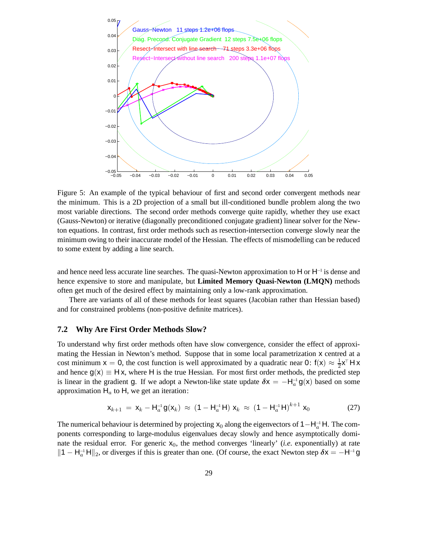

Figure 5: An example of the typical behaviour of first and second order convergent methods near the minimum. This is a 2D projection of a small but ill-conditioned bundle problem along the two most variable directions. The second order methods converge quite rapidly, whether they use exact (Gauss-Newton) or iterative (diagonally preconditioned conjugate gradient) linear solver for the Newton equations. In contrast, first order methods such as resection-intersection converge slowly near the minimum owing to their inaccurate model of the Hessian. The effects of mismodelling can be reduced to some extent by adding a line search.

and hence need less accurate line searches. The quasi-Newton approximation to H or H<sup>-1</sup> is dense and hence expensive to store and manipulate, but **Limited Memory Quasi-Newton (LMQN)** methods often get much of the desired effect by maintaining only a low-rank approximation.

There are variants of all of these methods for least squares (Jacobian rather than Hessian based) and for constrained problems (non-positive definite matrices).

### **7.2 Why Are First Order Methods Slow?**

To understand why first order methods often have slow convergence, consider the effect of approximating the Hessian in Newton's method. Suppose that in some local parametrization x centred at a cost minimum  $x = 0$ , the cost function is well approximated by a quadratic near 0:  $f(x) \approx \frac{1}{2}x^T H x$ <br>and hence  $g(x) = H x$  where H is the true Hessian. For most first order methods, the predicted step and hence  $g(x) \equiv Hx$ , where H is the true Hessian. For most first order methods, the predicted step is linear in the gradient g. If we adopt a Newton-like state update  $\delta x = -H_a^{-1}g(x)$  based on some approximation  $H_a$  to  $H_a$  we get an iteration: approximation  $H_a$  to H, we get an iteration:

$$
\mathbf{x}_{k+1} \ = \ \mathbf{x}_k \ - \mathsf{H}_a^{-1} \, \mathbf{g}(\mathbf{x}_k) \ \approx \ (1 \ - \mathsf{H}_a^{-1} \, \mathsf{H}) \ \mathbf{x}_k \ \approx \ (1 \ - \mathsf{H}_a^{-1} \, \mathsf{H})^{k+1} \ \mathbf{x}_0 \tag{27}
$$

The numerical behaviour is determined by projecting  $x_0$  along the eigenvectors of  $1 - H_a^{-1}H$ . The com-<br>paperts corresponding to large modulus eigenvalues deeps electric and hance examptationally domiponents corresponding to large-modulus eigenvalues decay slowly and hence asymptotically dominate the residual error. For generic  $x_0$ , the method converges 'linearly' (*i.e.* exponentially) at rate  $||1 - H_a^{-1}H||_2$ , or diverges if this is greater than one. (Of course, the exact Newton step  $\delta x = -H^{-1}g$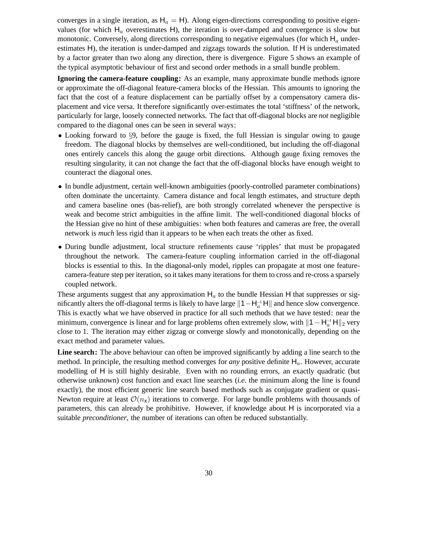converges in a single iteration, as  $H_a = H$ ). Along eigen-directions corresponding to positive eigenvalues (for which  $H_a$  overestimates H), the iteration is over-damped and convergence is slow but monotonic. Conversely, along directions corresponding to negative eigenvalues (for which  $H_a$  underestimates H), the iteration is under-damped and zigzags towards the solution. If H is underestimated by a factor greater than two along any direction, there is divergence. Figure 5 shows an example of the typical asymptotic behaviour of first and second order methods in a small bundle problem.

**Ignoring the camera-feature coupling:** As an example, many approximate bundle methods ignore or approximate the off-diagonal feature-camera blocks of the Hessian. This amounts to ignoring the fact that the cost of a feature displacement can be partially offset by a compensatory camera displacement and vice versa. It therefore significantly over-estimates the total 'stiffness' of the network, particularly for large, loosely connected networks. The fact that off-diagonal blocks are *not* negligible compared to the diagonal ones can be seen in several ways:

- Looking forward to §9, before the gauge is fixed, the full Hessian is singular owing to gauge freedom. The diagonal blocks by themselves are well-conditioned, but including the off-diagonal ones entirely cancels this along the gauge orbit directions. Although gauge fixing removes the resulting singularity, it can not change the fact that the off-diagonal blocks have enough weight to counteract the diagonal ones.
- In bundle adjustment, certain well-known ambiguities (poorly-controlled parameter combinations) often dominate the uncertainty. Camera distance and focal length estimates, and structure depth and camera baseline ones (bas-relief), are both strongly correlated whenever the perspective is weak and become strict ambiguities in the affine limit. The well-conditioned diagonal blocks of the Hessian give no hint of these ambiguities: when both features and cameras are free, the overall network is *much* less rigid than it appears to be when each treats the other as fixed.
- During bundle adjustment, local structure refinements cause 'ripples' that must be propagated throughout the network. The camera-feature coupling information carried in the off-diagonal blocks is essential to this. In the diagonal-only model, ripples can propagate at most one featurecamera-feature step per iteration, so it takes many iterations for them to cross and re-cross a sparsely coupled network.

These arguments suggest that any approximation  $H_a$  to the bundle Hessian H that suppresses or significantly alters the off-diagonal terms is likely to have large  $||1 - H_a^{-1}H||$  and hence slow convergence. This is exactly what we have observed in practice for all such methods that we have tested: near the minimum, convergence is linear and for large problems often extremely slow, with  $||1 - H_1^{-1}H||_2$  very close to 1. The iteration may either zigzag or converge slowly and monotonically, depending on the exact method and parameter values.

**Line search:** The above behaviour can often be improved significantly by adding a line search to the method. In principle, the resulting method converges for *any* positive definite  $H_a$ . However, accurate modelling of H is still highly desirable. Even with no rounding errors, an exactly quadratic (but otherwise unknown) cost function and exact line searches (*i.e*. the minimum along the line is found exactly), the most efficient generic line search based methods such as conjugate gradient or quasi-Newton require at least  $\mathcal{O}(n_{x})$  iterations to converge. For large bundle problems with thousands of parameters, this can already be prohibitive. However, if knowledge about H is incorporated via a suitable *preconditioner*, the number of iterations can often be reduced substantially.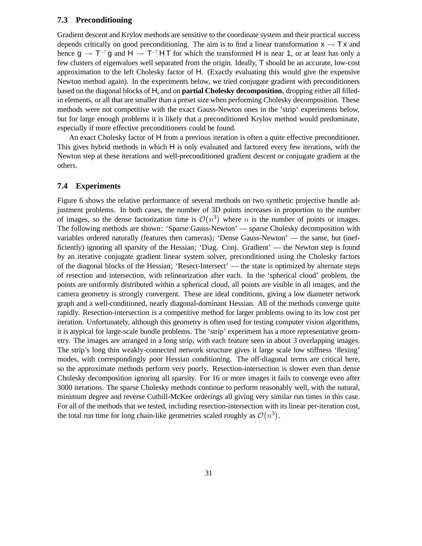#### **7.3 Preconditioning**

Gradient descent and Krylov methods are sensitive to the coordinate system and their practical success depends critically on good preconditioning. The aim is to find a linear transformation  $x \rightarrow Tx$  and hence  $g \to T^{-T}g$  and  $H \to T^{-T}HT$  for which the transformed H is near 1, or at least has only a few clusters of eigenvalues well separated from the origin. Ideally, T should be an accurate, low-cost approximation to the left Cholesky factor of H. (Exactly evaluating this would give the expensive Newton method again). In the experiments below, we tried conjugate gradient with preconditioners based on the diagonal blocks of H, and on **partial Cholesky decomposition**, dropping either all filledin elements, or all that are smaller than a preset size when performing Cholesky decomposition. These methods were not competitive with the exact Gauss-Newton ones in the 'strip' experiments below, but for large enough problems it is likely that a preconditioned Krylov method would predominate, especially if more effective preconditioners could be found.

An exact Cholesky factor of H from a previous iteration is often a quite effective preconditioner. This gives hybrid methods in which H is only evaluated and factored every few iterations, with the Newton step at these iterations and well-preconditioned gradient descent or conjugate gradient at the others.

## **7.4 Experiments**

Figure 6 shows the relative performance of several methods on two synthetic projective bundle adjustment problems. In both cases, the number of 3D points increases in proportion to the number of images, so the dense factorization time is  $\mathcal{O}(n^3)$  where n is the number of points or images. The following methods are shown: 'Sparse Gauss-Newton' — sparse Cholesky decomposition with variables ordered naturally (features then cameras); 'Dense Gauss-Newton' — the same, but (inefficiently) ignoring all sparsity of the Hessian; 'Diag. Conj. Gradient' — the Newton step is found by an iterative conjugate gradient linear system solver, preconditioned using the Cholesky factors of the diagonal blocks of the Hessian; 'Resect-Intersect' — the state is optimized by alternate steps of resection and intersection, with relinearization after each. In the 'spherical cloud' problem, the points are uniformly distributed within a spherical cloud, all points are visible in all images, and the camera geometry is strongly convergent. These are ideal conditions, giving a low diameter network graph and a well-conditioned, nearly diagonal-dominant Hessian. All of the methods converge quite rapidly. Resection-intersection is a competitive method for larger problems owing to its low cost per iteration. Unfortunately, although this geometry is often used for testing computer vision algorithms, it is atypical for large-scale bundle problems. The 'strip' experiment has a more representative geometry. The images are arranged in a long strip, with each feature seen in about 3 overlapping images. The strip's long thin weakly-connected network structure gives it large scale low stiffness 'flexing' modes, with correspondingly poor Hessian conditioning. The off-diagonal terms are critical here, so the approximate methods perform very poorly. Resection-intersection is slower even than dense Cholesky decomposition ignoring all sparsity. For 16 or more images it fails to converge even after 3000 iterations. The sparse Cholesky methods continue to perform reasonably well, with the natural, minimum degree and reverse Cuthill-McKee orderings all giving very similar run times in this case. For all of the methods that we tested, including resection-intersection with its linear per-iteration cost, the total run time for long chain-like geometries scaled roughly as  $\mathcal{O}\big(n^3\big)$ .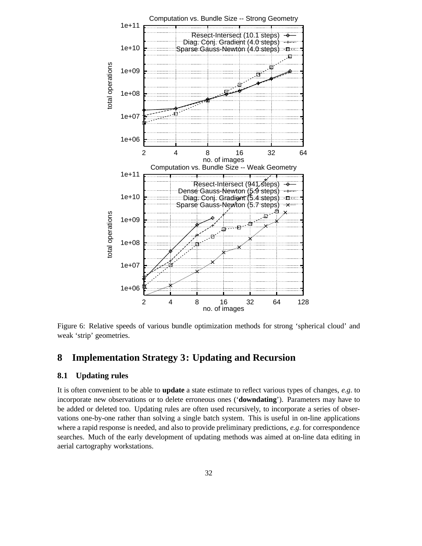

Figure 6: Relative speeds of various bundle optimization methods for strong 'spherical cloud' and weak 'strip' geometries.

# **8 Implementation Strategy 3: Updating and Recursion**

## **8.1 Updating rules**

It is often convenient to be able to **update** a state estimate to reflect various types of changes, *e.g*. to incorporate new observations or to delete erroneous ones ('**downdating**'). Parameters may have to be added or deleted too. Updating rules are often used recursively, to incorporate a series of observations one-by-one rather than solving a single batch system. This is useful in on-line applications where a rapid response is needed, and also to provide preliminary predictions, *e.g*. for correspondence searches. Much of the early development of updating methods was aimed at on-line data editing in aerial cartography workstations.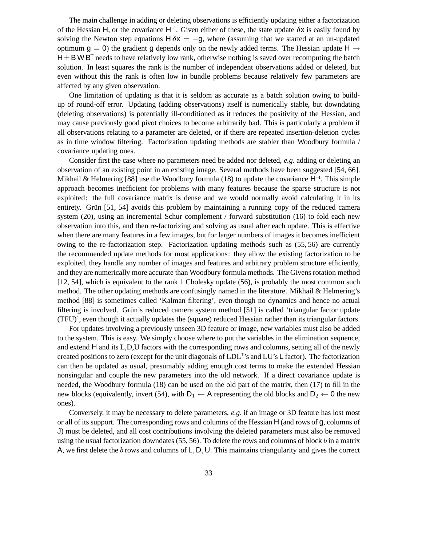The main challenge in adding or deleting observations is efficiently updating either a factorization of the Hessian H, or the covariance H−<sup>1</sup> . Given either of these, the state update *δ*x is easily found by solving the Newton step equations  $H \delta x = -g$ , where (assuming that we started at an un-updated optimum  $g = 0$ ) the gradient g depends only on the newly added terms. The Hessian update H  $\rightarrow$  $H \pm BWB^{T}$  needs to have relatively low rank, otherwise nothing is saved over recomputing the batch solution. In least squares the rank is the number of independent observations added or deleted, but even without this the rank is often low in bundle problems because relatively few parameters are affected by any given observation.

One limitation of updating is that it is seldom as accurate as a batch solution owing to buildup of round-off error. Updating (adding observations) itself is numerically stable, but downdating (deleting observations) is potentially ill-conditioned as it reduces the positivity of the Hessian, and may cause previously good pivot choices to become arbitrarily bad. This is particularly a problem if all observations relating to a parameter are deleted, or if there are repeated insertion-deletion cycles as in time window filtering. Factorization updating methods are stabler than Woodbury formula / covariance updating ones.

Consider first the case where no parameters need be added nor deleted, *e.g*. adding or deleting an observation of an existing point in an existing image. Several methods have been suggested [54, 66]. Mikhail & Helmering [88] use the Woodbury formula (18) to update the covariance H<sup>-1</sup>. This simple approach becomes inefficient for problems with many features because the sparse structure is not exploited: the full covariance matrix is dense and we would normally avoid calculating it in its entirety. Grün  $[51, 54]$  avoids this problem by maintaining a running copy of the reduced camera system (20), using an incremental Schur complement / forward substitution (16) to fold each new observation into this, and then re-factorizing and solving as usual after each update. This is effective when there are many features in a few images, but for larger numbers of images it becomes inefficient owing to the re-factorization step. Factorization updating methods such as (55, 56) are currently the recommended update methods for most applications: they allow the existing factorization to be exploited, they handle any number of images and features and arbitrary problem structure efficiently, and they are numerically more accurate than Woodbury formula methods. The Givens rotation method [12, 54], which is equivalent to the rank 1 Cholesky update (56), is probably the most common such method. The other updating methods are confusingly named in the literature. Mikhail & Helmering's method [88] is sometimes called 'Kalman filtering', even though no dynamics and hence no actual filtering is involved. Grün's reduced camera system method [51] is called 'triangular factor update (TFU)', even though it actually updates the (square) reduced Hessian rather than its triangular factors.

For updates involving a previously unseen 3D feature or image, new variables must also be added to the system. This is easy. We simply choose where to put the variables in the elimination sequence, and extend H and its L,D,U factors with the corresponding rows and columns, setting all of the newly created positions to zero (except for the unit diagonals of  $LDL^{\top}$ 's and  $LU$ 's  $L$  factor). The factorization can then be updated as usual, presumably adding enough cost terms to make the extended Hessian nonsingular and couple the new parameters into the old network. If a direct covariance update is needed, the Woodbury formula (18) can be used on the old part of the matrix, then (17) to fill in the new blocks (equivalently, invert (54), with  $D_1 \leftarrow A$  representing the old blocks and  $D_2 \leftarrow 0$  the new ones).

Conversely, it may be necessary to delete parameters, *e.g*. if an image or 3D feature has lost most or all of its support. The corresponding rows and columns of the Hessian H (and rows of g, columns of J) must be deleted, and all cost contributions involving the deleted parameters must also be removed using the usual factorization downdates (55, 56). To delete the rows and columns of block b in a matrix A, we first delete the b rows and columns of  $L, D, U$ . This maintains triangularity and gives the correct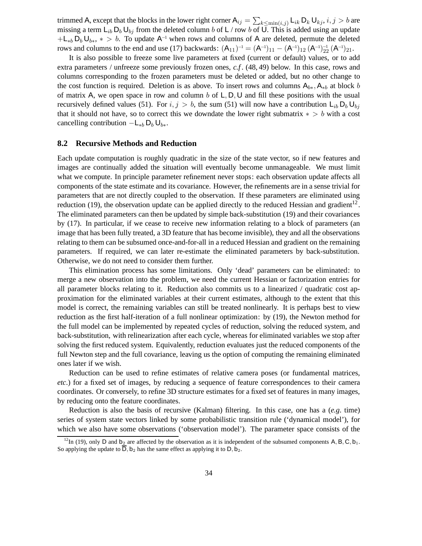trimmed A, except that the blocks in the lower right corner  $A_{ij} = \sum_{k \le \min(i,j)} L_{ik} D_k U_{kj}, i, j > b$  are<br>missing a term  $L_i$ ,  $D_i$ ,  $L_i$ , from the deleted column b of  $L_i$  (row b of  $L_i$ ) This is added using an undate missing a term  $\mathsf{L}_{ib} \mathsf{D}_b \mathsf{U}_{bj}$  from the deleted column b of  $\mathsf{L}/\text{row } b$  of  $\mathsf{U}$ . This is added using an update  $+L_{*b} D_b U_{b*}$ , \* > b. To update A<sup>-1</sup> when rows and columns of A are deleted, permute the deleted rows and columns to the end and use (17) backwards:  $(A_{11})^{-1} = (A^{-1})_{11} - (A^{-1})_{12} (A^{-1})_{22}^{-1} (A^{-1})_{21}$ .<br>It is also possible to freeze some live parameters at fixed (current or default) values, or to as

It is also possible to freeze some live parameters at fixed (current or default) values, or to add extra parameters / unfreeze some previously frozen ones, *c.f* . (48, 49) below. In this case, rows and columns corresponding to the frozen parameters must be deleted or added, but no other change to the cost function is required. Deletion is as above. To insert rows and columns  $A_{b*}$ ,  $A_{*b}$  at block b of matrix A, we open space in row and column b of  $L, D, U$  and fill these positions with the usual recursively defined values (51). For  $i, j > b$ , the sum (51) will now have a contribution  $L_{ib} D_b U_{bj}$ that it should not have, so to correct this we downdate the lower right submatrix  $\ast > b$  with a cost cancelling contribution  $-\mathsf{L}_{\ast b} \mathsf{D}_b \mathsf{U}_{b*}$ .

#### **8.2 Recursive Methods and Reduction**

Each update computation is roughly quadratic in the size of the state vector, so if new features and images are continually added the situation will eventually become unmanageable. We must limit what we compute. In principle parameter refinement never stops: each observation update affects all components of the state estimate and its covariance. However, the refinements are in a sense trivial for parameters that are not directly coupled to the observation. If these parameters are eliminated using reduction (19), the observation update can be applied directly to the reduced Hessian and gradient<sup>12</sup>. The eliminated parameters can then be updated by simple back-substitution (19) and their covariances by (17). In particular, if we cease to receive new information relating to a block of parameters (an image that has been fully treated, a 3D feature that has become invisible), they and all the observations relating to them can be subsumed once-and-for-all in a reduced Hessian and gradient on the remaining parameters. If required, we can later re-estimate the eliminated parameters by back-substitution. Otherwise, we do not need to consider them further.

This elimination process has some limitations. Only 'dead' parameters can be eliminated: to merge a new observation into the problem, we need the current Hessian or factorization entries for all parameter blocks relating to it. Reduction also commits us to a linearized / quadratic cost approximation for the eliminated variables at their current estimates, although to the extent that this model is correct, the remaining variables can still be treated nonlinearly. It is perhaps best to view reduction as the first half-iteration of a full nonlinear optimization: by (19), the Newton method for the full model can be implemented by repeated cycles of reduction, solving the reduced system, and back-substitution, with relinearization after each cycle, whereas for eliminated variables we stop after solving the first reduced system. Equivalently, reduction evaluates just the reduced components of the full Newton step and the full covariance, leaving us the option of computing the remaining eliminated ones later if we wish.

Reduction can be used to refine estimates of relative camera poses (or fundamental matrices, *etc*.) for a fixed set of images, by reducing a sequence of feature correspondences to their camera coordinates. Or conversely, to refine 3D structure estimates for a fixed set of features in many images, by reducing onto the feature coordinates.

Reduction is also the basis of recursive (Kalman) filtering. In this case, one has a (*e.g*. time) series of system state vectors linked by some probabilistic transition rule ('dynamical model'), for which we also have some observations ('observation model'). The parameter space consists of the

<sup>&</sup>lt;sup>12</sup>In (19), only D and  $b_2$  are affected by the observation as it is independent of the subsumed components A, B, C,  $b_1$ . So applying the update to  $\overline{D}$ ,  $b_2$  has the same effect as applying it to  $D$ ,  $b_2$ .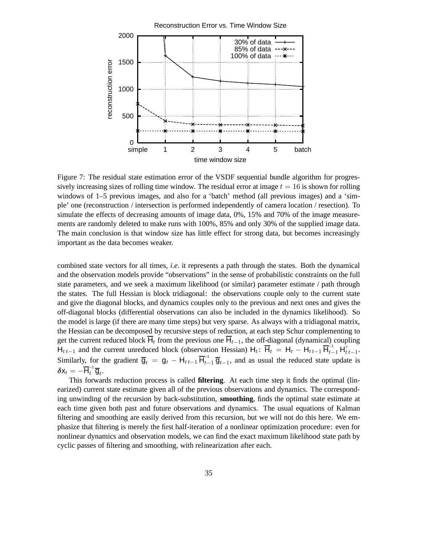

Figure 7: The residual state estimation error of the VSDF sequential bundle algorithm for progressively increasing sizes of rolling time window. The residual error at image  $t = 16$  is shown for rolling windows of 1–5 previous images, and also for a 'batch' method (all previous images) and a 'simple' one (reconstruction / intersection is performed independently of camera location / resection). To simulate the effects of decreasing amounts of image data, 0%, 15% and 70% of the image measurements are randomly deleted to make runs with 100%, 85% and only 30% of the supplied image data. The main conclusion is that window size has little effect for strong data, but becomes increasingly important as the data becomes weaker.

combined state vectors for all times, *i.e*. it represents a path through the states. Both the dynamical and the observation models provide "observations" in the sense of probabilistic constraints on the full state parameters, and we seek a maximum likelihood (or similar) parameter estimate / path through the states. The full Hessian is block tridiagonal: the observations couple only to the current state and give the diagonal blocks, and dynamics couples only to the previous and next ones and gives the off-diagonal blocks (differential observations can also be included in the dynamics likelihood). So the model is large (if there are many time steps) but very sparse. As always with a tridiagonal matrix, the Hessian can be decomposed by recursive steps of reduction, at each step Schur complementing to get the current reduced block  $\overline{H}_t$  from the previous one  $\overline{H}_{t-1}$ , the off-diagonal (dynamical) coupling  $H_{t,t-1}$  and the current unreduced block (observation Hessian)  $H_t: \overline{H}_t = H_t - H_{t,t-1} \overline{H}_{t-1}^{-1} H_{t-1}^{-1}$ . Similarly, for the gradient  $\overline{g}_t = g_t - H_{t t-1} \overline{H}_{t-1}^{-1} \overline{g}_{t-1}$ , and as usual the reduced state update is  $\boldsymbol{\delta} \mathsf{X}_t = -\overline{\mathsf{H}}_t^{-1} \overline{\mathsf{g}}_t.$ <br>This forware

This forwards reduction process is called **filtering**. At each time step it finds the optimal (linearized) current state estimate given all of the previous observations and dynamics. The corresponding unwinding of the recursion by back-substitution, **smoothing**, finds the optimal state estimate at each time given both past and future observations and dynamics. The usual equations of Kalman filtering and smoothing are easily derived from this recursion, but we will not do this here. We emphasize that filtering is merely the first half-iteration of a nonlinear optimization procedure: even for nonlinear dynamics and observation models, we can find the exact maximum likelihood state path by cyclic passes of filtering and smoothing, with relinearization after each.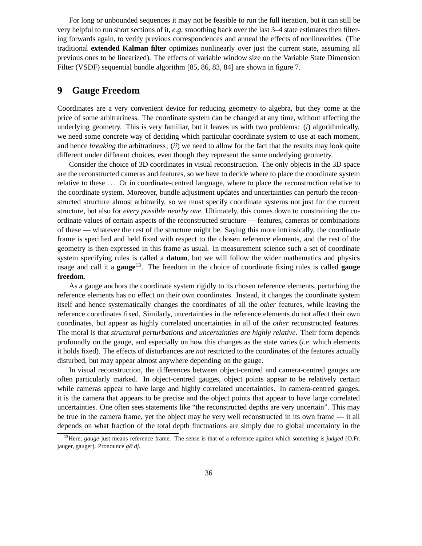For long or unbounded sequences it may not be feasible to run the full iteration, but it can still be very helpful to run short sections of it, *e.g*. smoothing back over the last 3–4 state estimates then filtering forwards again, to verify previous correspondences and anneal the effects of nonlinearities. (The traditional **extended Kalman filter** optimizes nonlinearly over just the current state, assuming all previous ones to be linearized). The effects of variable window size on the Variable State Dimension Filter (VSDF) sequential bundle algorithm [85, 86, 83, 84] are shown in figure 7.

## **9 Gauge Freedom**

Coordinates are a very convenient device for reducing geometry to algebra, but they come at the price of some arbitrariness. The coordinate system can be changed at any time, without affecting the underlying geometry. This is very familiar, but it leaves us with two problems: (*i*) algorithmically, we need some concrete way of deciding which particular coordinate system to use at each moment, and hence *breaking* the arbitrariness; (*ii*) we need to allow for the fact that the results may look quite different under different choices, even though they represent the same underlying geometry.

Consider the choice of 3D coordinates in visual reconstruction. The only objects in the 3D space are the reconstructed cameras and features, so we have to decide where to place the coordinate system relative to these ... Or in coordinate-centred language, where to place the reconstruction relative to the coordinate system. Moreover, bundle adjustment updates and uncertainties can perturb the reconstructed structure almost arbitrarily, so we must specify coordinate systems not just for the current structure, but also for *every possible nearby one*. Ultimately, this comes down to constraining the coordinate values of certain aspects of the reconstructed structure — features, cameras or combinations of these — whatever the rest of the structure might be. Saying this more intrinsically, the coordinate frame is specified and held fixed with respect to the chosen reference elements, and the rest of the geometry is then expressed in this frame as usual. In measurement science such a set of coordinate system specifying rules is called a **datum**, but we will follow the wider mathematics and physics usage and call it a **gauge**<sup>13</sup>. The freedom in the choice of coordinate fixing rules is called **gauge freedom**.

As a gauge anchors the coordinate system rigidly to its chosen reference elements, perturbing the reference elements has no effect on their own coordinates. Instead, it changes the coordinate system itself and hence systematically changes the coordinates of all the *other* features, while leaving the reference coordinates fixed. Similarly, uncertainties in the reference elements do not affect their own coordinates, but appear as highly correlated uncertainties in all of the *other* reconstructed features. The moral is that *structural perturbations and uncertainties are highly relative*. Their form depends profoundly on the gauge, and especially on how this changes as the state varies (*i.e*. which elements it holds fixed). The effects of disturbances are *not* restricted to the coordinates of the features actually disturbed, but may appear almost anywhere depending on the gauge.

In visual reconstruction, the differences between object-centred and camera-centred gauges are often particularly marked. In object-centred gauges, object points appear to be relatively certain while cameras appear to have large and highly correlated uncertainties. In camera-centred gauges, it is the camera that appears to be precise and the object points that appear to have large correlated uncertainties. One often sees statements like "the reconstructed depths are very uncertain". This may be true in the camera frame, yet the object may be very well reconstructed in its own frame — it all depends on what fraction of the total depth fluctuations are simply due to global uncertainty in the

<sup>13</sup>Here, *gauge* just means reference frame. The sense is that of a reference against which something is *judged* (O.Fr. jauger, gauger). Pronounce  $g\bar{e}^{i}dj$ .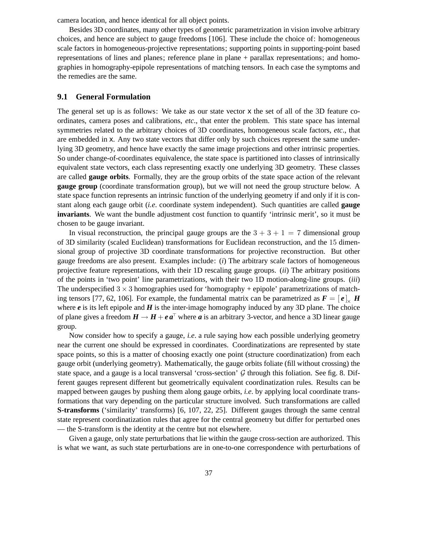camera location, and hence identical for all object points.

Besides 3D coordinates, many other types of geometric parametrization in vision involve arbitrary choices, and hence are subject to gauge freedoms [106]. These include the choice of: homogeneous scale factors in homogeneous-projective representations; supporting points in supporting-point based representations of lines and planes; reference plane in plane + parallax representations; and homographies in homography-epipole representations of matching tensors. In each case the symptoms and the remedies are the same.

## **9.1 General Formulation**

The general set up is as follows: We take as our state vector x the set of all of the 3D feature coordinates, camera poses and calibrations, *etc*., that enter the problem. This state space has internal symmetries related to the arbitrary choices of 3D coordinates, homogeneous scale factors, *etc*., that are embedded in x. Any two state vectors that differ only by such choices represent the same underlying 3D geometry, and hence have exactly the same image projections and other intrinsic properties. So under change-of-coordinates equivalence, the state space is partitioned into classes of intrinsically equivalent state vectors, each class representing exactly one underlying 3D geometry. These classes are called **gauge orbits**. Formally, they are the group orbits of the state space action of the relevant **gauge group** (coordinate transformation group), but we will not need the group structure below. A state space function represents an intrinsic function of the underlying geometry if and only if it is constant along each gauge orbit (*i.e*. coordinate system independent). Such quantities are called **gauge invariants**. We want the bundle adjustment cost function to quantify 'intrinsic merit', so it must be chosen to be gauge invariant.

In visual reconstruction, the principal gauge groups are the  $3+3+1=7$  dimensional group of 3D similarity (scaled Euclidean) transformations for Euclidean reconstruction, and the 15 dimensional group of projective 3D coordinate transformations for projective reconstruction. But other gauge freedoms are also present. Examples include: (*i*) The arbitrary scale factors of homogeneous projective feature representations, with their 1D rescaling gauge groups. (*ii*) The arbitrary positions of the points in 'two point' line parametrizations, with their two 1D motion-along-line groups. (*iii*) The underspecified  $3 \times 3$  homographies used for 'homography + epipole' parametrizations of matching tensors [77, 62, 106]. For example, the fundamental matrix can be parametrized as  $\mathbf{F} = [\mathbf{e}]_{\times} \mathbf{H}$ <br>where e is its left eninole and  $\mathbf{H}$  is the inter-image homography induced by any 3D plane. The choice where  $e$  is its left epipole and  $H$  is the inter-image homography induced by any 3D plane. The choice of plane gives a freedom  $H \to H + e \mathbf{a}^{\top}$  where  $\mathbf{a}$  is an arbitrary 3-vector, and hence a 3D linear gauge group.

Now consider how to specify a gauge, *i.e*. a rule saying how each possible underlying geometry near the current one should be expressed in coordinates. Coordinatizations are represented by state space points, so this is a matter of choosing exactly one point (structure coordinatization) from each gauge orbit (underlying geometry). Mathematically, the gauge orbits foliate (fill without crossing) the state space, and a gauge is a local transversal 'cross-section'  $G$  through this foliation. See fig. 8. Different gauges represent different but geometrically equivalent coordinatization rules. Results can be mapped between gauges by pushing them along gauge orbits, *i.e*. by applying local coordinate transformations that vary depending on the particular structure involved. Such transformations are called **S-transforms** ('similarity' transforms) [6, 107, 22, 25]. Different gauges through the same central state represent coordinatization rules that agree for the central geometry but differ for perturbed ones — the S-transform is the identity at the centre but not elsewhere.

Given a gauge, only state perturbations that lie within the gauge cross-section are authorized. This is what we want, as such state perturbations are in one-to-one correspondence with perturbations of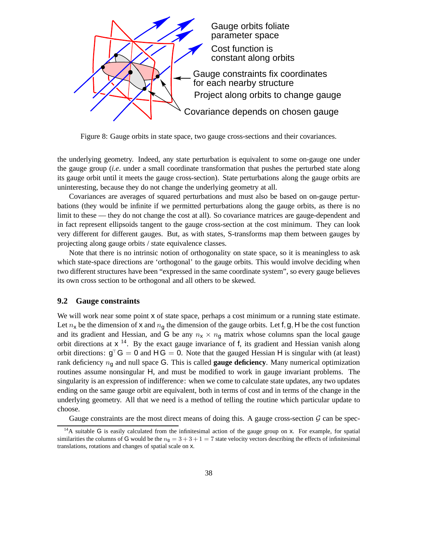

Figure 8: Gauge orbits in state space, two gauge cross-sections and their covariances.

the underlying geometry. Indeed, any state perturbation is equivalent to some on-gauge one under the gauge group (*i.e*. under a small coordinate transformation that pushes the perturbed state along its gauge orbit until it meets the gauge cross-section). State perturbations along the gauge orbits are uninteresting, because they do not change the underlying geometry at all.

Covariances are averages of squared perturbations and must also be based on on-gauge perturbations (they would be infinite if we permitted perturbations along the gauge orbits, as there is no limit to these — they do not change the cost at all). So covariance matrices are gauge-dependent and in fact represent ellipsoids tangent to the gauge cross-section at the cost minimum. They can look very different for different gauges. But, as with states, S-transforms map them between gauges by projecting along gauge orbits / state equivalence classes.

Note that there is no intrinsic notion of orthogonality on state space, so it is meaningless to ask which state-space directions are 'orthogonal' to the gauge orbits. This would involve deciding when two different structures have been "expressed in the same coordinate system", so every gauge believes its own cross section to be orthogonal and all others to be skewed.

#### **9.2 Gauge constraints**

We will work near some point **x** of state space, perhaps a cost minimum or a running state estimate. Let  $n_x$  be the dimension of x and  $n_g$  the dimension of the gauge orbits. Let f, g, H be the cost function and its gradient and Hessian, and G be any  $n_x \times n_g$  matrix whose columns span the local gauge orbit directions at  $x^{14}$ . By the exact gauge invariance of f, its gradient and Hessian vanish along orbit directions:  $g^{\dagger} G = 0$  and  $H G = 0$ . Note that the gauged Hessian H is singular with (at least) rank deficiency  $n<sub>g</sub>$  and null space G. This is called **gauge deficiency**. Many numerical optimization routines assume nonsingular H, and must be modified to work in gauge invariant problems. The singularity is an expression of indifference: when we come to calculate state updates, any two updates ending on the same gauge orbit are equivalent, both in terms of cost and in terms of the change in the underlying geometry. All that we need is a method of telling the routine which particular update to choose.

Gauge constraints are the most direct means of doing this. A gauge cross-section  $\mathcal G$  can be spec-

<sup>&</sup>lt;sup>14</sup>A suitable G is easily calculated from the infinitesimal action of the gauge group on x. For example, for spatial similarities the columns of G would be the  $n<sub>g</sub> = 3 + 3 + 1 = 7$  state velocity vectors describing the effects of infinitesimal translations, rotations and changes of spatial scale on x.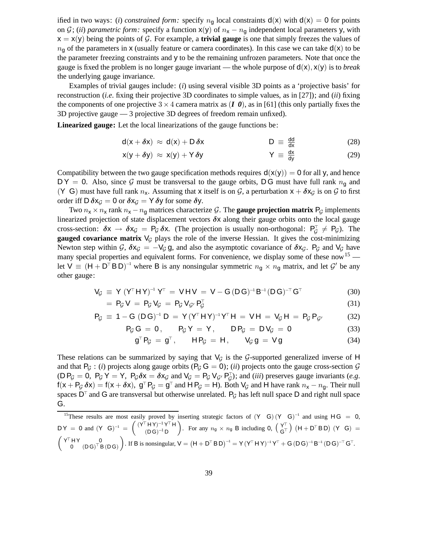ified in two ways: (*i*) *constrained form*: specify  $n_q$  local constraints  $d(x)$  with  $d(x) = 0$  for points on G; (*ii*) *parametric form:* specify a function  $x(y)$  of  $n_x - n_q$  independent local parameters y, with  $x = x(y)$  being the points of G. For example, a **trivial gauge** is one that simply freezes the values of  $n_q$  of the parameters in **x** (usually feature or camera coordinates). In this case we can take  $d(x)$  to be the parameter freezing constraints and y to be the remaining unfrozen parameters. Note that once the gauge is fixed the problem is no longer gauge invariant — the whole purpose of  $d(x)$ ,  $x(y)$  is to *break* the underlying gauge invariance.

Examples of trivial gauges include: (*i*) using several visible 3D points as a 'projective basis' for reconstruction (*i.e*. fixing their projective 3D coordinates to simple values, as in [27]); and (*ii*) fixing the components of one projective  $3 \times 4$  camera matrix as (*I* 0), as in [61] (this only partially fixes the 3D projective gauge — 3 projective 3D degrees of freedom remain unfixed).

**Linearized gauge:** Let the local linearizations of the gauge functions be:

$$
d(x + \delta x) \approx d(x) + D \delta x \qquad D \equiv \frac{dd}{dx} \qquad (28)
$$

$$
x(y + \delta y) \approx x(y) + Y \delta y \qquad \qquad Y \equiv \frac{dx}{dy} \qquad (29)
$$

Compatibility between the two gauge specification methods requires  $d(x(y)) = 0$  for all y, and hence  $DY = 0$ . Also, since G must be transversal to the gauge orbits, DG must have full rank  $n<sub>q</sub>$  and (Y G) must have full rank  $n_x$ . Assuming that x itself is on G, a perturbation  $x + \delta x$  is on G to first order iff  $\Delta \delta x_G = 0$  or  $\delta x_G = Y \delta y$  for some  $\delta y$ .

Two  $n_x \times n_x$  rank  $n_x - n_q$  matrices characterize G. The **gauge projection matrix**  $P_G$  implements linearized projection of state displacement vectors *δ*x along their gauge orbits onto the local gauge cross-section:  $\delta x \to \delta x_g = P_g \delta x$ . (The projection is usually non-orthogonal:  $P_g^{\dagger} \neq P_g$ ). The **gauged covariance matrix**  $V_G$  plays the role of the inverse Hessian. It gives the cost-minimizing Newton step within  $\mathcal{G}$ ,  $\delta x_{\mathcal{G}} = -V_{\mathcal{G}} g$ , and also the asymptotic covariance of  $\delta x_{\mathcal{G}}$ . P<sub>G</sub> and V<sub>G</sub> have many special properties and equivalent forms. For convenience, we display some of these now<sup>15</sup> let  $V \equiv (H + D^{\top} B D)^{-1}$  where B is any nonsingular symmetric  $n_g \times n_g$  matrix, and let  $G'$  be any other gauge: other gauge:

$$
V_{\mathcal{G}} \equiv Y (Y^{T} H Y)^{-1} Y^{T} = V H V = V - G (D G)^{-1} B^{-1} (D G)^{-T} G^{T}
$$
(30)

$$
= P_{\mathcal{G}} V = P_{\mathcal{G}} V_{\mathcal{G}} = P_{\mathcal{G}} V_{\mathcal{G}'} P_{\mathcal{G}}^{\top}
$$
\n(31)

$$
P_{\mathcal{G}} \equiv 1 - G (D G)^{-1} D = Y (Y^{T} H Y)^{-1} Y^{T} H = V H = V_{\mathcal{G}} H = P_{\mathcal{G}} P_{\mathcal{G}'}
$$
 (32)

$$
P_{\mathcal{G}}G = 0, \qquad P_{\mathcal{G}}Y = Y, \qquad DP_{\mathcal{G}} = DV_{\mathcal{G}} = 0 \tag{33}
$$

$$
g^{\top}P_{\mathcal{G}} = g^{\top}, \qquad HP_{\mathcal{G}} = H, \qquad V_{\mathcal{G}}g = Vg \tag{34}
$$

These relations can be summarized by saying that  $V_G$  is the G-supported generalized inverse of H and that  $P_G$ : (*i*) projects along gauge orbits ( $P_G$  G = 0); (*ii*) projects onto the gauge cross-section G  $(D P_G = 0, P_G Y = Y, P_G \delta x = \delta x_G$  and  $V_G = P_G V_{G'} P_G^T$ ; and *(iii)* preserves gauge invariants *(e.g.*)<br> $f(x + P_G \delta x) - f(x + \delta x)$ ,  $g^T P_G = g^T$  and  $H P_G = H$ ). Both  $V_G$  and  $H$  have rank  $n = n$ . Their pull  $f(x + P_{\mathcal{G}} \delta x) = f(x + \delta x)$ ,  $g^{\top} P_{\mathcal{G}} = g^{\top}$  and  $H P_{\mathcal{G}} = H$ ). Both  $V_{\mathcal{G}}$  and  $H$  have rank  $n_x - n_g$ . Their null spaces  $D^{\top}$  and G are transversal but otherwise unrelated.  $P_G$  has left null space D and right null space G.

<sup>&</sup>lt;sup>15</sup>These results are most easily proved by inserting strategic factors of  $(Y \ G) (Y \ G)^{-1}$  and using  $HG = 0$ ,  $DY = 0$  and  $(Y \ G)^{-1} = \begin{pmatrix} (Y^{T} H Y)^{-1} Y^{T} H \\ (D G)^{-1} D \end{pmatrix}$  $(\mathsf{D}\mathsf{G})^{-1}\mathsf{Y}^{\top}\mathsf{H}$  For any  $n_{\mathsf{g}} \times n_{\mathsf{g}}$  B including 0,  $(\mathsf{Y}^{\top}) (\mathsf{H} + \mathsf{D}^{\top} \mathsf{B} \mathsf{D}) (\mathsf{Y} \mathsf{G}) =$  $\left(Y^{T}HY\right)$  0  $0 (D G)^{\top} B (D G)$ ). If B is nonsingular,  $V = (H + D^T B D)^{-1} = Y(Y^T H Y)^{-1} Y^T + G (D G)^{-1} B^{-1} (D G)^{-T} G^T$ .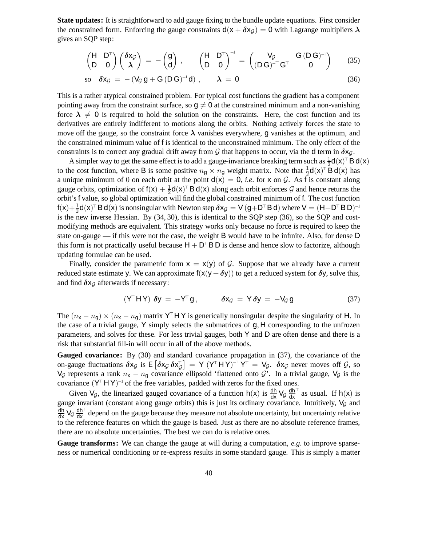**State updates:** It is straightforward to add gauge fixing to the bundle update equations. First consider the constrained form. Enforcing the gauge constraints  $d(x + \delta x) = 0$  with Lagrange multipliers  $\lambda$ gives an SQP step:

$$
\begin{pmatrix} H & D^{\top} \\ D & 0 \end{pmatrix} \begin{pmatrix} \delta x_{\mathcal{G}} \\ \lambda \end{pmatrix} = - \begin{pmatrix} g \\ d \end{pmatrix}, \qquad \begin{pmatrix} H & D^{\top} \\ D & 0 \end{pmatrix}^{-1} = \begin{pmatrix} V_{\mathcal{G}} & G(DG)^{-1} \\ (DG)^{-T}G^{T} & 0 \end{pmatrix}
$$
(35)

so 
$$
\delta x_{\mathcal{G}} = - (V_{\mathcal{G}} g + G (DG)^{-1} d)
$$
,  $\lambda = 0$  (36)

This is a rather atypical constrained problem. For typical cost functions the gradient has a component pointing away from the constraint surface, so  $g \neq 0$  at the constrained minimum and a non-vanishing force  $\lambda \neq 0$  is required to hold the solution on the constraints. Here, the cost function and its derivatives are entirely indifferent to motions along the orbits. Nothing actively forces the state to move off the gauge, so the constraint force  $\lambda$  vanishes everywhere, g vanishes at the optimum, and the constrained minimum value of f is identical to the unconstrained minimum. The only effect of the constraints is to correct any gradual drift away from G that happens to occur, via the d term in  $\delta x_G$ .

A simpler way to get the same effect is to add a gauge-invariance breaking term such as  $\frac{1}{2}d(x)^{\top}B d(x)$ <br>as cost function, where B is some positive  $n_x \times n_x$  weight matrix. Note that  $\frac{1}{2}d(x)^{\top}B d(x)$  has to the cost function, where **B** is some positive  $n_g \times n_g$  weight matrix. Note that  $\frac{1}{2}d(x)^\top \tilde{B} d(x)$  has a unique minimum of 0 on each orbit at the point  $d(x) = 0$  i.e. for x on G. As f is constant along a unique minimum of 0 on each orbit at the point  $d(x) = 0$ , *i.e.* for x on G. As f is constant along gauge orbits, optimization of  $f(x) + \frac{1}{2}d(x)^T B d(x)$  along each orbit enforces G and hence returns the orbit's f value so global optimization will find the global constrained minimum of f. The cost function orbit's f value, so global optimization will find the global constrained minimum of f. The cost function  $f(x)+\frac{1}{2}d(x)^{\top}B d(x)$  is nonsingular with Newton step  $\delta x_G = V(g+D^{\top}B d)$  where  $V = (H+D^{\top}B D)^{-1}$ <br>is the new inverse Hessian. By (34–30), this is identical to the SOP step (36), so the SOP and costis the new inverse Hessian. By (34, 30), this is identical to the SQP step (36), so the SQP and costmodifying methods are equivalent. This strategy works only because no force is required to keep the state on-gauge — if this were not the case, the weight B would have to be infinite. Also, for dense D this form is not practically useful because  $H + D^{\top}BD$  is dense and hence slow to factorize, although updating formulae can be used.

Finally, consider the parametric form  $x = x(y)$  of G. Suppose that we already have a current reduced state estimate y. We can approximate  $f(x(y + \delta y))$  to get a reduced system for  $\delta y$ , solve this, and find  $\delta x_G$  afterwards if necessary:

$$
(\mathsf{Y}^{\top} \mathsf{H} \mathsf{Y}) \delta \mathsf{y} = -\mathsf{Y}^{\top} \mathsf{g}, \qquad \delta \mathsf{x}_{\mathcal{G}} = \mathsf{Y} \delta \mathsf{y} = -\mathsf{V}_{\mathcal{G}} \mathsf{g} \qquad (37)
$$

The  $(n_x - n_g) \times (n_x - n_g)$  matrix Y<sup>⊤</sup> H Y is generically nonsingular despite the singularity of H. In the case of a trivial gauge, Y simply selects the submatrices of g, H corresponding to the unfrozen parameters, and solves for these. For less trivial gauges, both Y and D are often dense and there is a risk that substantial fill-in will occur in all of the above methods.

**Gauged covariance:** By (30) and standard covariance propagation in (37), the covariance of the on-gauge fluctuations  $\delta x_G$  is  $E[\delta x_G \, \delta x_G^T] = Y (Y^T H Y)^{-1} Y^T = V_G$ .  $\delta x_G$  never moves off G, so  $V_G$  represents a rank  $g$  or covariance ellipsoid 'flattened onto G'. In a trivial gauge  $V_G$  is the  $V_G$  represents a rank  $n_x - n_g$  covariance ellipsoid 'flattened onto G'. In a trivial gauge,  $V_G$  is the covariance  $(Y^{\top}H Y)^{-1}$  of the free variables, padded with zeros for the fixed ones.<br>City of the linearized asymptote a factorized b(y) is db  $V$  db<sup>T</sup>

Given  $V_g$ , the linearized gauged covariance of a function  $h(x)$  is  $\frac{dh}{dx}V_g \frac{dh}{dx}$  $\frac{dh}{dx}$  as usual. If  $h(x)$  is gauge invariant (constant along gauge orbits) this is just its ordinary covariance. Intuitively,  $V_G$  and dh V<sub>G</sub> dh<br>dx  $\frac{dh}{dx}$ <sup>1</sup> depend on the gauge because they measure not absolute uncertainty, but uncertainty relative to the reference features on which the gauge is based. Just as there are no absolute reference frames, there are no absolute uncertainties. The best we can do is relative ones.

**Gauge transforms:** We can change the gauge at will during a computation, *e.g*. to improve sparseness or numerical conditioning or re-express results in some standard gauge. This is simply a matter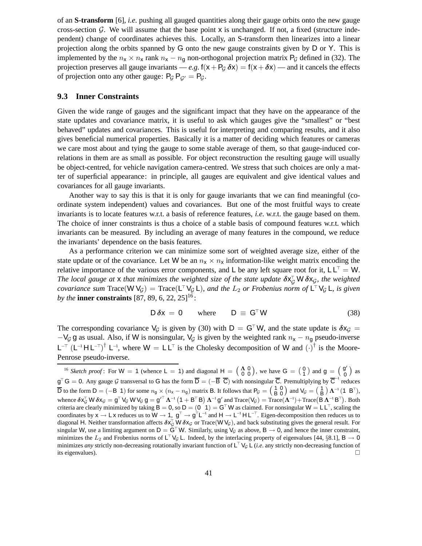of an **S-transform** [6], *i.e*. pushing all gauged quantities along their gauge orbits onto the new gauge cross-section  $G$ . We will assume that the base point  $x$  is unchanged. If not, a fixed (structure independent) change of coordinates achieves this. Locally, an S-transform then linearizes into a linear projection along the orbits spanned by G onto the new gauge constraints given by D or Y. This is implemented by the  $n_x \times n_x$  rank  $n_x - n_g$  non-orthogonal projection matrix  $P_g$  defined in (32). The projection preserves all gauge invariants — *e.g.*  $f(x + P_G \delta x) = f(x + \delta x)$  — and it cancels the effects of projection onto any other gauge:  $P_{\mathcal{G}} P_{\mathcal{G}'} = P_{\mathcal{G}}$ .

#### **9.3 Inner Constraints**

Given the wide range of gauges and the significant impact that they have on the appearance of the state updates and covariance matrix, it is useful to ask which gauges give the "smallest" or "best behaved" updates and covariances. This is useful for interpreting and comparing results, and it also gives beneficial numerical properties. Basically it is a matter of deciding which features or cameras we care most about and tying the gauge to some stable average of them, so that gauge-induced correlations in them are as small as possible. For object reconstruction the resulting gauge will usually be object-centred, for vehicle navigation camera-centred. We stress that such choices are only a matter of superficial appearance: in principle, all gauges are equivalent and give identical values and covariances for all gauge invariants.

Another way to say this is that it is only for gauge invariants that we can find meaningful (coordinate system independent) values and covariances. But one of the most fruitful ways to create invariants is to locate features w.r.t. a basis of reference features, *i.e*. w.r.t. the gauge based on them. The choice of inner constraints is thus a choice of a stable basis of compound features w.r.t. which invariants can be measured. By including an average of many features in the compound, we reduce the invariants' dependence on the basis features.

As a performance criterion we can minimize some sort of weighted average size, either of the state update or of the covariance. Let W be an  $n_x \times n_x$  information-like weight matrix encoding the relative importance of the various error components, and L be any left square root for it,  $LL^{\top} = W$ . *The local gauge at* **x** *that minimizes the weighted size of the state update*  $\delta x_G^T W \delta x_G$ *, the weighted covariance sum* Trace(W  $V_g$ ) = Trace( $L^{\top}V_g L$ )*, and the*  $L_2$  *or Frobenius norm of*  $L^{\top}V_g L$ *, is given by the* **inner constraints** [87, 89, 6, 22, 25]<sup>16</sup>:

$$
D \, \delta x = 0 \qquad \text{where} \qquad D \equiv G^{\top} W \tag{38}
$$

The corresponding covariance V<sub>G</sub> is given by (30) with  $D = G<sup>T</sup> W$ , and the state update is  $\delta x_G =$  $-V<sub>G</sub>$ g as usual. Also, if W is nonsingular,  $V<sub>G</sub>$  is given by the weighted rank  $n<sub>x</sub> - n<sub>g</sub>$  pseudo-inverse L<sup>-⊤</sup> (L<sup>-1</sup> H L<sup>-⊤</sup>)<sup>†</sup> L<sup>-1</sup>, where W = L L<sup>⊤</sup> is the Cholesky decomposition of W and  $(·)$ <sup>†</sup> is the Moore-<br>Penrose pseudo-inverse Penrose pseudo-inverse.

<sup>&</sup>lt;sup>16</sup> *Sketch proof*: For W = 1 (whence L = 1) and diagonal H =  $\begin{pmatrix} \Lambda & 0 \\ 0 & 0 \end{pmatrix}$ , we have G =  $\begin{pmatrix} 0 \\ 1 \end{pmatrix}$  and  $g = \begin{pmatrix} g' \\ 0 \end{pmatrix}$  as  $g^T G = 0$ . Any gauge G transversal to G has the form  $\overline{D} = (-\overline{B} \ \overline{C})$  with nonsingular  $\overline{C}$ . Premultiplying by  $\overline{C}^{-1}$  reduces  $\overline{D}$  to the form  $D = (-B \ 1)$  for some  $n_B \times (n_X - n_B)$  matrix B. It follows that  $P_G = \begin{pmatrix} 1 & 0 \\ B & 0 \end{pmatrix}$  and  $V_G = \begin{pmatrix} 1 \\ B \end{pmatrix} \Lambda^{-1} (1 \ B^T)$ , whence  $\delta x_G^{\top} W \delta x_G = g^{\top} V_G W V_G g = g'^{\top} \Lambda^{-1} (1 + B^{\top} B) \Lambda^{-1} g'$  and  $Trace(V_G) = Trace(\Lambda^{-1}) + Trace(B \Lambda^{-1} B^{\top})$ . Both criteria are clearly minimized by taking  $B = 0$ , so  $D = (0, 1) - G^{\top} W$  as claimed. For nonsingular  $W = 1 + \frac{T}{2}$  scaling t criteria are clearly minimized by taking  $B = 0$ , so  $D = (0 \ 1) = G^{\top}W$  as claimed. For nonsingular  $W = L L^{\top}$ , scaling the coordinates by  $X \to L X$  reduces us to  $W \to 1$ ,  $X$  reduces us to  $W \to 1$ ,  $\sigma^{\top} \to \sigma^{\top}L^{-1}$  and coordinates by  $x \to Lx$  reduces us to W  $\to 1$ ,  $g^{\top} \to g^{\top}L^{-1}$  and  $H \to L^{-1}H L^{-T}$ . Eigen-decomposition then reduces us to diagonal H. Neither transformation affects  $\delta x_Q^T W \delta x_Q$  or Trace(WV<sub>G</sub>), and back substituting gives the general result. For<br>singular W, use a limiting argument on  $D - G^T W$ . Similarly using V<sub>o</sub> as above  $B \rightarrow 0$  and henc singular W, use a limiting argument on  $D = \tilde{G}^{\top} W$ . Similarly, using  $V_G$  as above,  $B \to 0$ , and hence the inner constraint, minimizes the  $L_2$  and Frobenius norms of  $L^{\top}V_G L$ . Indeed, by the interlacing property of eigenvalues [44, §8.1],  $B \to 0$ minimizes *any* strictly non-decreasing rotationally invariant function of  $L^{\top} V_{\mathcal{G}} L$  (*i.e.* any strictly non-decreasing function of its eigenvalues).  $\Box$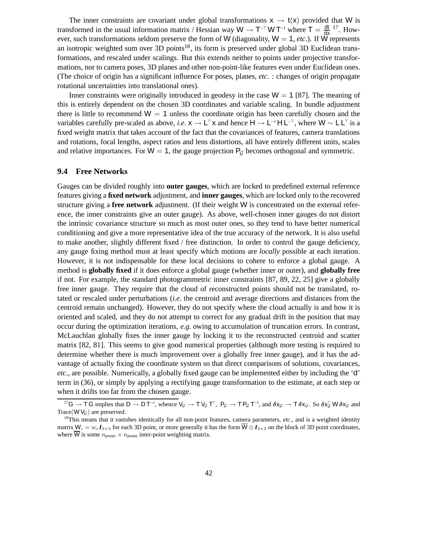The inner constraints are covariant under global transformations  $x \to t(x)$  provided that W is transformed in the usual information matrix / Hessian way  $W \to T^{-\top} W T^{-1}$  where  $T = \frac{dt}{dx}^{17}$ . How-<br>ever such transformations seldom preserve the form of *M* (diagonality  $W = 1$ , etc.) If *M* represents ever, such transformations seldom preserve the form of W (diagonality,  $W = 1$ , *etc.*). If W represents an isotropic weighted sum over 3D points<sup>18</sup>, its form is preserved under global 3D Euclidean transformations, and rescaled under scalings. But this extends neither to points under projective transformations, nor to camera poses, 3D planes and other non-point-like features even under Euclidean ones. (The choice of origin has a significant influence For poses, planes, *etc*. : changes of origin propagate rotational uncertainties into translational ones).

Inner constraints were originally introduced in geodesy in the case  $W = 1$  [87]. The meaning of this is entirely dependent on the chosen 3D coordinates and variable scaling. In bundle adjustment there is little to recommend  $W = 1$  unless the coordinate origin has been carefully chosen and the variables carefully pre-scaled as above, *i.e.*  $x \to L^{\top}x$  and hence  $H \to L^{-1}H L^{-\top}$ , where W  $\sim L L^{\top}$  is a fixed weight matrix that takes account of the fact that the covariances of features, camera translations and rotations, focal lengths, aspect ratios and lens distortions, all have entirely different units, scales and relative importances. For  $W = 1$ , the gauge projection  $P_G$  becomes orthogonal and symmetric.

#### **9.4 Free Networks**

Gauges can be divided roughly into **outer gauges**, which are locked to predefined external reference features giving a **fixed network** adjustment, and **inner gauges**, which are locked only to the recovered structure giving a **free network** adjustment. (If their weight W is concentrated on the external reference, the inner constraints give an outer gauge). As above, well-chosen inner gauges do not distort the intrinsic covariance structure so much as most outer ones, so they tend to have better numerical conditioning and give a more representative idea of the true accuracy of the network. It is also useful to make another, slightly different fixed / free distinction. In order to control the gauge deficiency, any gauge fixing method must at least specify which motions are *locally* possible at each iteration. However, it is not indispensable for these local decisions to cohere to enforce a global gauge. A method is **globally fixed** if it does enforce a global gauge (whether inner or outer), and **globally free** if not. For example, the standard photogrammetric inner constraints [87, 89, 22, 25] give a globally free inner gauge. They require that the cloud of reconstructed points should not be translated, rotated or rescaled under perturbations (*i.e*. the centroid and average directions and distances from the centroid remain unchanged). However, they do not specify where the cloud actually is and how it is oriented and scaled, and they do not attempt to correct for any gradual drift in the position that may occur during the optimization iterations, *e.g*. owing to accumulation of truncation errors. In contrast, McLauchlan globally fixes the inner gauge by locking it to the reconstructed centroid and scatter matrix [82, 81]. This seems to give good numerical properties (although more testing is required to determine whether there is much improvement over a globally free inner gauge), and it has the advantage of actually fixing the coordinate system so that direct comparisons of solutions, covariances, *etc*., are possible. Numerically, a globally fixed gauge can be implemented either by including the 'd' term in (36), or simply by applying a rectifying gauge transformation to the estimate, at each step or when it drifts too far from the chosen gauge.

<sup>&</sup>lt;sup>17</sup>G → T G implies that D → D T<sup>-1</sup>, whence  $V_g$  → T  $V_g$  T<sup>-T</sup>,  $P_g$  → T  $P_g$  T<sup>-1</sup>, and  $\delta x_g$  → T  $\delta x_g$ . So  $\delta x_g^{\top}$  W  $\delta x_g$  and Trace(W  $V_G$ ) are preserved.<br><sup>18</sup>This means that it vanishes identically for all non-point features, camera parameters, *etc.*, and is a weighted identity

matrix  $W_i = w_i I_{3\times 3}$  for each 3D point, or more generally it has the form  $\overline{W} \otimes I_{3\times 3}$  on the block of 3D point coordinates, where W is some  $n_{\text{points}} \times n_{\text{points}}$  inter-point weighting matrix.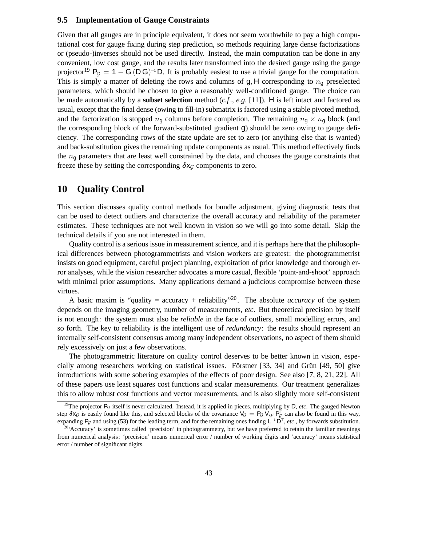#### **9.5 Implementation of Gauge Constraints**

Given that all gauges are in principle equivalent, it does not seem worthwhile to pay a high computational cost for gauge fixing during step prediction, so methods requiring large dense factorizations or (pseudo-)inverses should not be used directly. Instead, the main computation can be done in any convenient, low cost gauge, and the results later transformed into the desired gauge using the gauge projector<sup>19</sup>  $P_g = 1 - G(DG)^{-1}D$ . It is probably easiest to use a trivial gauge for the computation. This is simply a matter of deleting the rows and columns of  $g$ , H corresponding to  $n<sub>g</sub>$  preselected parameters, which should be chosen to give a reasonably well-conditioned gauge. The choice can be made automatically by a **subset selection** method (*c.f* ., *e.g*. [11]). H is left intact and factored as usual, except that the final dense (owing to fill-in) submatrix is factored using a stable pivoted method, and the factorization is stopped  $n<sub>g</sub>$  columns before completion. The remaining  $n<sub>g</sub> \times n<sub>g</sub>$  block (and the corresponding block of the forward-substituted gradient g) should be zero owing to gauge deficiency. The corresponding rows of the state update are set to zero (or anything else that is wanted) and back-substitution gives the remaining update components as usual. This method effectively finds the  $n_q$  parameters that are least well constrained by the data, and chooses the gauge constraints that freeze these by setting the corresponding  $\delta x_G$  components to zero.

## **10 Quality Control**

This section discusses quality control methods for bundle adjustment, giving diagnostic tests that can be used to detect outliers and characterize the overall accuracy and reliability of the parameter estimates. These techniques are not well known in vision so we will go into some detail. Skip the technical details if you are not interested in them.

Quality control is a serious issue in measurement science, and it is perhaps here that the philosophical differences between photogrammetrists and vision workers are greatest: the photogrammetrist insists on good equipment, careful project planning, exploitation of prior knowledge and thorough error analyses, while the vision researcher advocates a more casual, flexible 'point-and-shoot' approach with minimal prior assumptions. Many applications demand a judicious compromise between these virtues.

A basic maxim is "quality = accuracy + reliability"<sup>20</sup>. The absolute *accuracy* of the system depends on the imaging geometry, number of measurements, *etc*. But theoretical precision by itself is not enough: the system must also be *reliable* in the face of outliers, small modelling errors, and so forth. The key to reliability is the intelligent use of *redundancy*: the results should represent an internally self-consistent consensus among many independent observations, no aspect of them should rely excessively on just a few observations.

The photogrammetric literature on quality control deserves to be better known in vision, especially among researchers working on statistical issues. Förstner  $[33, 34]$  and Grün  $[49, 50]$  give introductions with some sobering examples of the effects of poor design. See also [7, 8, 21, 22]. All of these papers use least squares cost functions and scalar measurements. Our treatment generalizes this to allow robust cost functions and vector measurements, and is also slightly more self-consistent

<sup>&</sup>lt;sup>19</sup>The projector  $P_G$  itself is never calculated. Instead, it is applied in pieces, multiplying by  $D$ , *etc*. The gauged Newton step  $\delta x_G$  is easily found like this, and selected blocks of the covariance  $V_G = P_G V_{G'} P_G^T$  can also be found in this way,<br>expanding  $P_G$  and using (53) for the leading term, and for the remaining ones finding  $I^{-1}D^T$ 

expanding  $P_G$  and using (53) for the leading term, and for the remaining ones finding  $L^{-1}D^T$ , etc., by forwards substitution.<br><sup>20</sup>'Accuracy' is sometimes called 'precision' in photogrammetry, but we have preferred to from numerical analysis: 'precision' means numerical error / number of working digits and 'accuracy' means statistical error / number of significant digits.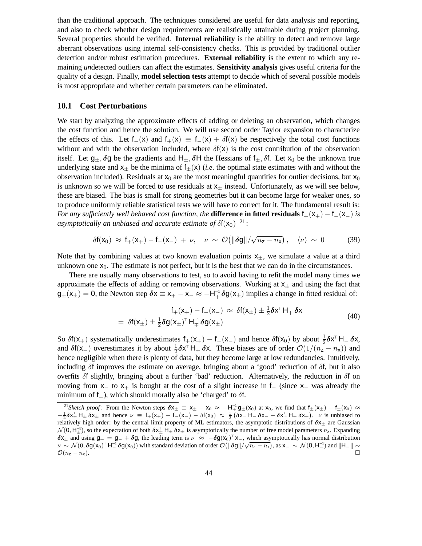than the traditional approach. The techniques considered are useful for data analysis and reporting, and also to check whether design requirements are realistically attainable during project planning. Several properties should be verified. **Internal reliability** is the ability to detect and remove large aberrant observations using internal self-consistency checks. This is provided by traditional outlier detection and/or robust estimation procedures. **External reliability** is the extent to which any remaining *un*detected outliers can affect the estimates. **Sensitivity analysis** gives useful criteria for the quality of a design. Finally, **model selection tests** attempt to decide which of several possible models is most appropriate and whether certain parameters can be eliminated.

### **10.1 Cost Perturbations**

We start by analyzing the approximate effects of adding or deleting an observation, which changes the cost function and hence the solution. We will use second order Taylor expansion to characterize the effects of this. Let  $f_-(x)$  and  $f_+(x) \equiv f_-(x) + \delta f(x)$  be respectively the total cost functions without and with the observation included, where  $\delta f(x)$  is the cost contribution of the observation itself. Let  $g_{\pm}$ ,  $\delta g$  be the gradients and  $H_{\pm}$ ,  $\delta H$  the Hessians of  $f_{\pm}$ ,  $\delta f$ . Let  $x_0$  be the unknown true underlying state and  $x_{\pm}$  be the minima of  $f_{\pm}(x)$  (*i.e.* the optimal state estimates with and without the observation included). Residuals at  $x_0$  are the most meaningful quantities for outlier decisions, but  $x_0$ is unknown so we will be forced to use residuals at  $x_{\pm}$  instead. Unfortunately, as we will see below, these are biased. The bias is small for strong geometries but it can become large for weaker ones, so to produce uniformly reliable statistical tests we will have to correct for it. The fundamental result is: *For any sufficiently well behaved cost function, the difference in fitted residuals*  $f_{+}(x_{+}) - f_{-}(x_{-})$  *<i>is asymptotically an unbiased and accurate estimate of*  $\delta f(x_0)$ <sup>21</sup>:

$$
\delta f(\mathbf{x}_0) \approx f_+(\mathbf{x}_+) - f_-(\mathbf{x}_-) + \nu, \quad \nu \sim \mathcal{O}\big(\|\delta g\|/\sqrt{n_z - n_x}\big), \quad \langle \nu \rangle \sim 0 \tag{39}
$$

Note that by combining values at two known evaluation points  $x_{\pm}$ , we simulate a value at a third unknown one  $x_0$ . The estimate is not perfect, but it is the best that we can do in the circumstances.

There are usually many observations to test, so to avoid having to refit the model many times we approximate the effects of adding or removing observations. Working at  $x_{\pm}$  and using the fact that  $g_{\pm}(x_{\pm}) = 0$ , the Newton step  $\delta x \equiv x_{+} - x_{-} \approx -H_{\mp}^{-1} \delta g(x_{\pm})$  implies a change in fitted residual of:

$$
f_{+}(x_{+}) - f_{-}(x_{-}) \approx \delta f(x_{\pm}) \pm \frac{1}{2}\delta x^{\top}H_{\mp}\delta x
$$
  
=  $\delta f(x_{\pm}) \pm \frac{1}{2}\delta g(x_{\pm})^{\top}H_{\mp}^{-1}\delta g(x_{\pm})$  (40)

So  $\delta f(x_+)$  systematically underestimates  $f_+(x_+) - f_-(x_-)$  and hence  $\delta f(x_0)$  by about  $\frac{1}{2}\delta x^{\top}H_-\delta x$ , and  $\delta f(x_-)$  overestimates it by about  $\frac{1}{2}\delta x^{\top}H_-\delta x$ . These biases are of order  $\mathcal{O}(1/(n_--n_+))$  and and  $\delta f(x_+)$  overestimates it by about  $\frac{1}{2}\delta x^{\top}H_+ \delta x$ . These biases are of order  $\mathcal{O}(1/(n_z - n_x))$  and hence negligible when there is plenty of data but they become large at low redundancies. Intuitively hence negligible when there is plenty of data, but they become large at low redundancies. Intuitively, including  $\delta f$  improves the estimate on average, bringing about a 'good' reduction of  $\delta f$ , but it also overfits  $\delta f$  slightly, bringing about a further 'bad' reduction. Alternatively, the reduction in  $\delta f$  on moving from  $x_+$  to  $x_+$  is bought at the cost of a slight increase in f<sub>−</sub> (since  $x_-$  was already the minimum of f<sub>−</sub>), which should morally also be 'charged' to  $\delta f$ .

<sup>&</sup>lt;sup>21</sup>*Sketch proof* : From the Newton steps  $\delta x_{\pm} \equiv x_{\pm} - x_0 \approx -H_{\pm}^{-1}g_{\pm}(x_0)$  at  $x_0$ , we find that  $f_{\pm}(x_{\pm}) - f_{\pm}(x_0) \approx$ <br> $\frac{1}{2}\delta x^{\top}H_{\pm} \delta x - \delta x^{\top}H_{\pm} \delta x$ . with unbiased to  $-\frac{1}{2}\delta x_{\pm}^{\top} H_{\pm} \delta x_{\pm}$  and hence  $\nu \equiv f_{+}(x_{+}) - f_{-}(x_{-}) - \delta f(x_{0}) \approx \frac{1}{2} (\delta x_{-}^{\top} H_{-} \delta x_{-} - \delta x_{+}^{\top} H_{+} \delta x_{+})$ .  $\nu$  is unbiased to relatively high order: by the central limit property of ML estimators, the a relatively high order: by the central limit property of ML estimators, the asymptotic distributions of  $\delta x_{\pm}$  are Gaussian  $\mathcal{N}(0, H_{\pm}^{-1})$ , so the expectation of both  $\delta X_{\pm}^{\top} H_{\pm} \delta X_{\pm}$  is asymptotically the number of free model parameters  $n_x$ . Expanding  $\delta x_{\pm}$  and using  $\delta x_{\pm} = \delta u + \delta \delta$ , the leading term is  $\mu \approx -\delta \delta (x_{0})^{\top$  $\delta x_{\pm}$  and using  $g_{+} = g_{-} + \delta g$ , the leading term is  $\nu \approx -\delta g(x_0)^{\top} x_{-}$ , which asymptotically has normal distribution<br> $\iota_{\lambda} \circ \iota_{\lambda} \wedge (\iota_{\lambda} \delta g(x_0)^{\top} H^{-1} \delta g(x_0))$  with standard deviation of order  $\iota_{\lambda}(\delta g||_{$  $\nu \sim \mathcal{N}(0, \delta g(x_0)^{\top} H_0^{-1} \delta g(x_0))$  with standard deviation of order  $\mathcal{O}(\|\delta g\|/\sqrt{n_z-n_x})$ , as  $x-\sim \mathcal{N}(0, H_0^{-1})$  and  $\|H_-\| \sim$  $\mathcal{O}(n_{\mathsf{z}}-n_{\mathsf{x}}).$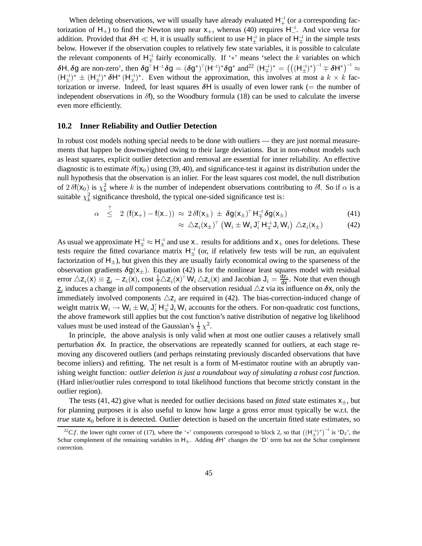When deleting observations, we will usually have already evaluated  $H^{-1}_{-}$  (or a corresponding fac-<br>zation of H .) to find the Newton step near  $X_{-}$ , whereas (40) requires  $H^{-1}$ . And vice versa for torization of H<sub>+</sub>) to find the Newton step near  $x_+$ , whereas (40) requires H<sup>-1</sup>. And vice versa for addition. Provided that  $\delta H \ll H$ , it is usually sufficient to use  $H_{\pm}^{-1}$  in place of  $H_{\mp}^{-1}$  in the simple tests below. However if the observation couples to relatively few state variables, it is possible to calculate the relevant components of  $H_{\pm}^{-1}$  fairly economically. If '\*' means 'select the k variables on which  $\delta$ H,  $\delta$ g are non-zero', then  $\delta$ g<sup>+</sup> H<sup>-1</sup> $\delta$ g =  $(\delta g^*)^T (H^{-1})^* \delta g^*$  and<sup>22</sup>  $(H^{-1}_\pm)^* = ((H^{-1}_\pm)^*)^{-1} \mp \delta H^*$ <sup>-1</sup>  $\approx$ <br> $(H^{-1})^* + (H^{-1})^* \delta H^* (H^{-1})^*$  Even without the approximation, this involves at most a  $k \times k$  for  $(H_{\pm}^{-1})^* \pm (H_{\pm}^{-1})^* \delta H^* (H_{\pm}^{-1})^*$ . Even without the approximation, this involves at most a  $k \times k$  fac-<br>torization or inverse. Indeed, for least squares  $\delta H$  is usually of even lower rank (= the number of torization or inverse. Indeed, for least squares  $\delta H$  is usually of even lower rank (= the number of independent observations in  $\delta f$ ), so the Woodbury formula (18) can be used to calculate the inverse even more efficiently.

#### **10.2 Inner Reliability and Outlier Detection**

In robust cost models nothing special needs to be done with outliers — they are just normal measurements that happen be downweighted owing to their large deviations. But in non-robust models such as least squares, explicit outlier detection and removal are essential for inner reliability. An effective diagnostic is to estimate  $\delta f(x_0)$  using (39, 40), and significance-test it against its distribution under the null hypothesis that the observation is an inlier. For the least squares cost model, the null distribution of  $2 \delta f(x_0)$  is  $\chi^2_k$  where k is the number of independent observations contributing to  $\delta f$ . So if  $\alpha$  is a suitable  $\chi^2$  significance threshold, the typical one-sided significance test is: suitable  $\chi^2_k$  significance threshold, the typical one-sided significance test is:

$$
\alpha \stackrel{!}{\leq} 2(f(\mathbf{x}_{+}) - f(\mathbf{x}_{-})) \approx 2 \delta f(\mathbf{x}_{\pm}) \pm \delta g(\mathbf{x}_{\pm})^{\top} H_{\mp}^{-1} \delta g(\mathbf{x}_{\pm}) \tag{41}
$$

$$
\approx \Delta z_i(\mathbf{x}_{\pm})^{\top} \left( \mathbf{W}_i \pm \mathbf{W}_i \mathbf{J}_i^{\top} \mathbf{H}_{\mp}^{-1} \mathbf{J}_i \mathbf{W}_i \right) \Delta z_i(\mathbf{x}_{\pm}) \tag{42}
$$

As usual we approximate  $H_{\perp}^{-1} \approx H_{\perp}^{-1}$  and use  $x_{-}$  results for additions and  $x_{+}$  ones for deletions. These tests require the fitted covariance matrix  $H_{\pm}^{-1}$  (or, if relatively few tests will be run, an equivalent factorization of  $H_{\pm}$ ), but given this they are usually fairly economical owing to the sparseness of the observation gradients  $\delta g(x_{\pm})$ . Equation (42) is for the nonlinear least squares model with residual error  $\Delta z_i(\mathbf{x}) \equiv \mathbf{z}_i - z_i(\mathbf{x})$ , cost  $\frac{1}{2} \Delta z_i(\mathbf{x})^\top W_i \Delta z_i(\mathbf{x})$  and Jacobian  $J_i = \frac{dz_i}{dx}$ . Note that even though <br>z, induces a change in all components of the observation residual  $\Delta z$  via its influence on  $\delta \$  $\underline{z}_i$  induces a change in *all* components of the observation residual  $\Delta z$  via its influence on  $\delta x$ , only the immediately involved components  $\Delta z_i$  are required in (42). The bias-correction-induced change of weight matrix  $W_i \to W_i \pm W_i$ ,  $J_i^{\top} H_{\mp}^{-1} J_i W_i$  accounts for the others. For non-quadratic cost functions, the above framework still applies but the cost function's native distribution of negative log likelihood values must be used instead of the Gaussian's  $\frac{1}{2}\chi^2$ .<br>In principle the above analysis is only valid w

In principle, the above analysis is only valid when at most one outlier causes a relatively small perturbation  $\delta x$ . In practice, the observations are repeatedly scanned for outliers, at each stage removing any discovered outliers (and perhaps reinstating previously discarded observations that have become inliers) and refitting. The net result is a form of M-estimator routine with an abruptly vanishing weight function: *outlier deletion is just a roundabout way of simulating a robust cost function*. (Hard inlier/outlier rules correspond to total likelihood functions that become strictly constant in the outlier region).

The tests (41, 42) give what is needed for outlier decisions based on *fitted* state estimates  $x_{\pm}$ , but for planning purposes it is also useful to know how large a gross error must typically be w.r.t. the *true* state  $x_0$  before it is detected. Outlier detection is based on the uncertain fitted state estimates, so

<sup>&</sup>lt;sup>22</sup>C.f. the lower right corner of (17), where the '∗' components correspond to block 2, so that  $((H_{\pm}^{-1})^*)^{-1}$  is 'D<sub>2</sub>', the  $\frac{1}{2}$ , the rower right comer or (17), where the  $\ell$  components correspond to cross  $\Delta$ , so that  $\left(\frac{1}{2}\right)$  is  $\Delta_{2}$ , the Schur complement of the remaining variables in H<sub> $\pm$ </sub>. Adding  $\delta H^*$  changes the 'D' te correction.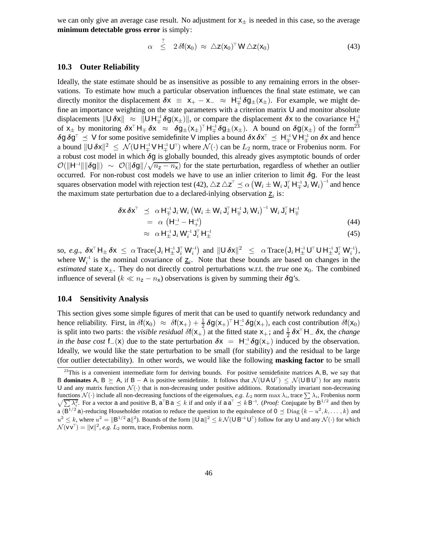we can only give an average case result. No adjustment for  $x_+$  is needed in this case, so the average **minimum detectable gross error** is simply:

$$
\alpha \leq 2 \delta f(\mathbf{x}_0) \approx \Delta z(\mathbf{x}_0)^\top W \Delta z(\mathbf{x}_0)
$$
 (43)

#### **10.3 Outer Reliability**

Ideally, the state estimate should be as insensitive as possible to any remaining errors in the observations. To estimate how much a particular observation influences the final state estimate, we can directly monitor the displacement  $\delta x = x_+ - x_- \approx H_{+}^{-1} \delta g_{\pm}(x_{\pm})$ . For example, we might de-<br>fine an importance weighting on the state parameters with a criterion matrix 11 and monitor absolute fine an importance weighting on the state parameters with a criterion matrix U and monitor absolute displacements  $||U \delta x|| \approx ||U H_{\perp}^{-1} \delta g(x_{\pm})||$ , or compare the displacement  $\delta x$  to the covariance  $H_{\pm}^{-1}$ <br>of x, by monitoring  $\delta x^{T}H - \delta x \approx \delta g_{\perp}(x_{\perp})^{T}H^{-1} \delta g_{\perp}(x_{\perp})$ . A bound on  $\delta g(x_{\perp})$  of the form<sup>23</sup>  $\frac{d}{dx}$  by monitoring  $\delta x^T H_{\mp} \delta x \approx \delta g_{\pm}(x_{\pm})^T H_{\mp}^{\perp} \delta g_{\pm}(x_{\pm})$ . A bound on  $\delta g(x_{\pm})$  of the form<sup>23</sup><br> $\delta g \delta g^T \prec V$  for some positive semidefinite V implies a bound  $\delta x \delta y^T \prec H_{\mp}^{\perp} V H_{\mp}^{\perp}$  on  $\delta x$  $\delta g \delta g^{\dagger} \preceq V$  for some positive semidefinite V implies a bound  $\delta x \delta x^{\dagger} \preceq H_{\pm}^{-1} \vee H_{\pm}^{-1}$  on  $\delta x$  and hence a bound  $||U \delta x||^2 \leq \mathcal{N}(U H^{-1}_+ V H^{-1}_+ U^{\dagger})$  where  $\mathcal{N}(\cdot)$  can be  $L_2$  norm, trace or Frobenius norm. For a robust cost model in which *δ*g is globally bounded, this already gives asymptotic bounds of order  $\mathcal{O}(\|\mathbf{H}^{-1}\| \|\boldsymbol{\delta}\mathbf{g}\|) \sim \mathcal{O}(\|\boldsymbol{\delta}\mathbf{g}\| / \sqrt{n_z - n_x})$  for the state perturbation, regardless of whether an outlier occurred. For non-robust cost models we have to use an inter-criterion to limit  $\delta\mathbf{g}$ . For occurred. For non-robust cost models we have to use an inlier criterion to limit *δ*g. For the least squares observation model with rejection test (42),  $\triangle z \triangle z^{\top} \leq \alpha \left(W_i \pm W_i \right) \bigg]^{-1} + \mathcal{F}_i W_i \bigg)^{-1}$  and hence the maximum state perturbation due to a declared-inlying observation  $\underline{z}_i$  is:

$$
\delta \mathbf{x} \delta \mathbf{x}^{\top} \preceq \alpha \mathsf{H}_{\mp}^{-1} \mathsf{J}_{i} \mathsf{W}_{i} \left( \mathsf{W}_{i} \pm \mathsf{W}_{i} \mathsf{J}_{i}^{\top} \mathsf{H}_{\mp}^{-1} \mathsf{J}_{i} \mathsf{W}_{i} \right)^{-1} \mathsf{W}_{i} \mathsf{J}_{i}^{\top} \mathsf{H}_{\mp}^{-1}
$$
\n
$$
= \alpha \left( \mathsf{H}_{-}^{-1} - \mathsf{H}_{+}^{-1} \right) \tag{44}
$$

$$
\approx \alpha \mathsf{H}_{\pm}^{-1} \mathsf{J}_i \mathsf{W}_i^{-1} \mathsf{J}_i^{\top} \mathsf{H}_{\pm}^{-1} \tag{45}
$$

so, *e.g.*,  $\delta x^{\top} H_{\pm} \delta x \leq \alpha \text{Trace} \left( J_i H_{\pm}^{-1} J_i^{\top} W_i^{-1} \right)$  and  $||U \delta x||^2 \leq \alpha \text{Trace} \left( J_i H_{\pm}^{-1} U^{\top} U H_{\pm}^{-1} J_i^{\top} W_i^{-1} \right)$ , where  $W_i^{-1}$  is the nominal covariance of  $\underline{z}_i$ . Note that these bounds are based on changes in the *estimated* state  $x_{\pm}$ . They do not directly control perturbations w.r.t. the *true* one  $x_0$ . The combined influence of several ( $k \ll n_z - n_x$ ) observations is given by summing their  $\delta g$ 's.

#### **10.4 Sensitivity Analysis**

This section gives some simple figures of merit that can be used to quantify network redundancy and hence reliability. First, in  $\delta f(x_0) \approx \delta f(x_+) + \frac{1}{2} \delta g(x_+)^\top H_-^{-1} \delta g(x_+)$ , each cost contribution  $\delta f(x_0)$ <br>is split into two parts: the *visible residual*  $\delta f(x_+)$  at the fitted state  $x_+$ ; and  $\frac{1}{2} \delta x^\top H$ .  $\delta x$  th is split into two parts: the *visible residual*  $\delta f(x_+)$  at the fitted state  $x_+$ ; and  $\frac{1}{2}\delta x^{\top}H_-\delta x$ , the *change*<br>in the hase cost  $f_-(x)$  due to the state perturbation  $\delta x = H^{-1}\delta g(x_+)$  induced by the observation *in the base cost*  $f_-(x)$  due to the state perturbation  $\delta x = H_0^{-1} \delta g(x_+)$  induced by the observation. Ideally, we would like the state perturbation to be small (for stability) and the residual to be large (for outlier detectability). In other words, we would like the following **masking factor** to be small

 $23$ This is a convenient intermediate form for deriving bounds. For positive semidefinite matrices A, B, we say that **B dominates** A, B  $\succeq$  A, if B − A is positive semidefinite. It follows that  $\mathcal{N}(UAU^{\top}) \leq \mathcal{N}(UBU^{\top})$  for any matrix U and any matrix function  $\mathcal{N}(\cdot)$  that is non-decreasing under positive additions. Rotationally invariant non-decreasing functions  $\mathcal{N}(\cdot)$  include all non-decreasing functions of the eigenvalues, *e.g.*  $L_2$  norm max  $\lambda_i$ , trace  $\sum \lambda_i$ , Frobenius norm  $\sqrt{\sum \lambda_i^2}$ . For a vector **a** and positive **B**  $a^T \mathbf{B} a \leq k$  if and only if  $a a$  $\sqrt{\sum \lambda_i^2}$ . For a vector a and positive B, a<sup>-</sup>B a  $\leq k$  if and only if a a<sup>+</sup>  $\leq k$  B<sup>-1</sup>. (*Proof:* Conjugate by B<sup>1/2</sup> and then by a (B<sup>1/2</sup> a)-reducing Householder rotation to reduce the question to the equivalence of  $0 \le \text{Diag } (k - u^2, k, \dots, k)$  and<br> $\frac{u^2}{k} \le k$  where  $\frac{2}{k} = \frac{|\mathbf{D}^1/2|}{|\mathbf{D}^1|^2} \ge \text{Diag } \frac{|\mathbf{D}^1/2|}{|\mathbf{D}^1|} \ge \text{Diag } \frac{|\mathbf$  $u^2 \le k$ , where  $u^2 = ||B^{1/2} \mathbf{a}||^2$ . Bounds of the form  $||\mathbf{U} \mathbf{a}||^2 \le k \mathcal{N} (\mathbf{U} B^{-1} \mathbf{U}^{\top})$  follow for any U and any  $\mathcal{N}(\cdot)$  for which  $\mathcal{N}(v v^{\top}) = ||v||^2$ , *e.g.*  $L_2$  norm, trace, Frobenius norm.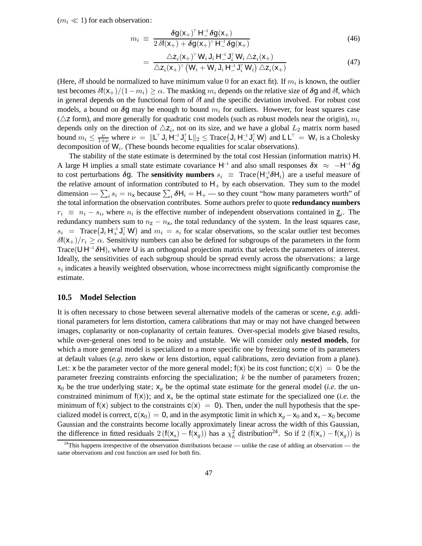$(m_i \ll 1)$  for each observation:

$$
m_i \equiv \frac{\delta g(\mathbf{x}_+)^{\top} \mathsf{H}_{-}^{-1} \delta g(\mathbf{x}_+)}{2 \delta f(\mathbf{x}_+) + \delta g(\mathbf{x}_+)^{\top} \mathsf{H}_{-}^{-1} \delta g(\mathbf{x}_+)}
$$
(46)

$$
= \frac{\Delta z_i(\mathbf{x}_+)^{\top} \mathbf{W}_i \mathbf{J}_i \mathbf{H}_-^{\top} \mathbf{J}_i^{\top} \mathbf{W}_i \Delta z_i(\mathbf{x}_+)}{\Delta z_i(\mathbf{x}_+)^{\top} (\mathbf{W}_i + \mathbf{W}_i \mathbf{J}_i \mathbf{H}_-^{\top} \mathbf{J}_i^{\top} \mathbf{W}_i) \Delta z_i(\mathbf{x}_+)} \tag{47}
$$

(Here,  $\delta f$  should be normalized to have minimum value 0 for an exact fit). If  $m_i$  is known, the outlier test becomes  $\delta f(x_+)/(1-m_i) \ge \alpha$ . The masking  $m_i$  depends on the relative size of  $\delta g$  and  $\delta f$ , which in general depends on the functional form of  $\delta f$  and the specific deviation involved. For robust cost models, a bound on  $\delta g$  may be enough to bound  $m_i$  for outliers. However, for least squares case  $(\triangle z$  form), and more generally for quadratic cost models (such as robust models near the origin),  $m_i$ depends only on the direction of  $\Delta z_i$ , not on its size, and we have a global  $L_2$  matrix norm based bound  $m_i \leq \frac{\nu}{1+\nu}$  where  $\nu = ||\mathsf{L}^\top \mathsf{J}_i \mathsf{H}^{-1} \mathsf{J}_i^\top \mathsf{L}||_2 \leq \text{Trace}(\mathsf{J}_i \mathsf{H}^{-1} \mathsf{J}_i^\top \mathsf{W})$  and  $\mathsf{L} \mathsf{L}^\top = \mathsf{W}_i$  is a Cholesky decomposition of W. (These bounds become equalities for scala decomposition of  $W_i$ . (These bounds become equalities for scalar observations).

The stability of the state estimate is determined by the total cost Hessian (information matrix) H. A large H implies a small state estimate covariance H<sup>-1</sup> and also small responses  $\delta x \approx -H^{-1} \delta g$ to cost perturbations  $\delta$ **g**. The **sensitivity numbers**  $s_i \equiv \text{Trace}(\mathsf{H}^{-1}_+ \delta \mathsf{H}_i)$  are a useful measure of the relative amount of information contributed to  $\mathsf{H}$ . by each observation. They sum to the model the relative amount of information contributed to  $H_{+}$  by each observation. They sum to the model dimension  $-\sum_i s_i = n_x$  because  $\sum_i \delta H_i = H_+$  — so they count "how many parameters worth" of the total information the observation contributes. Some authors prefer to quote **redundancy numbers**  $r_i \equiv n_i - s_i$ , where  $n_i$  is the effective number of independent observations contained in  $\mathbf{z}_i$ . The redundancy numbers sum to  $n_z - n_x$ , the total redundancy of the system. In the least squares case,  $s_i$  = Trace  $(J_i H_+^{-1} J_i^{\top} W)$  and  $m_i = s_i$  for scalar observations, so the scalar outlier test becomes  $\delta f(x_i) / r_i > \alpha$ . Sensitivity numbers can also be defined for subgroups of the parameters in the form  $\delta f(x_+)/r_i \geq \alpha$ . Sensitivity numbers can also be defined for subgroups of the parameters in the form Trace( $U H^{-1} \delta H$ ), where U is an orthogonal projection matrix that selects the parameters of interest. Ideally, the sensitivities of each subgroup should be spread evenly across the observations: a large  $s_i$  indicates a heavily weighted observation, whose incorrectness might significantly compromise the estimate.

#### **10.5 Model Selection**

It is often necessary to chose between several alternative models of the cameras or scene, *e.g*. additional parameters for lens distortion, camera calibrations that may or may not have changed between images, coplanarity or non-coplanarity of certain features. Over-special models give biased results, while over-general ones tend to be noisy and unstable. We will consider only **nested models**, for which a more general model is specialized to a more specific one by freezing some of its parameters at default values (*e.g*. zero skew or lens distortion, equal calibrations, zero deviation from a plane). Let: x be the parameter vector of the more general model;  $f(x)$  be its cost function;  $c(x) = 0$  be the parameter freezing constraints enforcing the specialization;  $k$  be the number of parameters frozen;  $x_0$  be the true underlying state;  $x_q$  be the optimal state estimate for the general model (*i.e.* the unconstrained minimum of  $f(x)$ ); and  $x_s$  be the optimal state estimate for the specialized one (*i.e.* the minimum of  $f(x)$  subject to the constraints  $c(x) = 0$ . Then, under the null hypothesis that the specialized model is correct,  $c(x_0) = 0$ , and in the asymptotic limit in which  $x_q - x_0$  and  $x_s - x_0$  become Gaussian and the constraints become locally approximately linear across the width of this Gaussian, the difference in fitted residuals  $2(f(x_s) - f(x_g))$  has a  $\chi^2_k$  distribution<sup>24</sup>. So if 2  $(f(x_s) - f(x_g))$  is

 $24$ This happens irrespective of the observation distributions because — unlike the case of adding an observation — the same observations and cost function are used for both fits.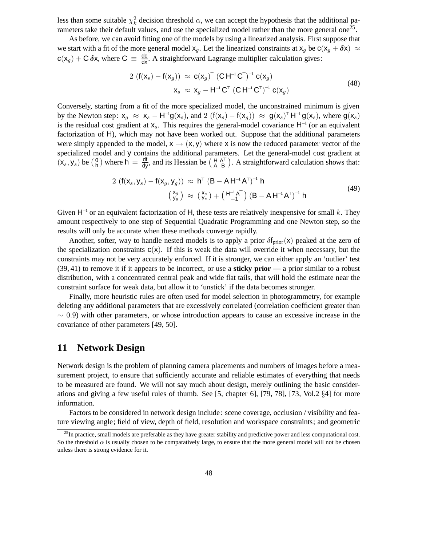less than some suitable  $\chi^2_k$  decision threshold  $\alpha$ , we can accept the hypothesis that the additional parameters take their default values, and use the specialized model rather than the more general one<sup>25</sup>.

As before, we can avoid fitting one of the models by using a linearized analysis. First suppose that we start with a fit of the more general model  $x_g$ . Let the linearized constraints at  $x_g$  be  $c(x_g + \delta x) \approx$  $c(x_g) + C \delta x$ , where  $C \equiv \frac{dc}{dx}$ . A straightforward Lagrange multiplier calculation gives:

$$
2 \left( \mathbf{f}(\mathbf{x}_s) - \mathbf{f}(\mathbf{x}_g) \right) \approx \mathbf{c}(\mathbf{x}_g)^\top \left( \mathbf{C} \mathbf{H}^{-1} \mathbf{C}^\top \right)^{-1} \mathbf{c}(\mathbf{x}_g)
$$
  

$$
\mathbf{x}_s \approx \mathbf{x}_g - \mathbf{H}^{-1} \mathbf{C}^\top \left( \mathbf{C} \mathbf{H}^{-1} \mathbf{C}^\top \right)^{-1} \mathbf{c}(\mathbf{x}_g)
$$
(48)

Conversely, starting from a fit of the more specialized model, the unconstrained minimum is given by the Newton step:  $x_g \approx x_s - H^{-1}g(x_s)$ , and  $2 (f(x_s) - f(x_g)) \approx g(x_s)^T H^{-1}g(x_s)$ , where  $g(x_s)$ <br>is the residual cost gradient at  $x$ . This requires the general model covariance  $H^{-1}$  (or an equivalent is the residual cost gradient at  $x_s$ . This requires the general-model covariance H<sup>-1</sup> (or an equivalent factorization of H), which may not have been worked out. Suppose that the additional parameters were simply appended to the model,  $x \rightarrow (x, y)$  where x is now the reduced parameter vector of the specialized model and y contains the additional parameters. Let the general-model cost gradient at  $(\mathbf{x}_s, \mathbf{y}_s)$  be  $(\begin{smallmatrix} 0 \\ h \end{smallmatrix})$  where  $\mathbf{h} = \frac{df}{dy}$ , and its Hessian be  $(\begin{smallmatrix} \mathsf{H} & \mathsf{A}^{\top} \\ \mathsf{A} & \mathsf{B} \end{smallmatrix})$ . A straightforward calculation shows that:

$$
2 \left( \mathsf{f}(\mathsf{x}_s, \mathsf{y}_s) - \mathsf{f}(\mathsf{x}_g, \mathsf{y}_g) \right) \approx \mathsf{h}^\top \left( \mathsf{B} - \mathsf{A} \mathsf{H}^{-1} \mathsf{A}^\top \right)^{-1} \mathsf{h}
$$
\n
$$
\left( \begin{array}{c} \mathsf{x}_g \\ \mathsf{y}_g \end{array} \right) \approx \left( \begin{array}{c} \mathsf{x}_s \\ \mathsf{y}_s \end{array} \right) + \left( \begin{array}{c} \mathsf{H}^{-1} \mathsf{A}^\top \\ -1 \end{array} \right) \left( \mathsf{B} - \mathsf{A} \mathsf{H}^{-1} \mathsf{A}^\top \right)^{-1} \mathsf{h}
$$
\n
$$
(49)
$$

Given  $H^{-1}$  or an equivalent factorization of H, these tests are relatively inexpensive for small k. They amount respectively to one step of Sequential Quadratic Programming and one Newton step, so the results will only be accurate when these methods converge rapidly.

Another, softer, way to handle nested models is to apply a prior  $\delta f_{\text{prior}}(x)$  peaked at the zero of the specialization constraints  $c(x)$ . If this is weak the data will override it when necessary, but the constraints may not be very accurately enforced. If it is stronger, we can either apply an 'outlier' test (39, 41) to remove it if it appears to be incorrect, or use a **sticky prior** — a prior similar to a robust distribution, with a concentrated central peak and wide flat tails, that will hold the estimate near the constraint surface for weak data, but allow it to 'unstick' if the data becomes stronger.

Finally, more heuristic rules are often used for model selection in photogrammetry, for example deleting any additional parameters that are excessively correlated (correlation coefficient greater than  $\sim$  0.9) with other parameters, or whose introduction appears to cause an excessive increase in the covariance of other parameters [49, 50].

## **11 Network Design**

Network design is the problem of planning camera placements and numbers of images before a measurement project, to ensure that sufficiently accurate and reliable estimates of everything that needs to be measured are found. We will not say much about design, merely outlining the basic considerations and giving a few useful rules of thumb. See [5, chapter 6], [79, 78], [73, Vol.2 §4] for more information.

Factors to be considered in network design include: scene coverage, occlusion / visibility and feature viewing angle; field of view, depth of field, resolution and workspace constraints; and geometric

 $^{25}$ In practice, small models are preferable as they have greater stability and predictive power and less computational cost. So the threshold  $\alpha$  is usually chosen to be comparatively large, to ensure that the more general model will not be chosen unless there is strong evidence for it.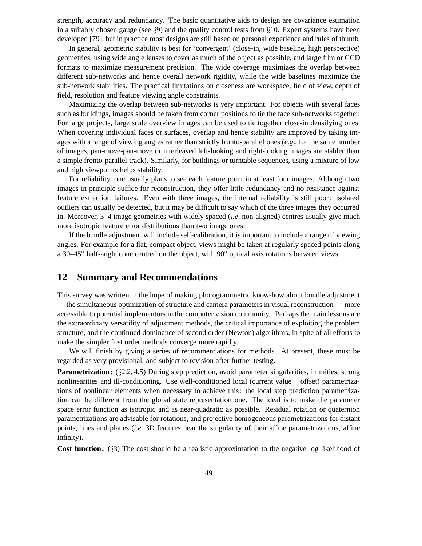strength, accuracy and redundancy. The basic quantitative aids to design are covariance estimation in a suitably chosen gauge (see  $\S$ 9) and the quality control tests from  $\S$ 10. Expert systems have been developed [79], but in practice most designs are still based on personal experience and rules of thumb.

In general, geometric stability is best for 'convergent' (close-in, wide baseline, high perspective) geometries, using wide angle lenses to cover as much of the object as possible, and large film or CCD formats to maximize measurement precision. The wide coverage maximizes the overlap between different sub-networks and hence overall network rigidity, while the wide baselines maximize the sub-network stabilities. The practical limitations on closeness are workspace, field of view, depth of field, resolution and feature viewing angle constraints.

Maximizing the overlap between sub-networks is very important. For objects with several faces such as buildings, images should be taken from corner positions to tie the face sub-networks together. For large projects, large scale overview images can be used to tie together close-in densifying ones. When covering individual faces or surfaces, overlap and hence stability are improved by taking images with a range of viewing angles rather than strictly fronto-parallel ones (*e.g*., for the same number of images, pan-move-pan-move or interleaved left-looking and right-looking images are stabler than a simple fronto-parallel track). Similarly, for buildings or turntable sequences, using a mixture of low and high viewpoints helps stability.

For reliability, one usually plans to see each feature point in at least four images. Although two images in principle suffice for reconstruction, they offer little redundancy and no resistance against feature extraction failures. Even with three images, the internal reliability is still poor: isolated outliers can usually be detected, but it may be difficult to say which of the three images they occurred in. Moreover, 3–4 image geometries with widely spaced (*i.e*. non-aligned) centres usually give much more isotropic feature error distributions than two image ones.

If the bundle adjustment will include self-calibration, it is important to include a range of viewing angles. For example for a flat, compact object, views might be taken at regularly spaced points along a 30–45° half-angle cone centred on the object, with 90° optical axis rotations between views.

## **12 Summary and Recommendations**

This survey was written in the hope of making photogrammetric know-how about bundle adjustment — the simultaneous optimization of structure and camera parameters in visual reconstruction — more accessible to potential implementors in the computer vision community. Perhaps the main lessons are the extraordinary versatility of adjustment methods, the critical importance of exploiting the problem structure, and the continued dominance of second order (Newton) algorithms, in spite of all efforts to make the simpler first order methods converge more rapidly.

We will finish by giving a series of recommendations for methods. At present, these must be regarded as very provisional, and subject to revision after further testing.

**Parametrization:** (§2.2, 4.5) During step prediction, avoid parameter singularities, infinities, strong nonlinearities and ill-conditioning. Use well-conditioned local (current value + offset) parametrizations of nonlinear elements when necessary to achieve this: the local step prediction parametrization can be different from the global state representation one. The ideal is to make the parameter space error function as isotropic and as near-quadratic as possible. Residual rotation or quaternion parametrizations are advisable for rotations, and projective homogeneous parametrizations for distant points, lines and planes (*i.e*. 3D features near the singularity of their affine parametrizations, affine infinity).

**Cost function:** (§3) The cost should be a realistic approximation to the negative log likelihood of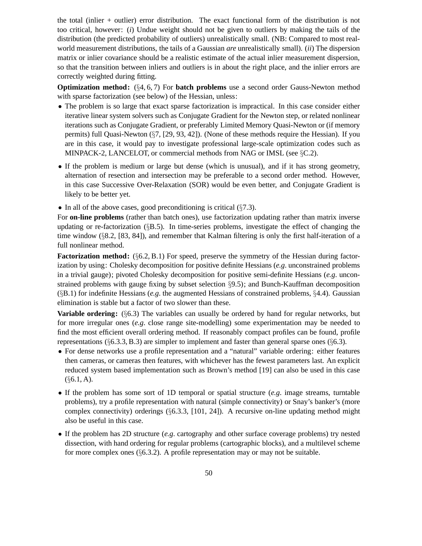the total (inlier + outlier) error distribution. The exact functional form of the distribution is not too critical, however: (*i*) Undue weight should not be given to outliers by making the tails of the distribution (the predicted probability of outliers) unrealistically small. (NB: Compared to most realworld measurement distributions, the tails of a Gaussian *are* unrealistically small). (*ii*) The dispersion matrix or inlier covariance should be a realistic estimate of the actual inlier measurement dispersion, so that the transition between inliers and outliers is in about the right place, and the inlier errors are correctly weighted during fitting.

**Optimization method:** (§4, 6, 7) For **batch problems** use a second order Gauss-Newton method with sparse factorization (see below) of the Hessian, unless:

- The problem is so large that exact sparse factorization is impractical. In this case consider either iterative linear system solvers such as Conjugate Gradient for the Newton step, or related nonlinear iterations such as Conjugate Gradient, or preferably Limited Memory Quasi-Newton or (if memory permits) full Quasi-Newton (§7, [29, 93, 42]). (None of these methods require the Hessian). If you are in this case, it would pay to investigate professional large-scale optimization codes such as MINPACK-2, LANCELOT, or commercial methods from NAG or IMSL (see §C.2).
- If the problem is medium or large but dense (which is unusual), and if it has strong geometry, alternation of resection and intersection may be preferable to a second order method. However, in this case Successive Over-Relaxation (SOR) would be even better, and Conjugate Gradient is likely to be better yet.
- In all of the above cases, good preconditioning is critical (§7.3).

For **on-line problems** (rather than batch ones), use factorization updating rather than matrix inverse updating or re-factorization  $(\S B.5)$ . In time-series problems, investigate the effect of changing the time window (§8.2, [83, 84]), and remember that Kalman filtering is only the first half-iteration of a full nonlinear method.

**Factorization method:** (§6.2, B.1) For speed, preserve the symmetry of the Hessian during factorization by using: Cholesky decomposition for positive definite Hessians (*e.g*. unconstrained problems in a trivial gauge); pivoted Cholesky decomposition for positive semi-definite Hessians (*e.g*. unconstrained problems with gauge fixing by subset selection §9.5); and Bunch-Kauffman decomposition (§B.1) for indefinite Hessians (*e.g*. the augmented Hessians of constrained problems, §4.4). Gaussian elimination is stable but a factor of two slower than these.

**Variable ordering:** (§6.3) The variables can usually be ordered by hand for regular networks, but for more irregular ones (*e.g*. close range site-modelling) some experimentation may be needed to find the most efficient overall ordering method. If reasonably compact profiles can be found, profile representations ( $\S 6.3.3$ , B.3) are simpler to implement and faster than general sparse ones ( $\S 6.3$ ).

- For dense networks use a profile representation and a "natural" variable ordering: either features then cameras, or cameras then features, with whichever has the fewest parameters last. An explicit reduced system based implementation such as Brown's method [19] can also be used in this case  $(\S 6.1, A)$ .
- If the problem has some sort of 1D temporal or spatial structure (*e.g*. image streams, turntable problems), try a profile representation with natural (simple connectivity) or Snay's banker's (more complex connectivity) orderings (§6.3.3, [101, 24]). A recursive on-line updating method might also be useful in this case.
- If the problem has 2D structure (*e.g*. cartography and other surface coverage problems) try nested dissection, with hand ordering for regular problems (cartographic blocks), and a multilevel scheme for more complex ones (§6.3.2). A profile representation may or may not be suitable.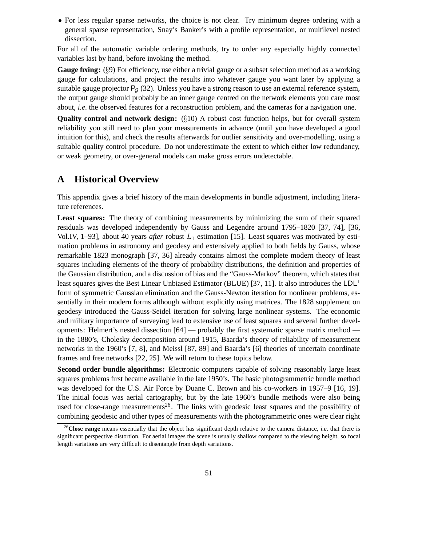• For less regular sparse networks, the choice is not clear. Try minimum degree ordering with a general sparse representation, Snay's Banker's with a profile representation, or multilevel nested dissection.

For all of the automatic variable ordering methods, try to order any especially highly connected variables last by hand, before invoking the method.

**Gauge fixing:** (§9) For efficiency, use either a trivial gauge or a subset selection method as a working gauge for calculations, and project the results into whatever gauge you want later by applying a suitable gauge projector  $P_G$  (32). Unless you have a strong reason to use an external reference system, the output gauge should probably be an inner gauge centred on the network elements you care most about, *i.e*. the observed features for a reconstruction problem, and the cameras for a navigation one.

**Quality control and network design:** (§10) A robust cost function helps, but for overall system reliability you still need to plan your measurements in advance (until you have developed a good intuition for this), and check the results afterwards for outlier sensitivity and over-modelling, using a suitable quality control procedure. Do not underestimate the extent to which either low redundancy, or weak geometry, or over-general models can make gross errors undetectable.

# **A Historical Overview**

This appendix gives a brief history of the main developments in bundle adjustment, including literature references.

Least squares: The theory of combining measurements by minimizing the sum of their squared residuals was developed independently by Gauss and Legendre around 1795–1820 [37, 74], [36, Vol.IV, 1–93], about 40 years *after* robust  $L_1$  estimation [15]. Least squares was motivated by estimation problems in astronomy and geodesy and extensively applied to both fields by Gauss, whose remarkable 1823 monograph [37, 36] already contains almost the complete modern theory of least squares including elements of the theory of probability distributions, the definition and properties of the Gaussian distribution, and a discussion of bias and the "Gauss-Markov" theorem, which states that least squares gives the Best Linear Unbiased Estimator (BLUE) [37, 11]. It also introduces the  $LDL<sup>T</sup>$ form of symmetric Gaussian elimination and the Gauss-Newton iteration for nonlinear problems, essentially in their modern forms although without explicitly using matrices. The 1828 supplement on geodesy introduced the Gauss-Seidel iteration for solving large nonlinear systems. The economic and military importance of surveying lead to extensive use of least squares and several further developments: Helmert's nested dissection [64] — probably the first systematic sparse matrix method in the 1880's, Cholesky decomposition around 1915, Baarda's theory of reliability of measurement networks in the 1960's [7, 8], and Meissl [87, 89] and Baarda's [6] theories of uncertain coordinate frames and free networks [22, 25]. We will return to these topics below.

**Second order bundle algorithms:** Electronic computers capable of solving reasonably large least squares problems first became available in the late 1950's. The basic photogrammetric bundle method was developed for the U.S. Air Force by Duane C. Brown and his co-workers in 1957–9 [16, 19]. The initial focus was aerial cartography, but by the late 1960's bundle methods were also being used for close-range measurements<sup>26</sup>. The links with geodesic least squares and the possibility of combining geodesic and other types of measurements with the photogrammetric ones were clear right

<sup>26</sup>**Close range** means essentially that the object has significant depth relative to the camera distance, *i.e*. that there is significant perspective distortion. For aerial images the scene is usually shallow compared to the viewing height, so focal length variations are very difficult to disentangle from depth variations.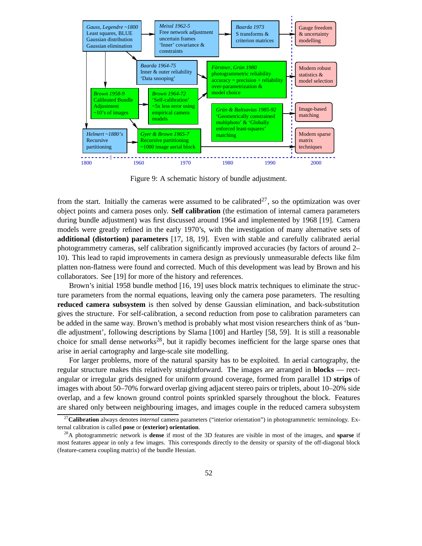![](_page_51_Figure_0.jpeg)

Figure 9: A schematic history of bundle adjustment.

from the start. Initially the cameras were assumed to be calibrated<sup>27</sup>, so the optimization was over object points and camera poses only. **Self calibration** (the estimation of internal camera parameters during bundle adjustment) was first discussed around 1964 and implemented by 1968 [19]. Camera models were greatly refined in the early 1970's, with the investigation of many alternative sets of **additional (distortion) parameters** [17, 18, 19]. Even with stable and carefully calibrated aerial photogrammetry cameras, self calibration significantly improved accuracies (by factors of around 2– 10). This lead to rapid improvements in camera design as previously unmeasurable defects like film platten non-flatness were found and corrected. Much of this development was lead by Brown and his collaborators. See [19] for more of the history and references.

Brown's initial 1958 bundle method [16, 19] uses block matrix techniques to eliminate the structure parameters from the normal equations, leaving only the camera pose parameters. The resulting **reduced camera subsystem** is then solved by dense Gaussian elimination, and back-substitution gives the structure. For self-calibration, a second reduction from pose to calibration parameters can be added in the same way. Brown's method is probably what most vision researchers think of as 'bundle adjustment', following descriptions by Slama [100] and Hartley [58, 59]. It is still a reasonable choice for small dense networks<sup>28</sup>, but it rapidly becomes inefficient for the large sparse ones that arise in aerial cartography and large-scale site modelling.

For larger problems, more of the natural sparsity has to be exploited. In aerial cartography, the regular structure makes this relatively straightforward. The images are arranged in **blocks** — rectangular or irregular grids designed for uniform ground coverage, formed from parallel 1D **strips** of images with about 50–70% forward overlap giving adjacent stereo pairs or triplets, about 10–20% side overlap, and a few known ground control points sprinkled sparsely throughout the block. Features are shared only between neighbouring images, and images couple in the reduced camera subsystem

<sup>27</sup>**Calibration** always denotes *internal* camera parameters ("interior orientation") in photogrammetric terminology. External calibration is called **pose** or **(exterior) orientation**.

<sup>28</sup>A photogrammetric network is **dense** if most of the 3D features are visible in most of the images, and **sparse** if most features appear in only a few images. This corresponds directly to the density or sparsity of the off-diagonal block (feature-camera coupling matrix) of the bundle Hessian.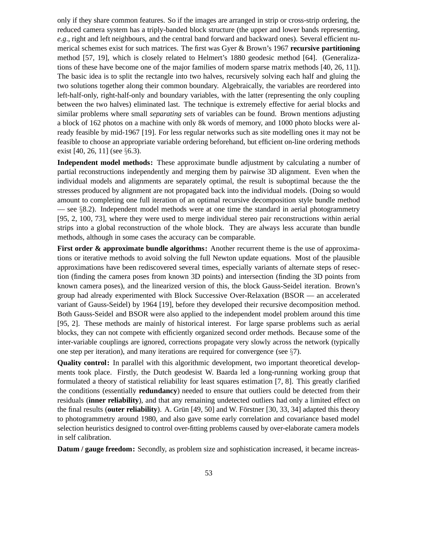only if they share common features. So if the images are arranged in strip or cross-strip ordering, the reduced camera system has a triply-banded block structure (the upper and lower bands representing, *e.g*., right and left neighbours, and the central band forward and backward ones). Several efficient numerical schemes exist for such matrices. The first was Gyer & Brown's 1967 **recursive partitioning** method [57, 19], which is closely related to Helmert's 1880 geodesic method [64]. (Generalizations of these have become one of the major families of modern sparse matrix methods [40, 26, 11]). The basic idea is to split the rectangle into two halves, recursively solving each half and gluing the two solutions together along their common boundary. Algebraically, the variables are reordered into left-half-only, right-half-only and boundary variables, with the latter (representing the only coupling between the two halves) eliminated last. The technique is extremely effective for aerial blocks and similar problems where small *separating sets* of variables can be found. Brown mentions adjusting a block of 162 photos on a machine with only 8k words of memory, and 1000 photo blocks were already feasible by mid-1967 [19]. For less regular networks such as site modelling ones it may not be feasible to choose an appropriate variable ordering beforehand, but efficient on-line ordering methods exist [40, 26, 11] (see §6.3).

**Independent model methods:** These approximate bundle adjustment by calculating a number of partial reconstructions independently and merging them by pairwise 3D alignment. Even when the individual models and alignments are separately optimal, the result is suboptimal because the the stresses produced by alignment are not propagated back into the individual models. (Doing so would amount to completing one full iteration of an optimal recursive decomposition style bundle method — see  $\S 8.2$ ). Independent model methods were at one time the standard in aerial photogrammetry [95, 2, 100, 73], where they were used to merge individual stereo pair reconstructions within aerial strips into a global reconstruction of the whole block. They are always less accurate than bundle methods, although in some cases the accuracy can be comparable.

**First order & approximate bundle algorithms:** Another recurrent theme is the use of approximations or iterative methods to avoid solving the full Newton update equations. Most of the plausible approximations have been rediscovered several times, especially variants of alternate steps of resection (finding the camera poses from known 3D points) and intersection (finding the 3D points from known camera poses), and the linearized version of this, the block Gauss-Seidel iteration. Brown's group had already experimented with Block Successive Over-Relaxation (BSOR — an accelerated variant of Gauss-Seidel) by 1964 [19], before they developed their recursive decomposition method. Both Gauss-Seidel and BSOR were also applied to the independent model problem around this time [95, 2]. These methods are mainly of historical interest. For large sparse problems such as aerial blocks, they can not compete with efficiently organized second order methods. Because some of the inter-variable couplings are ignored, corrections propagate very slowly across the network (typically one step per iteration), and many iterations are required for convergence (see  $\S7$ ).

**Quality control:** In parallel with this algorithmic development, two important theoretical developments took place. Firstly, the Dutch geodesist W. Baarda led a long-running working group that formulated a theory of statistical reliability for least squares estimation [7, 8]. This greatly clarified the conditions (essentially **redundancy**) needed to ensure that outliers could be detected from their residuals (**inner reliability**), and that any remaining undetected outliers had only a limited effect on the final results (**outer reliability**). A. Grün [49, 50] and W. Förstner [30, 33, 34] adapted this theory to photogrammetry around 1980, and also gave some early correlation and covariance based model selection heuristics designed to control over-fitting problems caused by over-elaborate camera models in self calibration.

**Datum / gauge freedom:** Secondly, as problem size and sophistication increased, it became increas-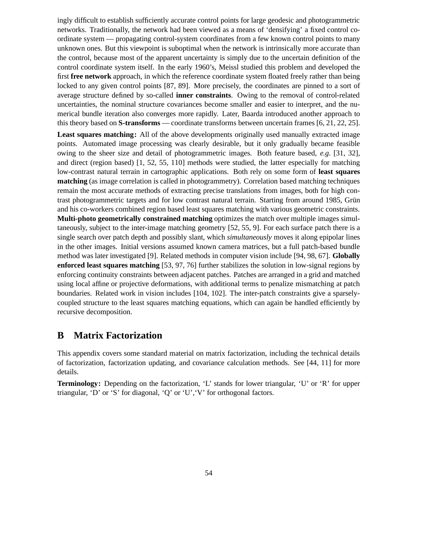ingly difficult to establish sufficiently accurate control points for large geodesic and photogrammetric networks. Traditionally, the network had been viewed as a means of 'densifying' a fixed control coordinate system — propagating control-system coordinates from a few known control points to many unknown ones. But this viewpoint is suboptimal when the network is intrinsically more accurate than the control, because most of the apparent uncertainty is simply due to the uncertain definition of the control coordinate system itself. In the early 1960's, Meissl studied this problem and developed the first **free network** approach, in which the reference coordinate system floated freely rather than being locked to any given control points [87, 89]. More precisely, the coordinates are pinned to a sort of average structure defined by so-called **inner constraints**. Owing to the removal of control-related uncertainties, the nominal structure covariances become smaller and easier to interpret, and the numerical bundle iteration also converges more rapidly. Later, Baarda introduced another approach to this theory based on **S-transforms** — coordinate transforms between uncertain frames [6, 21, 22, 25].

**Least squares matching:** All of the above developments originally used manually extracted image points. Automated image processing was clearly desirable, but it only gradually became feasible owing to the sheer size and detail of photogrammetric images. Both feature based, *e.g*. [31, 32], and direct (region based) [1, 52, 55, 110] methods were studied, the latter especially for matching low-contrast natural terrain in cartographic applications. Both rely on some form of **least squares matching** (as image correlation is called in photogrammetry). Correlation based matching techniques remain the most accurate methods of extracting precise translations from images, both for high contrast photogrammetric targets and for low contrast natural terrain. Starting from around 1985, Grün and his co-workers combined region based least squares matching with various geometric constraints. **Multi-photo geometrically constrained matching** optimizes the match over multiple images simultaneously, subject to the inter-image matching geometry [52, 55, 9]. For each surface patch there is a single search over patch depth and possibly slant, which *simultaneously* moves it along epipolar lines in the other images. Initial versions assumed known camera matrices, but a full patch-based bundle method was later investigated [9]. Related methods in computer vision include [94, 98, 67]. **Globally enforced least squares matching** [53, 97, 76] further stabilizes the solution in low-signal regions by enforcing continuity constraints between adjacent patches. Patches are arranged in a grid and matched using local affine or projective deformations, with additional terms to penalize mismatching at patch boundaries. Related work in vision includes [104, 102]. The inter-patch constraints give a sparselycoupled structure to the least squares matching equations, which can again be handled efficiently by recursive decomposition.

## **B Matrix Factorization**

This appendix covers some standard material on matrix factorization, including the technical details of factorization, factorization updating, and covariance calculation methods. See [44, 11] for more details.

**Terminology:** Depending on the factorization, 'L' stands for lower triangular, 'U' or 'R' for upper triangular, 'D' or 'S' for diagonal, 'Q' or 'U','V' for orthogonal factors.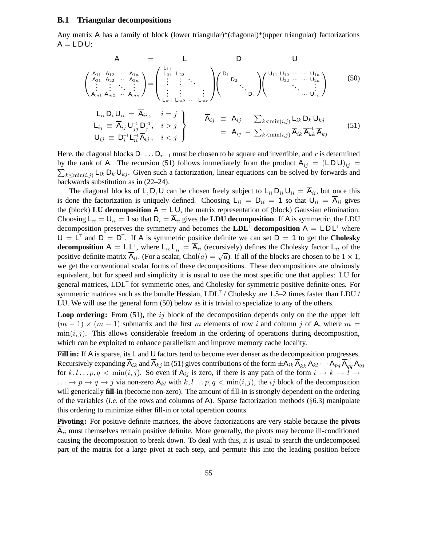#### **B.1 Triangular decompositions**

Any matrix A has a family of block (lower triangular)\*(diagonal)\*(upper triangular) factorizations  $A = LDU$ :

$$
A = L D U
$$
  
\n
$$
\begin{pmatrix}\nA_{11} & A_{12} & \cdots & A_{1n} \\
A_{21} & A_{22} & \cdots & A_{2n} \\
\vdots & \vdots & \ddots & \vdots \\
A_{m1} & A_{m2} & \cdots & A_{mn}\n\end{pmatrix} = \begin{pmatrix}\nL_{11} & L_{22} & & & & \\
L_{21} & L_{22} & \cdots & & & \\
\vdots & \vdots & \ddots & & & \\
\vdots & \vdots & \ddots & & \vdots \\
L_{m1} & L_{m2} & \cdots & L_{mr}\n\end{pmatrix}\n\begin{pmatrix}\nD_1 & & & & & \\
D_2 & & & & & \\
& \ddots & & & & \\
D_r & & & & & \ddots \\
D_r & & & & & \ddots\n\end{pmatrix}\n\begin{pmatrix}\nU_{11} & U_{12} & \cdots & \cdots & U_{1n} \\
U_{22} & \cdots & \cdots & U_{2n} \\
& \ddots & & \vdots \\
& \ddots & & \vdots \\
& \ddots & & \vdots\n\end{pmatrix}
$$
\n(50)

$$
\begin{array}{ccc}\nL_{ii} D_i U_{ii} = \overline{A}_{ii}, & i = j \\
L_{ij} \equiv \overline{A}_{ij} U_{jj}^{-1} D_{j}^{-1}, & i > j \\
U_{ij} \equiv D_{i}^{-1} L_{ii}^{-1} \overline{A}_{ij}, & i < j\n\end{array}\n\qquad\n\begin{array}{ccc}\n\overline{A}_{ij} = A_{ij} - \sum_{k < \min(i,j)} L_{ik} D_k U_{kj} \\
= A_{ij} - \sum_{k < \min(i,j)} \overline{A}_{ik} \overline{A}_{kk}^{-1} \overline{A}_{kj}\n\end{array}
$$
\n(51)

Here, the diagonal blocks  $D_1 \ldots D_{r-1}$  must be chosen to be square and invertible, and r is determined by the rank of A. The recursion (51) follows immediately from the product  $A_{ij} = (LDU)_{ij} =$ <br>  $\sum_{i=1}^{n} A_{ij} D_{ij} U_{ij}$ . Given such a factorization linear equations can be solved by forwards and  $\sum_{k \le \text{min}(i,j)} \mathsf{L}_{ik} \mathsf{D}_k \mathsf{U}_{kj}$ . Given such a factorization, linear equations can be solved by forwards and hackwards substitution as in (22.24) backwards substitution as in  $(22-24)$ .

The diagonal blocks of L, D, U can be chosen freely subject to  $L_{ii} D_{ii} U_{ii} = \overline{A}_{ii}$ , but once this is done the factorization is uniquely defined. Choosing  $L_{ii} = D_{ii} = 1$  so that  $U_{ii} = \overline{A}_{ii}$  gives the (block) **LU decomposition**  $A = L U$ , the matrix representation of (block) Gaussian elimination. Choosing  $L_{ii} = U_{ii} = 1$  so that  $D_i = A_{ii}$  gives the **LDU decomposition**. If A is symmetric, the LDU decomposition preserves the symmetry and becomes the  $LDL<sup>T</sup>$  **decomposition** A =  $LDL<sup>T</sup>$  where  $U = L^{\top}$  and  $D = D^{\top}$ . If A is symmetric positive definite we can set  $D = 1$  to get the **Cholesky decomposition**  $A = LL^T$ , where  $L_{ii} \overline{L_{ii}} = A_{ii}$  (recursively) defines the Cholesky factor  $L_{ii}$  of the positive definite matrix  $\overline{A}_{ii}$ . (For a scalar Chol $(a) = \sqrt{a}$ ) If all of the blocks are chosen to be  $1 \times 1$ . positive definite matrix  $A_{ii}$ . (For a scalar, Chol(a) =  $\sqrt{a}$ ). If all of the blocks are chosen to be  $1 \times 1$ , we get the conventional scalar forms of these decompositions. These decompositions are obviously equivalent, but for speed and simplicity it is usual to use the most specific one that applies: LU for general matrices,  $LDL<sup>T</sup>$  for symmetric ones, and Cholesky for symmetric positive definite ones. For symmetric matrices such as the bundle Hessian,  $LDL<sup>T</sup>$  / Cholesky are 1.5–2 times faster than LDU / LU. We will use the general form (50) below as it is trivial to specialize to any of the others.

**Loop ordering:** From (51), the ij block of the decomposition depends only on the the upper left  $(m-1) \times (m-1)$  submatrix and the first m elements of row i and column j of A, where  $m =$  $\min(i, j)$ . This allows considerable freedom in the ordering of operations during decomposition, which can be exploited to enhance parallelism and improve memory cache locality.

**Fill in:** If A is sparse, its L and U factors tend to become ever denser as the decomposition progresses. Recursively expanding  $\overline{A}_{ik}$  and  $\overline{A}_{kj}$  in (51) gives contributions of the form  $\pm A_{ik} \overline{A}_{kk}^{-1} A_{kl} \cdots A_{pq} \overline{A}_{qq}^{-1} A_{qj}$ for  $k, l \ldots p, q < \min(i, j)$ . So even if  $A_{ij}$  is zero, if there is any path of the form  $i \to k \to l \to l$  $\ldots \to p \to q \to j$  via non-zero  $A_{kl}$  with  $k, l \ldots p, q < \min(i, j)$ , the ij block of the decomposition will generically **fill-in** (become non-zero). The amount of fill-in is strongly dependent on the ordering of the variables (*i.e*. of the rows and columns of A). Sparse factorization methods (§6.3) manipulate this ordering to minimize either fill-in or total operation counts.

**Pivoting:** For positive definite matrices, the above factorizations are very stable because the **pivots**  $A_{ii}$  must themselves remain positive definite. More generally, the pivots may become ill-conditioned causing the decomposition to break down. To deal with this, it is usual to search the undecomposed part of the matrix for a large pivot at each step, and permute this into the leading position before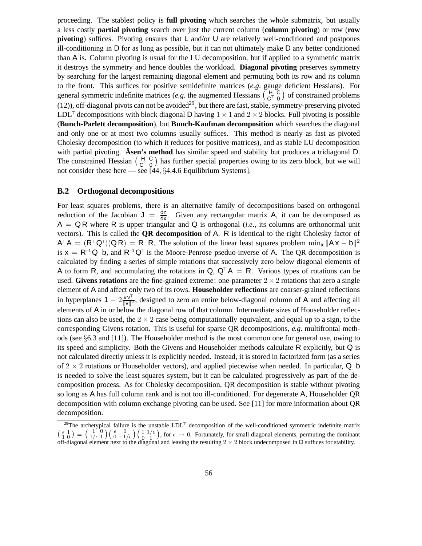proceeding. The stablest policy is **full pivoting** which searches the whole submatrix, but usually a less costly **partial pivoting** search over just the current column (**column pivoting**) or row (**row pivoting**) suffices. Pivoting ensures that L and/or U are relatively well-conditioned and postpones ill-conditioning in D for as long as possible, but it can not ultimately make D any better conditioned than A is. Column pivoting is usual for the LU decomposition, but if applied to a symmetric matrix it destroys the symmetry and hence doubles the workload. **Diagonal pivoting** preserves symmetry by searching for the largest remaining diagonal element and permuting both its row and its column to the front. This suffices for positive semidefinite matrices (*e.g*. gauge deficient Hessians). For general symmetric indefinite matrices (*e.g.* the augmented Hessians  $\begin{pmatrix} H & C \\ C^T & 0 \end{pmatrix}$  of constrained problems (12)), off-diagonal pivots can not be avoided<sup>29</sup>, but there are fast, stable, symmetry-preserving pivoted LDL<sup>T</sup> decompositions with block diagonal D having  $1 \times 1$  and  $2 \times 2$  blocks. Full pivoting is possible (**Bunch-Parlett decomposition**), but **Bunch-Kaufman decomposition** which searches the diagonal and only one or at most two columns usually suffices. This method is nearly as fast as pivoted Cholesky decomposition (to which it reduces for positive matrices), and as stable LU decomposition with partial pivoting. **Asen's method** has similar speed and stability but produces a tridiagonal D. The constrained Hessian  $\begin{pmatrix} H & C \\ C^T & 0 \end{pmatrix}$  has further special properties owing to its zero block, but we will not consider these here — see [44, §4.4.6 Equilibrium Systems].

#### **B.2 Orthogonal decompositions**

For least squares problems, there is an alternative family of decompositions based on orthogonal reduction of the Jacobian  $J = \frac{dz}{dx}$ . Given any rectangular matrix A, it can be decomposed as  $\Delta = \Omega \mathbf{R}$  where  $\mathbf{R}$  is upper triangular and  $\Omega$  is orthogonal (i.e., its columns are orthonormal unit  $A = QR$  where R is upper triangular and Q is orthogonal (*i.e.*, its columns are orthonormal unit vectors). This is called the **QR decomposition** of A. R is identical to the right Cholesky factor of  $A^{\dagger} A = (R^{\dagger} Q^{\dagger}) (QR) = R^{\dagger} R$ . The solution of the linear least squares problem  $\min_{x} ||Ax - b||^2$ is  $x = R^{-1}Q^{T}b$ , and  $R^{-1}Q^{T}$  is the Moore-Penrose pseduo-inverse of A. The QR decomposition is calculated by finding a series of simple rotations that successively zero below diagonal elements of A to form R, and accumulating the rotations in Q,  $Q^{\dagger} A = R$ . Various types of rotations can be used. **Givens rotations** are the fine-grained extreme: one-parameter  $2 \times 2$  rotations that zero a single element of A and affect only two of its rows. **Householder reflections** are coarser-grained reflections in hyperplanes  $1 - 2 \frac{V V^{\top}}{\|V\|^2}$ , designed to zero an entire below-diagonal column of A and affecting all<br>clarents of A in or halow the diagonal source fibet column. Intermediate sizes of Havenholder reflector elements of A in or below the diagonal row of that column. Intermediate sizes of Householder reflections can also be used, the  $2 \times 2$  case being computationally equivalent, and equal up to a sign, to the corresponding Givens rotation. This is useful for sparse QR decompositions, *e.g*. multifrontal methods (see §6.3 and [11]). The Householder method is the most common one for general use, owing to its speed and simplicity. Both the Givens and Householder methods calculate R explicitly, but Q is not calculated directly unless it is explicitly needed. Instead, it is stored in factorized form (as a series of 2  $\times$  2 rotations or Householder vectors), and applied piecewise when needed. In particular,  $Q^{\top}$ b is needed to solve the least squares system, but it can be calculated progressively as part of the decomposition process. As for Cholesky decomposition, QR decomposition is stable without pivoting so long as A has full column rank and is not too ill-conditioned. For degenerate A, Householder QR decomposition with column exchange pivoting can be used. See [11] for more information about QR decomposition.

<sup>&</sup>lt;sup>29</sup>The archetypical failure is the unstable  $LDL<sup>T</sup>$  decomposition of the well-conditioned symmetric indefinite matrix  $\begin{pmatrix} \epsilon & 1 \\ 1 & 0 \end{pmatrix} = \begin{pmatrix} 1 & 0 \\ 1/\epsilon & 1 \end{pmatrix} \begin{pmatrix} \epsilon & 0 \\ 0 & -1/\epsilon \end{pmatrix} \begin{pmatrix} 1 & 1/\epsilon \\ 0 & 1 \end{pmatrix}$ <br>off-diagonal element next to the diagon ), for  $\epsilon \to 0$ . Fortunately, for small diagonal elements, permuting the dominant off-diagonal element next to the diagonal and leaving the resulting  $2 \times 2$  block undecomposed in D suffices for stability.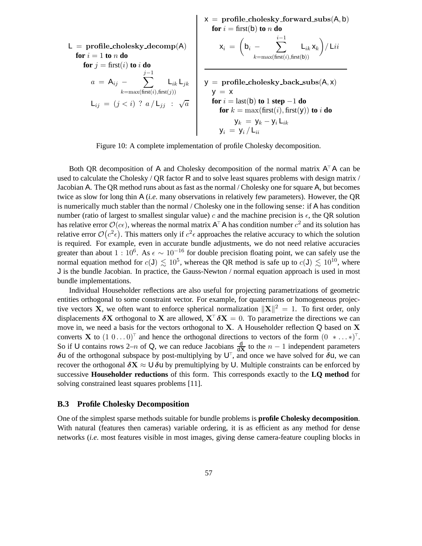L = profile\_cholesky-decomp(A)  
\nfor 
$$
i = 1
$$
 to *n* do  
\nfor  $j = \text{first}(i)$  to *i* do  
\n $a = A_{ij} - \sum_{k = \max(\text{first}(i), \text{first}(j))}^{j-1} L_{ik} L_{jk}$   
\n $L_{ij} = (j < i) ? a / L_{jj} : \sqrt{a}$   
\nfor  $j = \text{first}(i) \text{ to } i$   
\nfor  $i = 1$  to *n* do  
\nfor  $j = \text{first}(i)$  to *i* do  
\n $a = A_{ij} - \sum_{k = \max(\text{first}(i), \text{first}(j))}^{j-1} L_{ik} L_{jk}$   
\n $y = \text{profile-cholesky-back-subs}(A, x)$   
\n $y = x$   
\nfor  $i = \text{last}(b)$  to  $1$  step  $-1$  do  
\nfor  $k = \max(\text{first}(i), \text{first}(y))$  to *i* do  
\n $y_k = y_k - y_i L_{ik}$   
\n $y_i = y_i / L_{ii}$ 

Figure 10: A complete implementation of profile Cholesky decomposition.

Both OR decomposition of A and Cholesky decomposition of the normal matrix  $A^{\dagger}A$  can be used to calculate the Cholesky / QR factor R and to solve least squares problems with design matrix / Jacobian A. The QR method runs about as fast as the normal / Cholesky one for square A, but becomes twice as slow for long thin A (*i.e*. many observations in relatively few parameters). However, the QR is numerically much stabler than the normal / Cholesky one in the following sense: if A has condition number (ratio of largest to smallest singular value) c and the machine precision is  $\epsilon$ , the QR solution has relative error  $\mathcal{O}(c\epsilon)$ , whereas the normal matrix  $A^{\dagger}A$  has condition number  $c^2$  and its solution has relative error  $\mathcal{O}(c^2 \epsilon)$ . This matters only if  $c^2 \epsilon$  approaches the relative accuracy to which the solution is required. For example, even in accurate bundle adjustments, we do not need relative accuracies greater than about 1 : 10<sup>6</sup>. As  $\epsilon \sim 10^{-16}$  for double precision floating point, we can safely use the normal equation method for  $c(\mathsf{J}) \lesssim 10^5$ , whereas the QR method is safe up to  $c(\mathsf{J}) \lesssim 10^{10}$ , where J is the bundle Jacobian. In practice, the Gauss-Newton / normal equation approach is used in most bundle implementations.

Individual Householder reflections are also useful for projecting parametrizations of geometric entities orthogonal to some constraint vector. For example, for quaternions or homogeneous projective vectors **X**, we often want to enforce spherical normalization  $||\mathbf{X}||^2 = 1$ . To first order, only displacements  $\delta X$  orthogonal to **X** are allowed,  $X^{\dagger} \delta X = 0$ . To parametrize the directions we can move in, we need a basis for the vectors orthogonal to **X**. A Householder reflection Q based on **X** converts **X** to  $(1 \ 0 \dots 0)^T$  and hence the orthogonal directions to vectors of the form  $(0 \ * \dots *)^T$ . So if U contains rows 2–n of Q, we can reduce Jacobians  $\frac{d}{dX}$  to the  $n - 1$  independent parameters  $\delta U$  of the orthogonal subspace by post-multiplying by  $U^T$  and once we have solved for  $\delta U$ , we can  $δ$ u of the orthogonal subspace by post-multiplying by  $U^{\top}$ , and once we have solved for  $δ$ u, we can recover the orthogonal  $\delta X \approx U \delta u$  by premultiplying by U. Multiple constraints can be enforced by successive **Householder reductions** of this form. This corresponds exactly to the **LQ method** for solving constrained least squares problems [11].

#### **B.3 Profile Cholesky Decomposition**

One of the simplest sparse methods suitable for bundle problems is **profile Cholesky decomposition**. With natural (features then cameras) variable ordering, it is as efficient as any method for dense networks (*i.e*. most features visible in most images, giving dense camera-feature coupling blocks in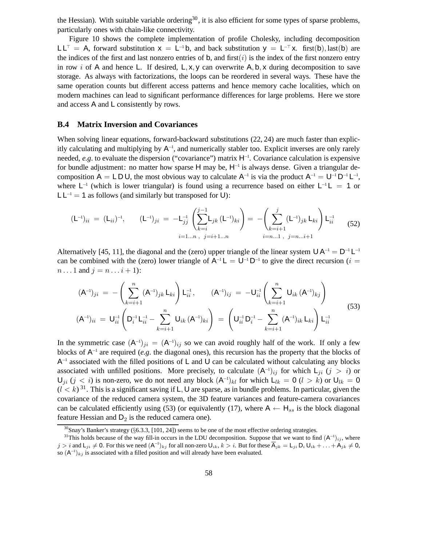the Hessian). With suitable variable ordering  $30$ , it is also efficient for some types of sparse problems, particularly ones with chain-like connectivity.

Figure 10 shows the complete implementation of profile Cholesky, including decomposition  $LL^{\top} = A$ , forward substitution  $x = L^{-1}b$ , and back substitution  $y = L^{-\tau}x$ . first(b), last(b) are the indices of the first and last nonzero entries of b, and first( $i$ ) is the index of the first nonzero entry in row i of A and hence L. If desired,  $L, x, y$  can overwrite A, b, x during decomposition to save storage. As always with factorizations, the loops can be reordered in several ways. These have the same operation counts but different access patterns and hence memory cache localities, which on modern machines can lead to significant performance differences for large problems. Here we store and access A and L consistently by rows.

#### **B.4 Matrix Inversion and Covariances**

When solving linear equations, forward-backward substitutions (22, 24) are much faster than explicitly calculating and multiplying by A−<sup>1</sup> , and numerically stabler too. Explicit inverses are only rarely needed, *e.g.* to evaluate the dispersion ("covariance") matrix H<sup>-1</sup>. Covariance calculation is expensive for bundle adjustment: no matter how sparse H may be,  $H^{-1}$  is always dense. Given a triangular decomposition A = LDU, the most obvious way to calculate A<sup>-1</sup> is via the product A<sup>-1</sup> = U<sup>-1</sup>D<sup>-1</sup> L<sup>-1</sup>, where  $1^{-1}$  (which is lower triangular) is found using a recurrence based on either  $1^{-1}1 = 1$  or where  $L^{-1}$  (which is lower triangular) is found using a recurrence based on either  $L^{-1}L = 1$  or  $LL^{-1} = 1$  as follows (and similarly but transposed for U):

$$
(\mathsf{L}^{-1})_{ii} = (\mathsf{L}_{ii})^{-1}, \qquad (\mathsf{L}^{-1})_{ji} = -\mathsf{L}_{jj}^{-1} \left( \sum_{k=i}^{j-1} \mathsf{L}_{jk} \, (\mathsf{L}^{-1})_{ki} \right) = -\left( \sum_{k=i+1}^{j} (\mathsf{L}^{-1})_{jk} \, \mathsf{L}_{ki} \right) \mathsf{L}_{ii}^{-1} \qquad (52)
$$
  
\n $i=1...n, \ j=i+1...n \qquad i=n...1, \ j=n...i+1$ 

Alternatively [45, 11], the diagonal and the (zero) upper triangle of the linear system  $\mathsf{U} \mathsf{A}^{-1} = \mathsf{D}^{-1} \mathsf{L}^{-1}$ can be combined with the (zero) lower triangle of  $A^{-1}L = U^{-1}D^{-1}$  to give the direct recursion (i =  $n... 1$  and  $j = n... i + 1$ :

$$
(\mathsf{A}^{-1})_{ji} = -\left(\sum_{k=i+1}^{n} (\mathsf{A}^{-1})_{jk} \mathsf{L}_{ki}\right) \mathsf{L}_{ii}^{-1}, \qquad (\mathsf{A}^{-1})_{ij} = -\mathsf{U}_{ii}^{-1} \left(\sum_{k=i+1}^{n} \mathsf{U}_{ik} (\mathsf{A}^{-1})_{kj}\right)
$$

$$
(\mathsf{A}^{-1})_{ii} = \mathsf{U}_{ii}^{-1} \left(\mathsf{D}_{i}^{-1} \mathsf{L}_{ii}^{-1} - \sum_{k=i+1}^{n} \mathsf{U}_{ik} (\mathsf{A}^{-1})_{ki}\right) = \left(\mathsf{U}_{ii}^{-1} \mathsf{D}_{i}^{-1} - \sum_{k=i+1}^{n} (\mathsf{A}^{-1})_{ik} \mathsf{L}_{ki}\right) \mathsf{L}_{ii}^{-1}
$$
(53)

In the symmetric case  $(A^{-1})_{ji} = (A^{-1})_{ij}$  so we can avoid roughly half of the work. If only a few<br>blocks of  $A^{-1}$  are required (e.g. the diagonal ones), this requision has the property that the blocks of blocks of A−<sup>1</sup> are required (*e.g*. the diagonal ones), this recursion has the property that the blocks of  $A^{-1}$  associated with the filled positions of L and U can be calculated without calculating any blocks associated with unfilled positions. More precisely, to calculate  $(A^{-1})_{ij}$  for which  $L_{ji}$   $(j > i)$  or  $L_{ij}$  ( $j > i$ ) or  $L_{ij}$  ( $j > i$ ) or  $L_{ij}$  ( $j > i$ ) or  $L_{ij}$  ( $j > i$ ) or  $L_{ij}$  ( $j > i$ ) or  $L_{ij}$  ( $j > i$ ) or  $L_{ij}$  ( $j >$  $\bigcup_{j} (j \le i)$  is non-zero, we do not need any block  $(A^{-1})_{kl}$  for which  $L_{lk} = 0$   $(l > k)$  or  $\bigcup_{lk} = 0$ <br> $(l > k)^{31}$ . This is a significant saying if L H are sparse, as in bundle problems. In particular, given the  $(l < k)$  <sup>31</sup>. This is a significant saving if L, U are sparse, as in bundle problems. In particular, given the covariance of the reduced camera system, the 3D feature variances and feature-camera covariances can be calculated efficiently using (53) (or equivalently (17), where  $A \leftarrow H_{ss}$  is the block diagonal feature Hessian and  $D_2$  is the reduced camera one).<br> $\frac{30 \text{Snay's Banker's strategy (§6.3.3, [101, 24])}}{30 \text{Snay's Banker's strategy (§6.3.3, [101, 24])}$  seems to be one of the most effective ordering strategies.

<sup>&</sup>lt;sup>30</sup>Snay's Banker's strategy (§6.3.3, [101, 24]) seems to be one of the most effective ordering strategies.<br><sup>31</sup>This holds because of the way fill-in occurs in the LDU decomposition. Suppose that we want to find (A<sup>-1</sup>)<sub>i</sub> j > i and  $L_{ji} \neq 0$ . For this we need  $(A^{-1})_{kj}$  for all non-zero  $U_{ik}$ ,  $k > i$ . But for these  $\overline{A}_{jk} = L_{ji} D_i U_{ik} + ... + A_{jk} \neq 0$ ,<br>so  $(A^{-1})_{ijk}$  is associated with a filled position and will already have been evaluated so  $(A^{-1})_{kj}$  is associated with a filled position and will already have been evaluated.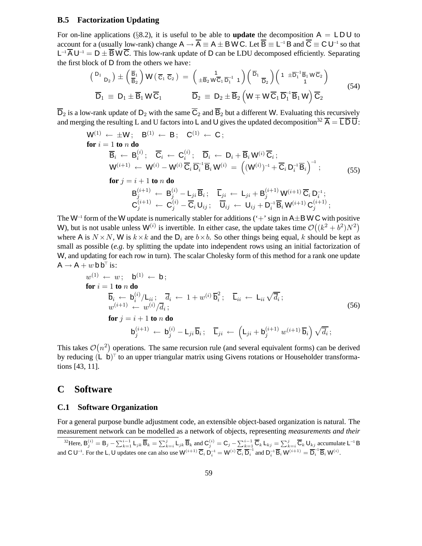#### **B.5 Factorization Updating**

For on-line applications (§8.2), it is useful to be able to **update** the decomposition  $A = LDU$  to account for a (usually low-rank) change  $A \to \overline{A} \equiv A \pm B$  W C. Let  $\overline{B} \equiv L^{-1}B$  and  $\overline{C} \equiv C U^{-1}$  so that L<sup>-1</sup> $\overline{A}U^{-1} = D \pm \overline{B}W\overline{C}$ . This low-rank update of D can be LDU decomposed efficiently. Separating the first block of D from the others we have:

$$
\begin{aligned}\n\left(\begin{array}{c}\n\mathsf{D}_{1} \\
\mathsf{D}_{2}\n\end{array}\right) &\pm \left(\frac{\overline{\mathsf{B}}_{1}}{\overline{\mathsf{B}}_{2}}\right) \mathsf{W}\left(\overline{\mathsf{C}}_{1} \overline{\mathsf{C}}_{2}\right) \\
&= \left(\begin{array}{c}\n\frac{1}{\pm \overline{\mathsf{B}}_{2} \mathsf{W}} \overline{\mathsf{C}}_{1} \overline{\mathsf{D}}_{1}^{-1} \\
\frac{1}{\pm \overline{\mathsf{D}}_{2}} \overline{\mathsf{D}}_{2}\n\end{array}\right) \left(\begin{array}{c}\n\mathsf{D}_{1} \\
\pm \overline{\mathsf{D}}_{2}\n\end{array}\right) \\
\overline{\mathsf{D}}_{1} &\equiv \mathsf{D}_{1} \pm \overline{\mathsf{B}}_{1} \mathsf{W} \overline{\mathsf{C}}_{1} \\
\overline{\mathsf{D}}_{2} &\equiv \mathsf{D}_{2} \pm \overline{\mathsf{B}}_{2} \left(\mathsf{W} \mp \mathsf{W} \overline{\mathsf{C}}_{1} \overline{\mathsf{D}}_{1}^{-1} \overline{\mathsf{B}}_{1} \mathsf{W}\right) \overline{\mathsf{C}}_{2}\n\end{aligned} \tag{54}
$$

 $\overline{D}_2$  is a low-rank update of  $D_2$  with the same  $\overline{C}_2$  and  $\overline{B}_2$  but a different W. Evaluating this recursively and merging the resulting L and U factors into L and U gives the updated decomposition<sup>32</sup>  $\overline{A} = \overline{L} \overline{D} \overline{U}$ :

$$
W^{(1)} \leftarrow \pm W; \quad B^{(1)} \leftarrow B; \quad C^{(1)} \leftarrow C;
$$
\n
$$
\text{for } i = 1 \text{ to } n \text{ do}
$$
\n
$$
\overline{B}_i \leftarrow B_i^{(i)}; \quad \overline{C}_i \leftarrow C_i^{(i)}; \quad \overline{D}_i \leftarrow D_i + \overline{B}_i W^{(i)} \overline{C}_i; \nW^{(i+1)} \leftarrow W^{(i)} - W^{(i)} \overline{C}_i \overline{D}_i^{-1} \overline{B}_i W^{(i)} = ((W^{(i)})^{-1} + \overline{C}_i D_i^{-1} \overline{B}_i)^{-1}; \n\text{for } j = i + 1 \text{ to } n \text{ do}
$$
\n
$$
B_j^{(i+1)} \leftarrow B_j^{(i)} - L_{ji} \overline{B}_i; \quad \overline{L}_{ji} \leftarrow L_{ji} + B_j^{(i+1)} W^{(i+1)} \overline{C}_i D_i^{-1}; \nC_j^{(i+1)} \leftarrow C_j^{(i)} - \overline{C}_i U_{ij}; \quad \overline{U}_{ij} \leftarrow U_{ij} + D_i^{-1} \overline{B}_i W^{(i+1)} C_j^{(i+1)};
$$

The W<sup>-1</sup> form of the W update is numerically stabler for additions ('+' sign in A±BWC with positive  $W_1$ ) but is not usable uplass  $W^{(i)}$  is invertible. In either case, the update takes time  $O((k^2 + k^2)N^2)$ W), but is not usable unless  $W^{(i)}$  is invertible. In either case, the update takes time  $\mathcal{O}((k^2 + b^2)N^2)$ <br>where A is  $N \times N$ , W is  $k \times k$  and the D, are  $h \times h$ . So other things being equal, k should be kept as where A is  $N \times N$ , W is  $k \times k$  and the  $D_i$  are  $b \times b$ . So other things being equal, k should be kept as small as possible (*e.g*. by splitting the update into independent rows using an initial factorization of W, and updating for each row in turn). The scalar Cholesky form of this method for a rank one update  $A \rightarrow A + w b b^{\dagger}$  is:

$$
w^{(1)} \leftarrow w; \quad \mathbf{b}^{(1)} \leftarrow \mathbf{b};
$$
\n
$$
\mathbf{for} \ i = 1 \ \mathbf{to} \ n \ \mathbf{do}
$$
\n
$$
\overline{\mathbf{b}}_i \leftarrow \mathbf{b}_i^{(i)} / \mathbf{L}_{ii}; \quad \overline{d}_i \leftarrow 1 + w^{(i)} \overline{\mathbf{b}}_i^2; \quad \overline{\mathbf{L}}_{ii} \leftarrow \mathbf{L}_{ii} \sqrt{\overline{d}_i};
$$
\n
$$
w^{(i+1)} \leftarrow w^{(i)} / \overline{d}_i;;
$$
\n
$$
\mathbf{for} \ j = i + 1 \ \mathbf{to} \ n \ \mathbf{do}
$$
\n
$$
\mathbf{b}_j^{(i+1)} \leftarrow \mathbf{b}_j^{(i)} - \mathbf{L}_{ji} \overline{\mathbf{b}}_i; \quad \overline{\mathbf{L}}_{ji} \leftarrow (\mathbf{L}_{ji} + \mathbf{b}_j^{(i+1)} w^{(i+1)} \overline{\mathbf{b}}_i) \sqrt{\overline{d}_i};
$$
\n(56)

This takes  $\mathcal{O}(n^2)$  operations. The same recursion rule (and several equivalent forms) can be derived by reducing  $(L \ b)^{\top}$  to an upper triangular matrix using Givens rotations or Householder transformations  $[43, 11]$ tions [43, 11].

# **C Software**

#### **C.1 Software Organization**

For a general purpose bundle adjustment code, an extensible object-based organization is natural. The measurement network can be modelled as a network of objects, representing *measurements and their*

<sup>&</sup>lt;sup>32</sup>Here,  $B_j^{(i)} = B_j - \sum_{k=1}^{i-1} L_{jk} \overline{B}_k = \sum_{k=i}^{j} L_{jk} \overline{B}_k$  and  $C_j^{(i)} = C_j - \sum_{k=1}^{i-1} \overline{C}_k L_{kj} = \sum_{k=i}^{j} \overline{C}_k U_{kj}$  accumulate  $L^{-1}B$ <br>and  $C U^{-1}$ . For the L, U updates one can also use  $W^{(i+1)} \overline{C}_i D_i^{-1} = W^{$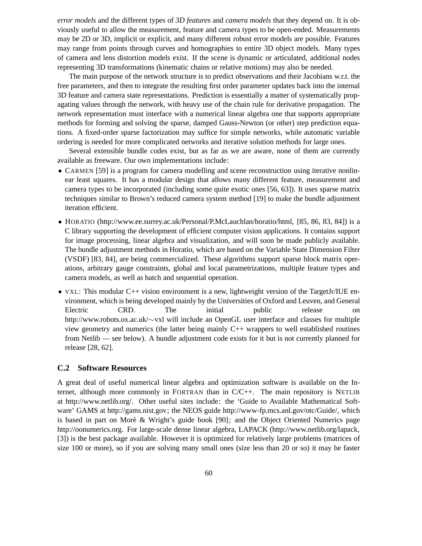*error models* and the different types of *3D features* and *camera models* that they depend on. It is obviously useful to allow the measurement, feature and camera types to be open-ended. Measurements may be 2D or 3D, implicit or explicit, and many different robust error models are possible. Features may range from points through curves and homographies to entire 3D object models. Many types of camera and lens distortion models exist. If the scene is dynamic or articulated, additional nodes representing 3D transformations (kinematic chains or relative motions) may also be needed.

The main purpose of the network structure is to predict observations and their Jacobians w.r.t. the free parameters, and then to integrate the resulting first order parameter updates back into the internal 3D feature and camera state representations. Prediction is essentially a matter of systematically propagating values through the network, with heavy use of the chain rule for derivative propagation. The network representation must interface with a numerical linear algebra one that supports appropriate methods for forming and solving the sparse, damped Gauss-Newton (or other) step prediction equations. A fixed-order sparse factorization may suffice for simple networks, while automatic variable ordering is needed for more complicated networks and iterative solution methods for large ones.

Several extensible bundle codes exist, but as far as we are aware, none of them are currently available as freeware. Our own implementations include:

- CARMEN [59] is a program for camera modelling and scene reconstruction using iterative nonlinear least squares. It has a modular design that allows many different feature, measurement and camera types to be incorporated (including some quite exotic ones [56, 63]). It uses sparse matrix techniques similar to Brown's reduced camera system method [19] to make the bundle adjustment iteration efficient.
- HORATIO (http://www.ee.surrey.ac.uk/Personal/P.McLauchlan/horatio/html, [85, 86, 83, 84]) is a C library supporting the development of efficient computer vision applications. It contains support for image processing, linear algebra and visualization, and will soon be made publicly available. The bundle adjustment methods in Horatio, which are based on the Variable State Dimension Filter (VSDF) [83, 84], are being commercialized. These algorithms support sparse block matrix operations, arbitrary gauge constraints, global and local parametrizations, multiple feature types and camera models, as well as batch and sequential operation.
- VXL: This modular C++ vision environment is a new, lightweight version of the TargetJr/IUE environment, which is being developed mainly by the Universities of Oxford and Leuven, and General Electric CRD. The initial public release on http://www.robots.ox.ac.uk/∼vxl will include an OpenGL user interface and classes for multiple view geometry and numerics (the latter being mainly C++ wrappers to well established routines from Netlib — see below). A bundle adjustment code exists for it but is not currently planned for release [28, 62].

#### **C.2 Software Resources**

A great deal of useful numerical linear algebra and optimization software is available on the Internet, although more commonly in FORTRAN than in  $C/C++$ . The main repository is NETLIB at http://www.netlib.org/. Other useful sites include: the 'Guide to Available Mathematical Software' GAMS at http://gams.nist.gov; the NEOS guide http://www-fp.mcs.anl.gov/otc/Guide/, which is based in part on Moré  $& Wright's$  guide book [90]; and the Object Oriented Numerics page http://oonumerics.org. For large-scale dense linear algebra, LAPACK (http://www.netlib.org/lapack, [3]) is the best package available. However it is optimized for relatively large problems (matrices of size 100 or more), so if you are solving many small ones (size less than 20 or so) it may be faster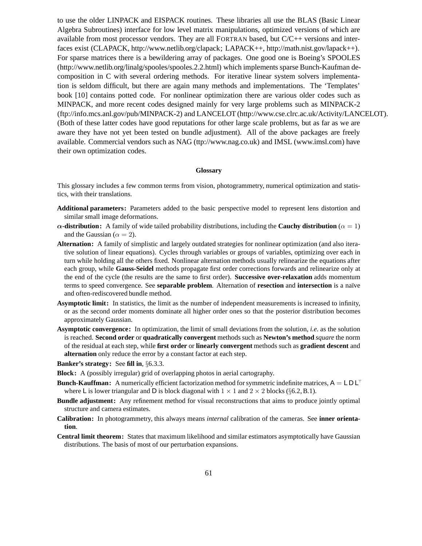to use the older LINPACK and EISPACK routines. These libraries all use the BLAS (Basic Linear Algebra Subroutines) interface for low level matrix manipulations, optimized versions of which are available from most processor vendors. They are all FORTRAN based, but  $C/C++$  versions and interfaces exist (CLAPACK, http://www.netlib.org/clapack; LAPACK++, http://math.nist.gov/lapack++). For sparse matrices there is a bewildering array of packages. One good one is Boeing's SPOOLES (http://www.netlib.org/linalg/spooles/spooles.2.2.html) which implements sparse Bunch-Kaufman decomposition in C with several ordering methods. For iterative linear system solvers implementation is seldom difficult, but there are again many methods and implementations. The 'Templates' book [10] contains potted code. For nonlinear optimization there are various older codes such as MINPACK, and more recent codes designed mainly for very large problems such as MINPACK-2 (ftp://info.mcs.anl.gov/pub/MINPACK-2) and LANCELOT (http://www.cse.clrc.ac.uk/Activity/LANCELOT). (Both of these latter codes have good reputations for other large scale problems, but as far as we are aware they have not yet been tested on bundle adjustment). All of the above packages are freely available. Commercial vendors such as NAG (ttp://www.nag.co.uk) and IMSL (www.imsl.com) have their own optimization codes.

#### **Glossary**

This glossary includes a few common terms from vision, photogrammetry, numerical optimization and statistics, with their translations.

- **Additional parameters:** Parameters added to the basic perspective model to represent lens distortion and similar small image deformations.
- $\alpha$ **-distribution:** A family of wide tailed probability distributions, including the **Cauchy distribution** ( $\alpha = 1$ ) and the Gaussian ( $\alpha = 2$ ).
- **Alternation:** A family of simplistic and largely outdated strategies for nonlinear optimization (and also iterative solution of linear equations). Cycles through variables or groups of variables, optimizing over each in turn while holding all the others fixed. Nonlinear alternation methods usually relinearize the equations after each group, while **Gauss-Seidel** methods propagate first order corrections forwards and relinearize only at the end of the cycle (the results are the same to first order). **Successive over-relaxation** adds momentum terms to speed convergence. See **separable problem**. Alternation of **resection** and **intersection** is a na¨ıve and often-rediscovered bundle method.
- **Asymptotic limit:** In statistics, the limit as the number of independent measurements is increased to infinity, or as the second order moments dominate all higher order ones so that the posterior distribution becomes approximately Gaussian.
- **Asymptotic convergence:** In optimization, the limit of small deviations from the solution, *i.e*. as the solution is reached. **Second order** or **quadratically convergent** methods such as **Newton's method** *square* the norm of the residual at each step, while **first order** or **linearly convergent** methods such as **gradient descent** and **alternation** only reduce the error by a constant factor at each step.
- **Banker's strategy:** See **fill in**, §6.3.3.
- **Block:** A (possibly irregular) grid of overlapping photos in aerial cartography.
- **Bunch-Kauffman:** A numerically efficient factorization method for symmetric indefinite matrices,  $A = L D L<sup>T</sup>$ where L is lower triangular and D is block diagonal with  $1 \times 1$  and  $2 \times 2$  blocks (§6.2, B.1).
- **Bundle adjustment:** Any refinement method for visual reconstructions that aims to produce jointly optimal structure and camera estimates.
- **Calibration:** In photogrammetry, this always means *internal* calibration of the cameras. See **inner orientation**.
- **Central limit theorem:** States that maximum likelihood and similar estimators asymptotically have Gaussian distributions. The basis of most of our perturbation expansions.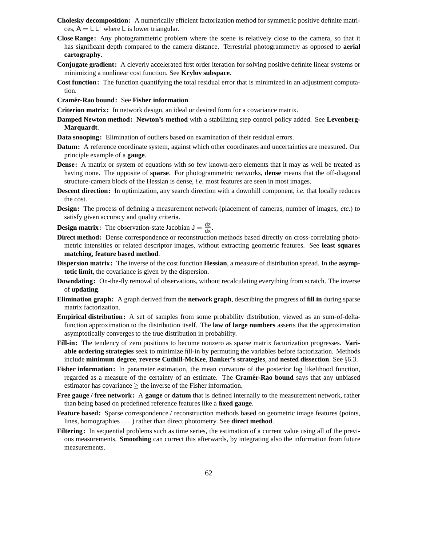- **Cholesky decomposition:** A numerically efficient factorization method for symmetric positive definite matrices,  $A = L L^{\dagger}$  where L is lower triangular.
- **Close Range:** Any photogrammetric problem where the scene is relatively close to the camera, so that it has significant depth compared to the camera distance. Terrestrial photogrammetry as opposed to **aerial cartography**.
- **Conjugate gradient:** A cleverly accelerated first order iteration for solving positive definite linear systems or minimizing a nonlinear cost function. See **Krylov subspace**.
- **Cost function:** The function quantifying the total residual error that is minimized in an adjustment computation.

**Cramer-Rao bound: ´** See **Fisher information**.

**Criterion matrix:** In network design, an ideal or desired form for a covariance matrix.

- **Damped Newton method: Newton's method** with a stabilizing step control policy added. See **Levenberg-Marquardt**.
- **Data snooping:** Elimination of outliers based on examination of their residual errors.
- **Datum:** A reference coordinate system, against which other coordinates and uncertainties are measured. Our principle example of a **gauge**.
- **Dense:** A matrix or system of equations with so few known-zero elements that it may as well be treated as having none. The opposite of **sparse**. For photogrammetric networks, **dense** means that the off-diagonal structure-camera block of the Hessian is dense, *i.e*. most features are seen in most images.
- **Descent direction:** In optimization, any search direction with a downhill component, *i.e*. that locally reduces the cost.
- **Design:** The process of defining a measurement network (placement of cameras, number of images, *etc*.) to satisfy given accuracy and quality criteria.

**Design matrix:** The observation-state Jacobian  $J = \frac{dz}{dx}$ .

- **Direct method:** Dense correspondence or reconstruction methods based directly on cross-correlating photometric intensities or related descriptor images, without extracting geometric features. See **least squares matching**, **feature based method**.
- **Dispersion matrix:** The inverse of the cost function **Hessian**, a measure of distribution spread. In the **asymptotic limit**, the covariance is given by the dispersion.
- **Downdating:** On-the-fly removal of observations, without recalculating everything from scratch. The inverse of **updating**.
- **Elimination graph:** A graph derived from the **network graph**, describing the progress of **fill in** during sparse matrix factorization.
- **Empirical distribution:** A set of samples from some probability distribution, viewed as an sum-of-deltafunction approximation to the distribution itself. The **law of large numbers** asserts that the approximation asymptotically converges to the true distribution in probability.
- **Fill-in:** The tendency of zero positions to become nonzero as sparse matrix factorization progresses. **Variable ordering strategies** seek to minimize fill-in by permuting the variables before factorization. Methods include **minimum degree**, **reverse Cuthill-McKee**, **Banker's strategies**, and **nested dissection**. See §6.3.
- **Fisher information:** In parameter estimation, the mean curvature of the posterior log likelihood function, regarded as a measure of the certainty of an estimate. The **Cramer-Rao bound** says that any unbiased estimator has covariance  $\geq$  the inverse of the Fisher information.
- **Free gauge / free network:** A **gauge** or **datum** that is defined internally to the measurement network, rather than being based on predefined reference features like a **fixed gauge**.
- **Feature based:** Sparse correspondence / reconstruction methods based on geometric image features (points, lines, homographies ... ) rather than direct photometry. See **direct method**.
- **Filtering:** In sequential problems such as time series, the estimation of a current value using all of the previous measurements. **Smoothing** can correct this afterwards, by integrating also the information from future measurements.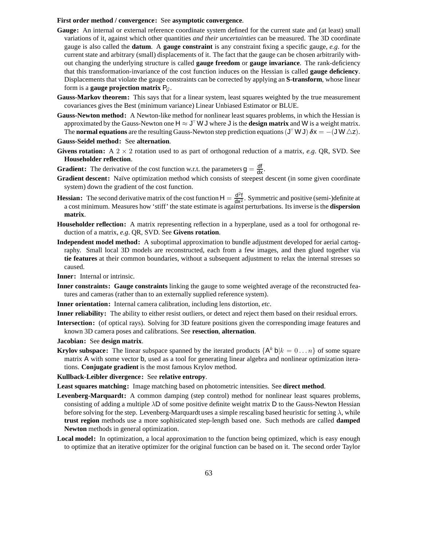#### **First order method / convergence:** See **asymptotic convergence**.

- Gauge: An internal or external reference coordinate system defined for the current state and (at least) small variations of it, against which other quantities *and their uncertainties* can be measured. The 3D coordinate gauge is also called the **datum**. A **gauge constraint** is any constraint fixing a specific gauge, *e.g*. for the current state and arbitrary (small) displacements of it. The fact that the gauge can be chosen arbitrarily without changing the underlying structure is called **gauge freedom** or **gauge invariance**. The rank-deficiency that this transformation-invariance of the cost function induces on the Hessian is called **gauge deficiency**. Displacements that violate the gauge constraints can be corrected by applying an **S-transform**, whose linear form is a **gauge projection matrix** PG.
- **Gauss-Markov theorem:** This says that for a linear system, least squares weighted by the true measurement covariances gives the Best (minimum variance) Linear Unbiased Estimator or BLUE.
- **Gauss-Newton method:** A Newton-like method for nonlinear least squares problems, in which the Hessian is approximated by the Gauss-Newton one  $H \approx J^T W J$  where J is the **design matrix** and W is a weight matrix. The **normal equations** are the resulting Gauss-Newton step prediction equations (J<sup>⊤</sup> W J)  $\delta x = -(J W \triangle z)$ .

**Gauss-Seidel method:** See **alternation**.

**Givens rotation:** A  $2 \times 2$  rotation used to as part of orthogonal reduction of a matrix, *e.g.* QR, SVD. See **Householder reflection**.

**Gradient:** The derivative of the cost function w.r.t. the parameters  $g = \frac{df}{dx}$ .

- Gradient descent: Naïve optimization method which consists of steepest descent (in some given coordinate system) down the gradient of the cost function.
- **Hessian:** The second derivative matrix of the cost function  $H = \frac{d^2f}{dx^2}$ . Symmetric and positive (semi-)definite at a cost minimum. Measures how 'stiff' the state estimate is against perturbations. Its inverse is the a cost minimum. Measures how 'stiff' the state estimate is against perturbations. Its inverse is the **dispersion matrix**.
- **Householder reflection:** A matrix representing reflection in a hyperplane, used as a tool for orthogonal reduction of a matrix, *e.g*. QR, SVD. See **Givens rotation**.
- **Independent model method:** A suboptimal approximation to bundle adjustment developed for aerial cartography. Small local 3D models are reconstructed, each from a few images, and then glued together via **tie features** at their common boundaries, without a subsequent adjustment to relax the internal stresses so caused.

**Inner:** Internal or intrinsic.

- **Inner constraints: Gauge constraints** linking the gauge to some weighted average of the reconstructed features and cameras (rather than to an externally supplied reference system).
- **Inner orientation:** Internal camera calibration, including lens distortion, *etc*.
- **Inner reliability:** The ability to either resist outliers, or detect and reject them based on their residual errors.
- **Intersection:** (of optical rays). Solving for 3D feature positions given the corresponding image features and known 3D camera poses and calibrations. See **resection**, **alternation**.
- **Jacobian:** See **design matrix**.
- **Krylov subspace:** The linear subspace spanned by the iterated products  $\{A^k b | k = 0 \dots n\}$  of some square matrix A with some vector b, used as a tool for generating linear algebra and nonlinear optimization iterations. **Conjugate gradient** is the most famous Krylov method.
- **Kullback-Leibler divergence:** See **relative entropy**.
- **Least squares matching:** Image matching based on photometric intensities. See **direct method**.
- **Levenberg-Marquardt:** A common damping (step control) method for nonlinear least squares problems, consisting of adding a multiple  $\lambda$ D of some positive definite weight matrix D to the Gauss-Newton Hessian before solving for the step. Levenberg-Marquardt uses a simple rescaling based heuristic for setting  $\lambda$ , while **trust region** methods use a more sophisticated step-length based one. Such methods are called **damped Newton** methods in general optimization.
- **Local model:** In optimization, a local approximation to the function being optimized, which is easy enough to optimize that an iterative optimizer for the original function can be based on it. The second order Taylor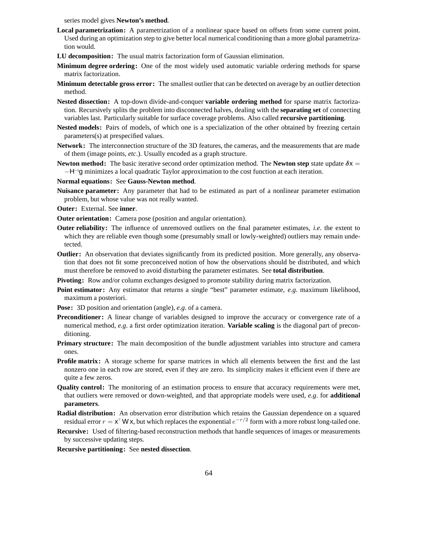series model gives **Newton's method**.

- **Local parametrization:** A parametrization of a nonlinear space based on offsets from some current point. Used during an optimization step to give better local numerical conditioning than a more global parametrization would.
- **LU decomposition:** The usual matrix factorization form of Gaussian elimination.
- **Minimum degree ordering:** One of the most widely used automatic variable ordering methods for sparse matrix factorization.
- **Minimum detectable gross error:** The smallest outlier that can be detected on average by an outlier detection method.
- **Nested dissection:** A top-down divide-and-conquer **variable ordering method** for sparse matrix factorization. Recursively splits the problem into disconnected halves, dealing with the **separating set** of connecting variables last. Particularly suitable for surface coverage problems. Also called **recursive partitioning**.
- **Nested models:** Pairs of models, of which one is a specialization of the other obtained by freezing certain parameters(s) at prespecified values.
- **Network:** The interconnection structure of the 3D features, the cameras, and the measurements that are made of them (image points, *etc*.). Usually encoded as a graph structure.
- **Newton method:** The basic iterative second order optimization method. The **Newton step** state update  $\delta x =$ −H−<sup>1</sup> g minimizes a local quadratic Taylor approximation to the cost function at each iteration.

**Normal equations:** See **Gauss-Newton method**.

- **Nuisance parameter:** Any parameter that had to be estimated as part of a nonlinear parameter estimation problem, but whose value was not really wanted.
- **Outer:** External. See **inner**.

**Outer orientation:** Camera pose (position and angular orientation).

- **Outer reliability:** The influence of unremoved outliers on the final parameter estimates, *i.e*. the extent to which they are reliable even though some (presumably small or lowly-weighted) outliers may remain undetected.
- **Outlier:** An observation that deviates significantly from its predicted position. More generally, any observation that does not fit some preconceived notion of how the observations should be distributed, and which must therefore be removed to avoid disturbing the parameter estimates. See **total distribution**.
- **Pivoting:** Row and/or column exchanges designed to promote stability during matrix factorization.
- **Point estimator:** Any estimator that returns a single "best" parameter estimate, *e.g*. maximum likelihood, maximum a posteriori.
- **Pose:** 3D position and orientation (angle), *e.g*. of a camera.
- **Preconditioner:** A linear change of variables designed to improve the accuracy or convergence rate of a numerical method, *e.g*. a first order optimization iteration. **Variable scaling** is the diagonal part of preconditioning.
- **Primary structure:** The main decomposition of the bundle adjustment variables into structure and camera ones.
- **Profile matrix:** A storage scheme for sparse matrices in which all elements between the first and the last nonzero one in each row are stored, even if they are zero. Its simplicity makes it efficient even if there are quite a few zeros.
- **Quality control:** The monitoring of an estimation process to ensure that accuracy requirements were met, that outliers were removed or down-weighted, and that appropriate models were used, *e.g*. for **additional parameters**.
- **Radial distribution:** An observation error distribution which retains the Gaussian dependence on a squared residual error  $r = x^{\top} W x$ , but which replaces the exponential  $e^{-r/2}$  form with a more robust long-tailed one.
- **Recursive:** Used of filtering-based reconstruction methods that handle sequences of images or measurements by successive updating steps.

**Recursive partitioning:** See **nested dissection**.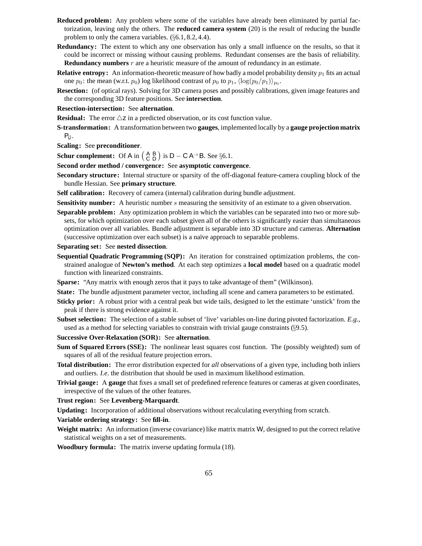- **Reduced problem:** Any problem where some of the variables have already been eliminated by partial factorization, leaving only the others. The **reduced camera system** (20) is the result of reducing the bundle problem to only the camera variables. (§6.1, 8.2, 4.4).
- **Redundancy:** The extent to which any one observation has only a small influence on the results, so that it could be incorrect or missing without causing problems. Redundant consenses are the basis of reliability. **Redundancy numbers** r are a heuristic measure of the amount of redundancy in an estimate.
- **Relative entropy:** An information-theoretic measure of how badly a model probability density  $p_1$  fits an actual one  $p_0$ : the mean (w.r.t.  $p_0$ ) log likelihood contrast of  $p_0$  to  $p_1$ ,  $\langle \log(p_0/p_1) \rangle_{p_0}$ .
- **Resection:** (of optical rays). Solving for 3D camera poses and possibly calibrations, given image features and the corresponding 3D feature positions. See **intersection**.

**Resection-intersection:** See **alternation**.

**Residual:** The error  $\triangle z$  in a predicted observation, or its cost function value.

- **S-transformation:** A transformation between two **gauges**, implemented locally by a **gauge projection matrix**  $P_G$ .
- **Scaling:** See **preconditioner**.

**Schur complement:** Of A in  $\begin{pmatrix} A & B \\ C & D \end{pmatrix}$  is D – C A<sup>-1</sup> B. See §6.1.

**Second order method / convergence:** See **asymptotic convergence**.

**Secondary structure:** Internal structure or sparsity of the off-diagonal feature-camera coupling block of the bundle Hessian. See **primary structure**.

**Self calibration:** Recovery of camera (internal) calibration during bundle adjustment.

**Sensitivity number:** A heuristic number s measuring the sensitivity of an estimate to a given observation.

- **Separable problem:** Any optimization problem in which the variables can be separated into two or more subsets, for which optimization over each subset given all of the others is significantly easier than simultaneous optimization over all variables. Bundle adjustment is separable into 3D structure and cameras. **Alternation** (successive optimization over each subset) is a naïve approach to separable problems.
- **Separating set:** See **nested dissection**.
- **Sequential Quadratic Programming (SQP):** An iteration for constrained optimization problems, the constrained analogue of **Newton's method**. At each step optimizes a **local model** based on a quadratic model function with linearized constraints.
- **Sparse:** "Any matrix with enough zeros that it pays to take advantage of them" (Wilkinson).
- **State:** The bundle adjustment parameter vector, including all scene and camera parameters to be estimated.
- **Sticky prior:** A robust prior with a central peak but wide tails, designed to let the estimate 'unstick' from the peak if there is strong evidence against it.
- **Subset selection:** The selection of a stable subset of 'live' variables on-line during pivoted factorization. *E.g*., used as a method for selecting variables to constrain with trivial gauge constraints (§9.5).
- **Successive Over-Relaxation (SOR):** See **alternation**.
- **Sum of Squared Errors (SSE):** The nonlinear least squares cost function. The (possibly weighted) sum of squares of all of the residual feature projection errors.
- **Total distribution:** The error distribution expected for *all* observations of a given type, including both inliers and outliers. *I.e*. the distribution that should be used in maximum likelihood estimation.
- **Trivial gauge:** A **gauge** that fixes a small set of predefined reference features or cameras at given coordinates, irrespective of the values of the other features.

**Trust region:** See **Levenberg-Marquardt**.

**Updating:** Incorporation of additional observations without recalculating everything from scratch.

**Variable ordering strategy:** See **fill-in**.

**Weight matrix:** An information (inverse covariance) like matrix matrix W, designed to put the correct relative statistical weights on a set of measurements.

**Woodbury formula:** The matrix inverse updating formula (18).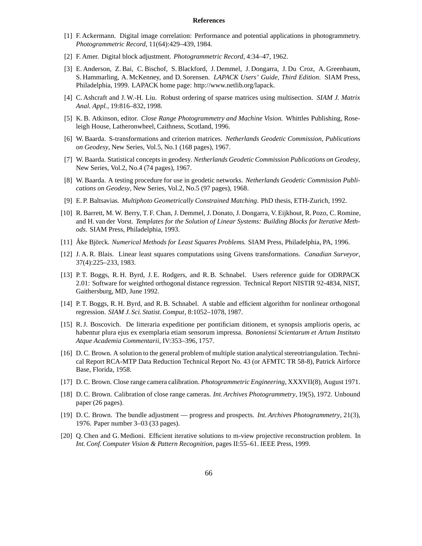#### **References**

- [1] F. Ackermann. Digital image correlation: Performance and potential applications in photogrammetry. *Photogrammetric Record*, 11(64):429–439, 1984.
- [2] F. Amer. Digital block adjustment. *Photogrammetric Record*, 4:34–47, 1962.
- [3] E. Anderson, Z. Bai, C. Bischof, S. Blackford, J. Demmel, J. Dongarra, J. Du Croz, A. Greenbaum, S. Hammarling, A. McKenney, and D. Sorensen. *LAPACK Users' Guide, Third Edition*. SIAM Press, Philadelphia, 1999. LAPACK home page: http://www.netlib.org/lapack.
- [4] C. Ashcraft and J. W.-H. Liu. Robust ordering of sparse matrices using multisection. *SIAM J. Matrix Anal. Appl.*, 19:816–832, 1998.
- [5] K. B. Atkinson, editor. *Close Range Photogrammetry and Machine Vision*. Whittles Publishing, Roseleigh House, Latheronwheel, Caithness, Scotland, 1996.
- [6] W. Baarda. S-transformations and criterion matrices. *Netherlands Geodetic Commission, Publications on Geodesy*, New Series, Vol.5, No.1 (168 pages), 1967.
- [7] W. Baarda. Statistical concepts in geodesy. *Netherlands Geodetic Commission Publications on Geodesy*, New Series, Vol.2, No.4 (74 pages), 1967.
- [8] W. Baarda. A testing procedure for use in geodetic networks. *Netherlands Geodetic Commission Publications on Geodesy*, New Series, Vol.2, No.5 (97 pages), 1968.
- [9] E. P. Baltsavias. *Multiphoto Geometrically Constrained Matching*. PhD thesis, ETH-Zurich, 1992.
- [10] R. Barrett, M. W. Berry, T. F. Chan, J. Demmel, J. Donato, J. Dongarra, V. Eijkhout, R. Pozo, C. Romine, and H. van der Vorst. *Templates for the Solution of Linear Systems: Building Blocks for Iterative Methods*. SIAM Press, Philadelphia, 1993.
- [11] Åke Björck. *Numerical Methods for Least Squares Problems*. SIAM Press, Philadelphia, PA, 1996.
- [12] J. A. R. Blais. Linear least squares computations using Givens transformations. *Canadian Surveyor*, 37(4):225–233, 1983.
- [13] P.T. Boggs, R.H. Byrd, J.E. Rodgers, and R.B. Schnabel. Users reference guide for ODRPACK 2.01: Software for weighted orthogonal distance regression. Technical Report NISTIR 92-4834, NIST, Gaithersburg, MD, June 1992.
- [14] P. T. Boggs, R. H. Byrd, and R. B. Schnabel. A stable and efficient algorithm for nonlinear orthogonal regression. *SIAM J. Sci. Statist. Comput*, 8:1052–1078, 1987.
- [15] R. J. Boscovich. De litteraria expeditione per pontificiam ditionem, et synopsis amplioris operis, ac habentur plura ejus ex exemplaria etiam sensorum impressa. *Bononiensi Scientarum et Artum Instituto Atque Academia Commentarii*, IV:353–396, 1757.
- [16] D. C. Brown. A solution to the general problem of multiple station analytical stereotriangulation. Technical Report RCA-MTP Data Reduction Technical Report No. 43 (or AFMTC TR 58-8), Patrick Airforce Base, Florida, 1958.
- [17] D. C. Brown. Close range camera calibration. *Photogrammetric Engineering*, XXXVII(8), August 1971.
- [18] D. C. Brown. Calibration of close range cameras. *Int. Archives Photogrammetry*, 19(5), 1972. Unbound paper (26 pages).
- [19] D. C. Brown. The bundle adjustment progress and prospects. *Int. Archives Photogrammetry*, 21(3), 1976. Paper number 3–03 (33 pages).
- [20] Q. Chen and G. Medioni. Efficient iterative solutions to m-view projective reconstruction problem. In *Int. Conf. Computer Vision & Pattern Recognition*, pages II:55–61. IEEE Press, 1999.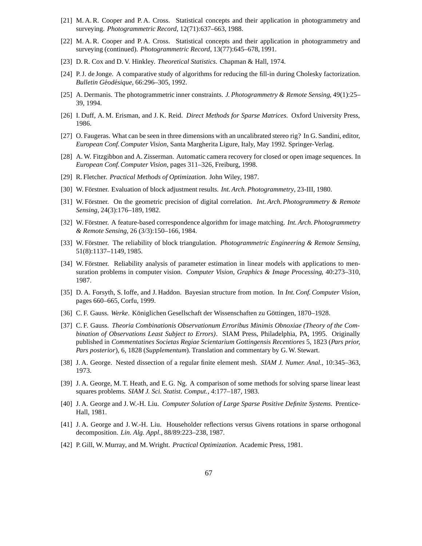- [21] M. A. R. Cooper and P. A. Cross. Statistical concepts and their application in photogrammetry and surveying. *Photogrammetric Record*, 12(71):637–663, 1988.
- [22] M. A. R. Cooper and P. A. Cross. Statistical concepts and their application in photogrammetry and surveying (continued). *Photogrammetric Record*, 13(77):645–678, 1991.
- [23] D. R. Cox and D. V. Hinkley. *Theoretical Statistics*. Chapman & Hall, 1974.
- [24] P. J. de Jonge. A comparative study of algorithms for reducing the fill-in during Cholesky factorization. *Bulletin Geod ´ esique ´* , 66:296–305, 1992.
- [25] A. Dermanis. The photogrammetric inner constraints. *J. Photogrammetry & Remote Sensing*, 49(1):25– 39, 1994.
- [26] I. Duff, A. M. Erisman, and J. K. Reid. *Direct Methods for Sparse Matrices*. Oxford University Press, 1986.
- [27] O. Faugeras. What can be seen in three dimensions with an uncalibrated stereo rig? In G. Sandini, editor, *European Conf. Computer Vision*, Santa Margherita Ligure, Italy, May 1992. Springer-Verlag.
- [28] A. W. Fitzgibbon and A. Zisserman. Automatic camera recovery for closed or open image sequences. In *European Conf. Computer Vision*, pages 311–326, Freiburg, 1998.
- [29] R. Fletcher. *Practical Methods of Optimization*. John Wiley, 1987.
- [30] W. Förstner. Evaluation of block adjustment results. *Int. Arch. Photogrammetry*, 23-III, 1980.
- [31] W. Förstner. On the geometric precision of digital correlation. *Int. Arch. Photogrammetry & Remote Sensing*, 24(3):176–189, 1982.
- [32] W. Förstner. A feature-based correspondence algorithm for image matching. *Int. Arch. Photogrammetry & Remote Sensing*, 26 (3/3):150–166, 1984.
- [33] W. Förstner. The reliability of block triangulation. *Photogrammetric Engineering & Remote Sensing*, 51(8):1137–1149, 1985.
- [34] W. Förstner. Reliability analysis of parameter estimation in linear models with applications to mensuration problems in computer vision. *Computer Vision, Graphics & Image Processing*, 40:273–310, 1987.
- [35] D. A. Forsyth, S. Ioffe, and J. Haddon. Bayesian structure from motion. In *Int. Conf. Computer Vision*, pages 660–665, Corfu, 1999.
- [36] C. F. Gauss. Werke. Königlichen Gesellschaft der Wissenschaften zu Göttingen, 1870–1928.
- [37] C. F. Gauss. *Theoria Combinationis Observationum Erroribus Minimis Obnoxiae (Theory of the Combination of Observations Least Subject to Errors)*. SIAM Press, Philadelphia, PA, 1995. Originally published in *Commentatines Societas Regiae Scientarium Gottingensis Recentiores* 5, 1823 (*Pars prior, Pars posterior*), 6, 1828 (*Supplementum*). Translation and commentary by G. W. Stewart.
- [38] J. A. George. Nested dissection of a regular finite element mesh. *SIAM J. Numer. Anal.*, 10:345–363, 1973.
- [39] J. A. George, M. T. Heath, and E. G. Ng. A comparison of some methods for solving sparse linear least squares problems. *SIAM J. Sci. Statist. Comput.*, 4:177–187, 1983.
- [40] J. A. George and J. W.-H. Liu. *Computer Solution of Large Sparse Positive Definite Systems*. Prentice-Hall, 1981.
- [41] J. A. George and J. W.-H. Liu. Householder reflections versus Givens rotations in sparse orthogonal decomposition. *Lin. Alg. Appl.*, 88/89:223–238, 1987.
- [42] P. Gill, W. Murray, and M. Wright. *Practical Optimization*. Academic Press, 1981.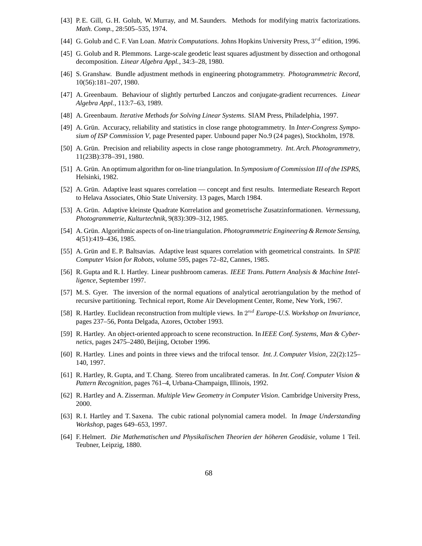- [43] P.E. Gill, G.H. Golub, W. Murray, and M. Saunders. Methods for modifying matrix factorizations. *Math. Comp.*, 28:505–535, 1974.
- [44] G. Golub and C. F. Van Loan. *Matrix Computations*. Johns Hopkins University Press,  $3^{rd}$  edition, 1996.
- [45] G. Golub and R. Plemmons. Large-scale geodetic least squares adjustment by dissection and orthogonal decomposition. *Linear Algebra Appl.*, 34:3–28, 1980.
- [46] S. Granshaw. Bundle adjustment methods in engineering photogrammetry. *Photogrammetric Record*, 10(56):181–207, 1980.
- [47] A. Greenbaum. Behaviour of slightly perturbed Lanczos and conjugate-gradient recurrences. *Linear Algebra Appl.*, 113:7–63, 1989.
- [48] A. Greenbaum. *Iterative Methods for Solving Linear Systems*. SIAM Press, Philadelphia, 1997.
- [49] A. Grün. Accuracy, reliability and statistics in close range photogrammetry. In *Inter-Congress Symposium of ISP Commission V*, page Presented paper. Unbound paper No.9 (24 pages), Stockholm, 1978.
- [50] A. Grün. Precision and reliability aspects in close range photogrammetry. *Int. Arch. Photogrammetry*, 11(23B):378–391, 1980.
- [51] A. Grün. An optimum algorithm for on-line triangulation. In *Symposium of Commission III of the ISPRS*, Helsinki, 1982.
- [52] A. Grün. Adaptive least squares correlation concept and first results. Intermediate Research Report to Helava Associates, Ohio State University. 13 pages, March 1984.
- [53] A. Grün. Adaptive kleinste Quadrate Korrelation and geometrische Zusatzinformationen. *Vermessung*, *Photogrammetrie, Kulturtechnik*, 9(83):309–312, 1985.
- [54] A. Grün. Algorithmic aspects of on-line triangulation. *Photogrammetric Engineering & Remote Sensing*, 4(51):419–436, 1985.
- [55] A. Grün and E. P. Baltsavias. Adaptive least squares correlation with geometrical constraints. In *SPIE Computer Vision for Robots*, volume 595, pages 72–82, Cannes, 1985.
- [56] R. Gupta and R. I. Hartley. Linear pushbroom cameras. *IEEE Trans. Pattern Analysis & Machine Intelligence*, September 1997.
- [57] M. S. Gyer. The inversion of the normal equations of analytical aerotriangulation by the method of recursive partitioning. Technical report, Rome Air Development Center, Rome, New York, 1967.
- [58] R. Hartley. Euclidean reconstruction from multiple views. In 2nd *Europe-U.S. Workshop on Invariance*, pages 237–56, Ponta Delgada, Azores, October 1993.
- [59] R. Hartley. An object-oriented approach to scene reconstruction. In *IEEE Conf. Systems, Man & Cybernetics*, pages 2475–2480, Beijing, October 1996.
- [60] R. Hartley. Lines and points in three views and the trifocal tensor. *Int. J. Computer Vision*, 22(2):125– 140, 1997.
- [61] R. Hartley, R. Gupta, and T. Chang. Stereo from uncalibrated cameras. In *Int. Conf. Computer Vision & Pattern Recognition*, pages 761–4, Urbana-Champaign, Illinois, 1992.
- [62] R. Hartley and A. Zisserman. *Multiple View Geometry in Computer Vision*. Cambridge University Press, 2000.
- [63] R. I. Hartley and T. Saxena. The cubic rational polynomial camera model. In *Image Understanding Workshop*, pages 649–653, 1997.
- [64] F. Helmert. *Die Mathematischen und Physikalischen Theorien der höheren Geodäsie, volume 1 Teil.* Teubner, Leipzig, 1880.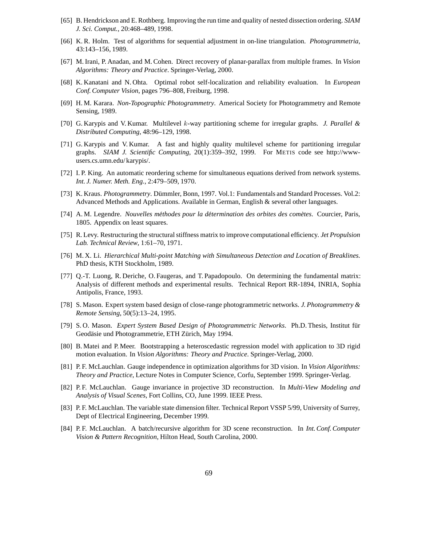- [65] B. Hendrickson and E. Rothberg. Improving the run time and quality of nested dissection ordering. *SIAM J. Sci. Comput.*, 20:468–489, 1998.
- [66] K. R. Holm. Test of algorithms for sequential adjustment in on-line triangulation. *Photogrammetria*, 43:143–156, 1989.
- [67] M. Irani, P. Anadan, and M. Cohen. Direct recovery of planar-parallax from multiple frames. In *Vision Algorithms: Theory and Practice*. Springer-Verlag, 2000.
- [68] K. Kanatani and N. Ohta. Optimal robot self-localization and reliability evaluation. In *European Conf. Computer Vision*, pages 796–808, Freiburg, 1998.
- [69] H. M. Karara. *Non-Topographic Photogrammetry*. Americal Society for Photogrammetry and Remote Sensing, 1989.
- [70] G. Karypis and V. Kumar. Multilevel k-way partitioning scheme for irregular graphs. *J. Parallel & Distributed Computing*, 48:96–129, 1998.
- [71] G. Karypis and V. Kumar. A fast and highly quality multilevel scheme for partitioning irregular graphs. *SIAM J. Scientific Computing*, 20(1):359–392, 1999. For METIS code see http://wwwusers.cs.umn.edu/ karypis/.
- [72] I. P. King. An automatic reordering scheme for simultaneous equations derived from network systems. *Int. J. Numer. Meth. Eng.*, 2:479–509, 1970.
- [73] K. Kraus. *Photogrammetry*. Dümmler, Bonn, 1997. Vol.1: Fundamentals and Standard Processes. Vol.2: Advanced Methods and Applications. Available in German, English & several other languages.
- [74] A. M. Legendre. *Nouvelles methodes pour la d ´ etermination des orbites des com ´ etes `* . Courcier, Paris, 1805. Appendix on least squares.
- [75] R. Levy. Restructuring the structural stiffness matrix to improve computational efficiency. *Jet Propulsion Lab. Technical Review*, 1:61–70, 1971.
- [76] M. X. Li. *Hierarchical Multi-point Matching with Simultaneous Detection and Location of Breaklines*. PhD thesis, KTH Stockholm, 1989.
- [77] Q.-T. Luong, R. Deriche, O. Faugeras, and T. Papadopoulo. On determining the fundamental matrix: Analysis of different methods and experimental results. Technical Report RR-1894, INRIA, Sophia Antipolis, France, 1993.
- [78] S. Mason. Expert system based design of close-range photogrammetric networks. *J. Photogrammetry & Remote Sensing*, 50(5):13–24, 1995.
- [79] S.O. Mason. *Expert System Based Design of Photogrammetric Networks*. Ph.D. Thesis, Institut für Geodäsie und Photogrammetrie, ETH Zürich, May 1994.
- [80] B. Matei and P. Meer. Bootstrapping a heteroscedastic regression model with application to 3D rigid motion evaluation. In *Vision Algorithms: Theory and Practice*. Springer-Verlag, 2000.
- [81] P. F. McLauchlan. Gauge independence in optimization algorithms for 3D vision. In *Vision Algorithms: Theory and Practice*, Lecture Notes in Computer Science, Corfu, September 1999. Springer-Verlag.
- [82] P.F. McLauchlan. Gauge invariance in projective 3D reconstruction. In *Multi-View Modeling and Analysis of Visual Scenes*, Fort Collins, CO, June 1999. IEEE Press.
- [83] P. F. McLauchlan. The variable state dimension filter. Technical Report VSSP 5/99, University of Surrey, Dept of Electrical Engineering, December 1999.
- [84] P. F. McLauchlan. A batch/recursive algorithm for 3D scene reconstruction. In *Int. Conf. Computer Vision & Pattern Recognition*, Hilton Head, South Carolina, 2000.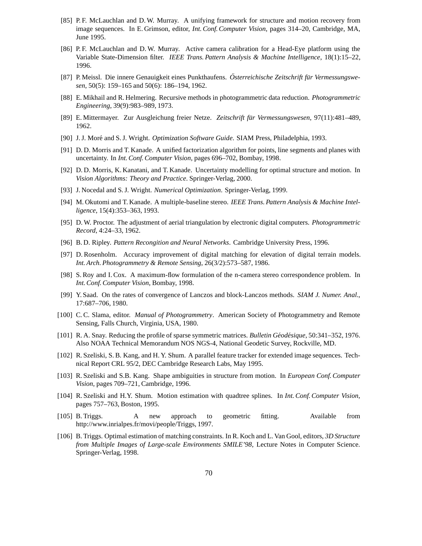- [85] P.F. McLauchlan and D.W. Murray. A unifying framework for structure and motion recovery from image sequences. In E. Grimson, editor, *Int. Conf. Computer Vision*, pages 314–20, Cambridge, MA, June 1995.
- [86] P.F. McLauchlan and D.W. Murray. Active camera calibration for a Head-Eye platform using the Variable State-Dimension filter. *IEEE Trans. Pattern Analysis & Machine Intelligence*, 18(1):15–22, 1996.
- [87] P. Meissl. Die innere Genauigkeit eines Punkthaufens. *Osterreichische Zeitschrift f ¨ ur Vermessungswe- ¨ sen*, 50(5): 159–165 and 50(6): 186–194, 1962.
- [88] E. Mikhail and R. Helmering. Recursive methods in photogrammetric data reduction. *Photogrammetric Engineering*, 39(9):983–989, 1973.
- [89] E. Mittermayer. Zur Ausgleichung freier Netze. Zeitschrift für Vermessungswesen, 97(11):481-489, 1962.
- [90] J. J. Mor´e and S. J. Wright. *Optimization Software Guide*. SIAM Press, Philadelphia, 1993.
- [91] D. D. Morris and T. Kanade. A unified factorization algorithm for points, line segments and planes with uncertainty. In *Int. Conf. Computer Vision*, pages 696–702, Bombay, 1998.
- [92] D. D. Morris, K. Kanatani, and T. Kanade. Uncertainty modelling for optimal structure and motion. In *Vision Algorithms: Theory and Practice*. Springer-Verlag, 2000.
- [93] J. Nocedal and S. J. Wright. *Numerical Optimization*. Springer-Verlag, 1999.
- [94] M. Okutomi and T. Kanade. A multiple-baseline stereo. *IEEE Trans. Pattern Analysis & Machine Intelligence*, 15(4):353–363, 1993.
- [95] D. W. Proctor. The adjustment of aerial triangulation by electronic digital computers. *Photogrammetric Record*, 4:24–33, 1962.
- [96] B. D. Ripley. *Pattern Recongition and Neural Networks*. Cambridge University Press, 1996.
- [97] D. Rosenholm. Accuracy improvement of digital matching for elevation of digital terrain models. *Int. Arch. Photogrammetry & Remote Sensing*, 26(3/2):573–587, 1986.
- [98] S. Roy and I. Cox. A maximum-flow formulation of the n-camera stereo correspondence problem. In *Int. Conf. Computer Vision*, Bombay, 1998.
- [99] Y. Saad. On the rates of convergence of Lanczos and block-Lanczos methods. *SIAM J. Numer. Anal.*, 17:687–706, 1980.
- [100] C. C. Slama, editor. *Manual of Photogrammetry*. American Society of Photogrammetry and Remote Sensing, Falls Church, Virginia, USA, 1980.
- [101] R. A. Snay. Reducing the profile of sparse symmetric matrices. *Bulletin Geod ´ esique ´* , 50:341–352, 1976. Also NOAA Technical Memorandum NOS NGS-4, National Geodetic Survey, Rockville, MD.
- [102] R. Szeliski, S. B. Kang, and H. Y. Shum. A parallel feature tracker for extended image sequences. Technical Report CRL 95/2, DEC Cambridge Research Labs, May 1995.
- [103] R. Szeliski and S.B. Kang. Shape ambiguities in structure from motion. In *European Conf. Computer Vision*, pages 709–721, Cambridge, 1996.
- [104] R. Szeliski and H.Y. Shum. Motion estimation with quadtree splines. In *Int. Conf. Computer Vision*, pages 757–763, Boston, 1995.
- [105] B. Triggs. A new approach to geometric fitting. Available from http://www.inrialpes.fr/movi/people/Triggs, 1997.
- [106] B. Triggs. Optimal estimation of matching constraints. In R. Koch and L. Van Gool, editors, *3D Structure from Multiple Images of Large-scale Environments SMILE'98*, Lecture Notes in Computer Science. Springer-Verlag, 1998.